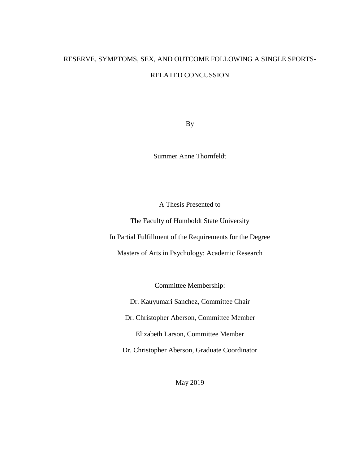# RESERVE, SYMPTOMS, SEX, AND OUTCOME FOLLOWING A SINGLE SPORTS-RELATED CONCUSSION

By

Summer Anne Thornfeldt

A Thesis Presented to

The Faculty of Humboldt State University

In Partial Fulfillment of the Requirements for the Degree

Masters of Arts in Psychology: Academic Research

Committee Membership:

Dr. Kauyumari Sanchez, Committee Chair

Dr. Christopher Aberson, Committee Member

Elizabeth Larson, Committee Member

Dr. Christopher Aberson, Graduate Coordinator

May 2019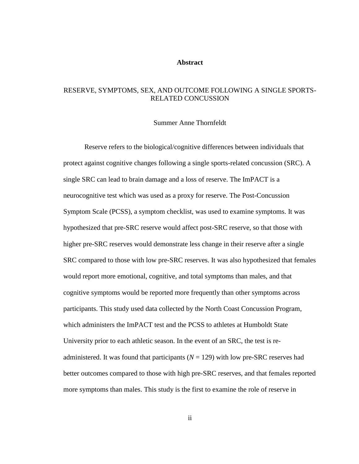#### **Abstract**

## <span id="page-1-0"></span>RESERVE, SYMPTOMS, SEX, AND OUTCOME FOLLOWING A SINGLE SPORTS-RELATED CONCUSSION

#### Summer Anne Thornfeldt

Reserve refers to the biological/cognitive differences between individuals that protect against cognitive changes following a single sports-related concussion (SRC). A single SRC can lead to brain damage and a loss of reserve. The ImPACT is a neurocognitive test which was used as a proxy for reserve. The Post-Concussion Symptom Scale (PCSS), a symptom checklist, was used to examine symptoms. It was hypothesized that pre-SRC reserve would affect post-SRC reserve, so that those with higher pre-SRC reserves would demonstrate less change in their reserve after a single SRC compared to those with low pre-SRC reserves. It was also hypothesized that females would report more emotional, cognitive, and total symptoms than males, and that cognitive symptoms would be reported more frequently than other symptoms across participants. This study used data collected by the North Coast Concussion Program, which administers the ImPACT test and the PCSS to athletes at Humboldt State University prior to each athletic season. In the event of an SRC, the test is readministered. It was found that participants  $(N = 129)$  with low pre-SRC reserves had better outcomes compared to those with high pre-SRC reserves, and that females reported more symptoms than males. This study is the first to examine the role of reserve in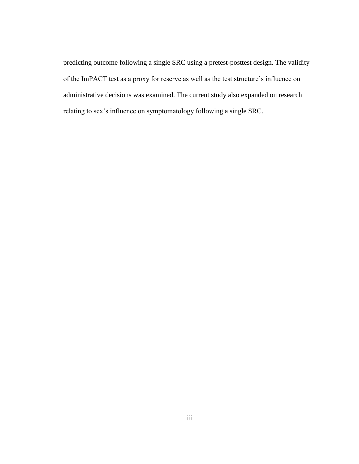predicting outcome following a single SRC using a pretest-posttest design. The validity of the ImPACT test as a proxy for reserve as well as the test structure's influence on administrative decisions was examined. The current study also expanded on research relating to sex's influence on symptomatology following a single SRC.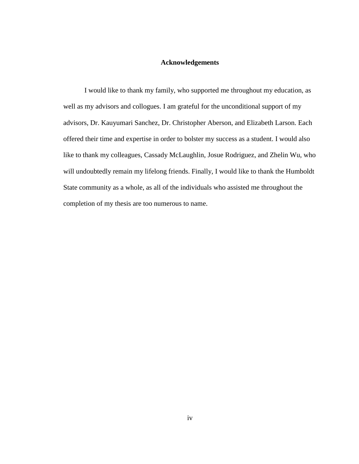### **Acknowledgements**

<span id="page-3-0"></span>I would like to thank my family, who supported me throughout my education, as well as my advisors and collogues. I am grateful for the unconditional support of my advisors, Dr. Kauyumari Sanchez, Dr. Christopher Aberson, and Elizabeth Larson. Each offered their time and expertise in order to bolster my success as a student. I would also like to thank my colleagues, Cassady McLaughlin, Josue Rodriguez, and Zhelin Wu, who will undoubtedly remain my lifelong friends. Finally, I would like to thank the Humboldt State community as a whole, as all of the individuals who assisted me throughout the completion of my thesis are too numerous to name.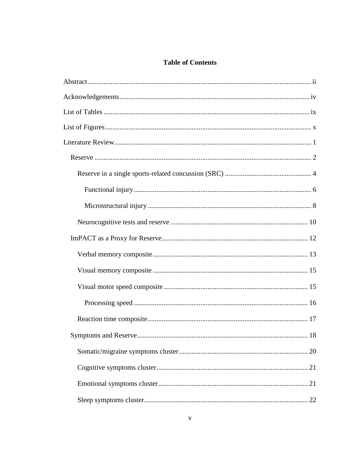## **Table of Contents**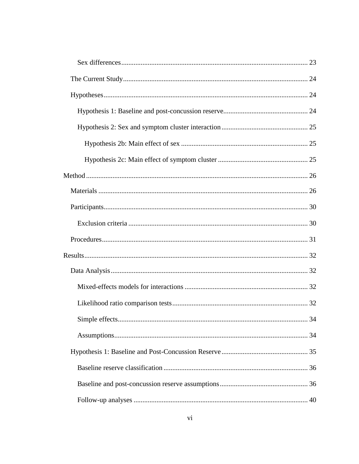| 34 |
|----|
|    |
|    |
|    |
|    |
|    |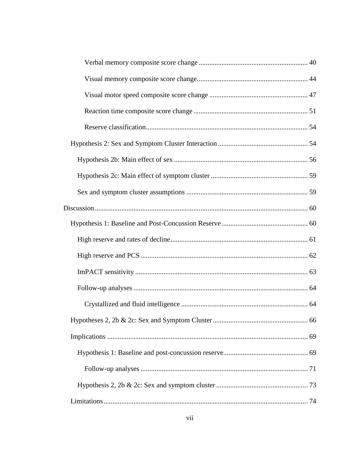| 66 |
|----|
|    |
|    |
|    |
|    |
|    |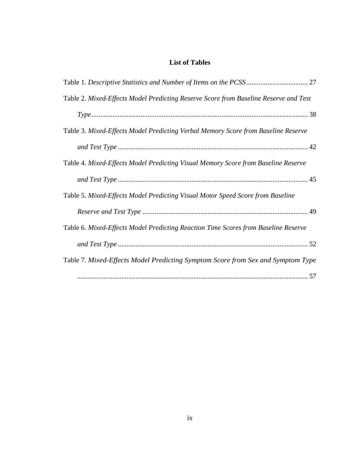# **List of Tables**

<span id="page-8-0"></span>

| Table 2. Mixed-Effects Model Predicting Reserve Score from Baseline Reserve and Test |
|--------------------------------------------------------------------------------------|
|                                                                                      |
| Table 3. Mixed-Effects Model Predicting Verbal Memory Score from Baseline Reserve    |
|                                                                                      |
| Table 4. Mixed-Effects Model Predicting Visual Memory Score from Baseline Reserve    |
|                                                                                      |
| Table 5. Mixed-Effects Model Predicting Visual Motor Speed Score from Baseline       |
|                                                                                      |
| Table 6. Mixed-Effects Model Predicting Reaction Time Scores from Baseline Reserve   |
|                                                                                      |
| Table 7. Mixed-Effects Model Predicting Symptom Score from Sex and Symptom Type      |
|                                                                                      |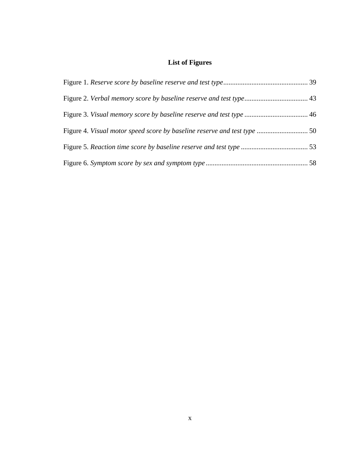# **List of Figures**

<span id="page-9-0"></span>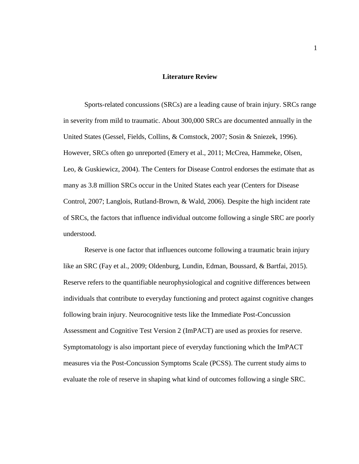#### **Literature Review**

<span id="page-10-0"></span>Sports-related concussions (SRCs) are a leading cause of brain injury. SRCs range in severity from mild to traumatic. About 300,000 SRCs are documented annually in the United States (Gessel, Fields, Collins, & Comstock, 2007; Sosin & Sniezek, 1996). However, SRCs often go unreported (Emery et al., 2011; McCrea, Hammeke, Olsen, Leo, & Guskiewicz, 2004). The Centers for Disease Control endorses the estimate that as many as 3.8 million SRCs occur in the United States each year (Centers for Disease Control, 2007; Langlois, Rutland-Brown, & Wald, 2006). Despite the high incident rate of SRCs, the factors that influence individual outcome following a single SRC are poorly understood.

Reserve is one factor that influences outcome following a traumatic brain injury like an SRC (Fay et al., 2009; Oldenburg, Lundin, Edman, Boussard, & Bartfai, 2015). Reserve refers to the quantifiable neurophysiological and cognitive differences between individuals that contribute to everyday functioning and protect against cognitive changes following brain injury. Neurocognitive tests like the Immediate Post-Concussion Assessment and Cognitive Test Version 2 (ImPACT) are used as proxies for reserve. Symptomatology is also important piece of everyday functioning which the ImPACT measures via the Post-Concussion Symptoms Scale (PCSS). The current study aims to evaluate the role of reserve in shaping what kind of outcomes following a single SRC.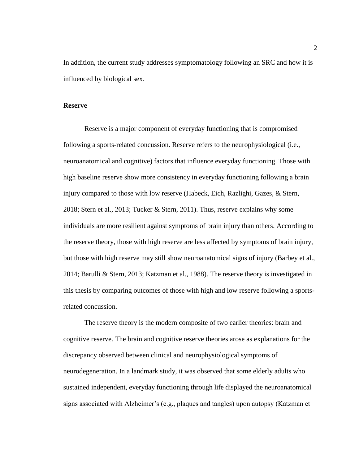In addition, the current study addresses symptomatology following an SRC and how it is influenced by biological sex.

#### <span id="page-11-0"></span>**Reserve**

Reserve is a major component of everyday functioning that is compromised following a sports-related concussion. Reserve refers to the neurophysiological (i.e., neuroanatomical and cognitive) factors that influence everyday functioning. Those with high baseline reserve show more consistency in everyday functioning following a brain injury compared to those with low reserve (Habeck, Eich, Razlighi, Gazes, & Stern, 2018; Stern et al., 2013; Tucker & Stern, 2011). Thus, reserve explains why some individuals are more resilient against symptoms of brain injury than others. According to the reserve theory, those with high reserve are less affected by symptoms of brain injury, but those with high reserve may still show neuroanatomical signs of injury (Barbey et al., 2014; Barulli & Stern, 2013; Katzman et al., 1988). The reserve theory is investigated in this thesis by comparing outcomes of those with high and low reserve following a sportsrelated concussion.

The reserve theory is the modern composite of two earlier theories: brain and cognitive reserve. The brain and cognitive reserve theories arose as explanations for the discrepancy observed between clinical and neurophysiological symptoms of neurodegeneration. In a landmark study, it was observed that some elderly adults who sustained independent, everyday functioning through life displayed the neuroanatomical signs associated with Alzheimer's (e.g., plaques and tangles) upon autopsy (Katzman et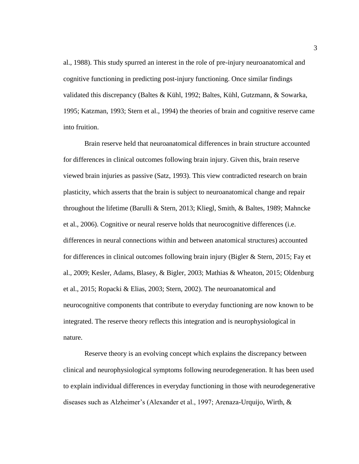al., 1988). This study spurred an interest in the role of pre-injury neuroanatomical and cognitive functioning in predicting post-injury functioning. Once similar findings validated this discrepancy (Baltes & Kühl, 1992; Baltes, Kühl, Gutzmann, & Sowarka, 1995; Katzman, 1993; Stern et al., 1994) the theories of brain and cognitive reserve came into fruition.

Brain reserve held that neuroanatomical differences in brain structure accounted for differences in clinical outcomes following brain injury. Given this, brain reserve viewed brain injuries as passive (Satz, 1993). This view contradicted research on brain plasticity, which asserts that the brain is subject to neuroanatomical change and repair throughout the lifetime (Barulli & Stern, 2013; Kliegl, Smith, & Baltes, 1989; Mahncke et al., 2006). Cognitive or neural reserve holds that neurocognitive differences (i.e. differences in neural connections within and between anatomical structures) accounted for differences in clinical outcomes following brain injury (Bigler & Stern, 2015; Fay et al., 2009; Kesler, Adams, Blasey, & Bigler, 2003; Mathias & Wheaton, 2015; Oldenburg et al., 2015; Ropacki & Elias, 2003; Stern, 2002). The neuroanatomical and neurocognitive components that contribute to everyday functioning are now known to be integrated. The reserve theory reflects this integration and is neurophysiological in nature.

Reserve theory is an evolving concept which explains the discrepancy between clinical and neurophysiological symptoms following neurodegeneration. It has been used to explain individual differences in everyday functioning in those with neurodegenerative diseases such as Alzheimer's (Alexander et al., 1997; Arenaza-Urquijo, Wirth, &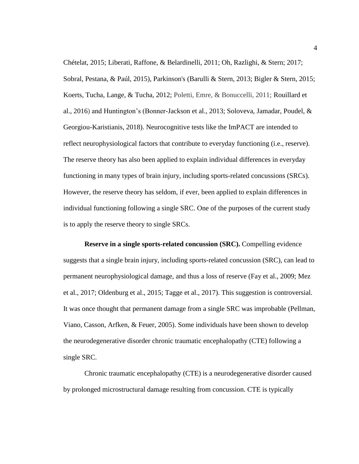Chételat, 2015; Liberati, Raffone, & Belardinelli, 2011; Oh, Razlighi, & Stern; 2017; Sobral, Pestana, & Paúl, 2015), Parkinson's (Barulli & Stern, 2013; Bigler & Stern, 2015; Koerts, Tucha, Lange, & Tucha, 2012; Poletti, Emre, & Bonuccelli, 2011; Rouillard et al., 2016) and Huntington's (Bonner-Jackson et al., 2013; Soloveva, Jamadar, Poudel, & Georgiou-Karistianis, 2018). Neurocognitive tests like the ImPACT are intended to reflect neurophysiological factors that contribute to everyday functioning (i.e., reserve). The reserve theory has also been applied to explain individual differences in everyday functioning in many types of brain injury, including sports-related concussions (SRCs). However, the reserve theory has seldom, if ever, been applied to explain differences in individual functioning following a single SRC. One of the purposes of the current study is to apply the reserve theory to single SRCs.

<span id="page-13-0"></span>**Reserve in a single sports-related concussion (SRC).** Compelling evidence suggests that a single brain injury, including sports-related concussion (SRC), can lead to permanent neurophysiological damage, and thus a loss of reserve (Fay et al., 2009; Mez et al., 2017; Oldenburg et al., 2015; Tagge et al., 2017). This suggestion is controversial. It was once thought that permanent damage from a single SRC was improbable (Pellman, Viano, Casson, Arfken, & Feuer, 2005). Some individuals have been shown to develop the neurodegenerative disorder chronic traumatic encephalopathy (CTE) following a single SRC.

Chronic traumatic encephalopathy (CTE) is a neurodegenerative disorder caused by prolonged microstructural damage resulting from concussion. CTE is typically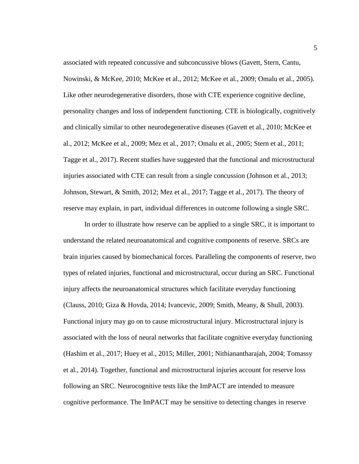associated with repeated concussive and subconcussive blows (Gavett, Stern, Cantu, Nowinski, & McKee, 2010; McKee et al., 2012; McKee et al., 2009; Omalu et al., 2005). Like other neurodegenerative disorders, those with CTE experience cognitive decline, personality changes and loss of independent functioning. CTE is biologically, cognitively and clinically similar to other neurodegenerative diseases (Gavett et al., 2010; McKee et al., 2012; McKee et al., 2009; Mez et al., 2017; Omalu et al., 2005; Stern et al., 2011; Tagge et al., 2017). Recent studies have suggested that the functional and microstructural injuries associated with CTE can result from a single concussion (Johnson et al., 2013; Johnson, Stewart, & Smith, 2012; Mez et al., 2017; Tagge et al., 2017). The theory of reserve may explain, in part, individual differences in outcome following a single SRC.

In order to illustrate how reserve can be applied to a single SRC, it is important to understand the related neuroanatomical and cognitive components of reserve. SRCs are brain injuries caused by biomechanical forces. Paralleling the components of reserve, two types of related injuries, functional and microstructural, occur during an SRC. Functional injury affects the neuroanatomical structures which facilitate everyday functioning (Clauss, 2010; Giza & Hovda, 2014; Ivancevic, 2009; Smith, Meany, & Shull, 2003). Functional injury may go on to cause microstructural injury. Microstructural injury is associated with the loss of neural networks that facilitate cognitive everyday functioning (Hashim et al., 2017; Huey et al., 2015; Miller, 2001; Nithianantharajah, 2004; Tomassy et al., 2014). Together, functional and microstructural injuries account for reserve loss following an SRC. Neurocognitive tests like the ImPACT are intended to measure cognitive performance. The ImPACT may be sensitive to detecting changes in reserve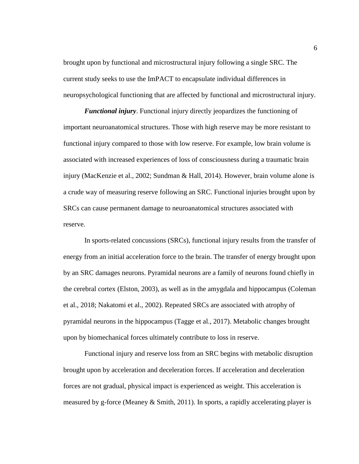brought upon by functional and microstructural injury following a single SRC. The current study seeks to use the ImPACT to encapsulate individual differences in neuropsychological functioning that are affected by functional and microstructural injury.

<span id="page-15-0"></span>*Functional injury*. Functional injury directly jeopardizes the functioning of important neuroanatomical structures. Those with high reserve may be more resistant to functional injury compared to those with low reserve. For example, low brain volume is associated with increased experiences of loss of consciousness during a traumatic brain injury (MacKenzie et al., 2002; Sundman & Hall, 2014). However, brain volume alone is a crude way of measuring reserve following an SRC. Functional injuries brought upon by SRCs can cause permanent damage to neuroanatomical structures associated with reserve.

In sports-related concussions (SRCs), functional injury results from the transfer of energy from an initial acceleration force to the brain. The transfer of energy brought upon by an SRC damages neurons. Pyramidal neurons are a family of neurons found chiefly in the cerebral cortex (Elston, 2003), as well as in the amygdala and hippocampus (Coleman et al., 2018; Nakatomi et al., 2002). Repeated SRCs are associated with atrophy of pyramidal neurons in the hippocampus (Tagge et al., 2017). Metabolic changes brought upon by biomechanical forces ultimately contribute to loss in reserve.

Functional injury and reserve loss from an SRC begins with metabolic disruption brought upon by acceleration and deceleration forces. If acceleration and deceleration forces are not gradual, physical impact is experienced as weight. This acceleration is measured by g-force (Meaney & Smith, 2011). In sports, a rapidly accelerating player is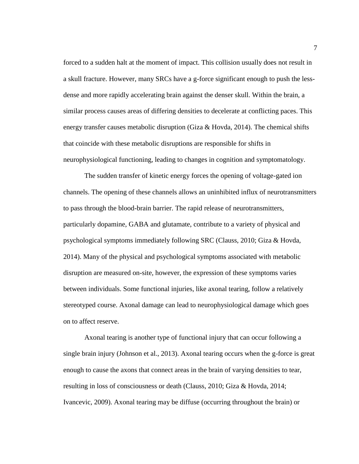forced to a sudden halt at the moment of impact. This collision usually does not result in a skull fracture. However, many SRCs have a g-force significant enough to push the lessdense and more rapidly accelerating brain against the denser skull. Within the brain, a similar process causes areas of differing densities to decelerate at conflicting paces. This energy transfer causes metabolic disruption (Giza & Hovda, 2014). The chemical shifts that coincide with these metabolic disruptions are responsible for shifts in neurophysiological functioning, leading to changes in cognition and symptomatology.

The sudden transfer of kinetic energy forces the opening of voltage-gated ion channels. The opening of these channels allows an uninhibited influx of neurotransmitters to pass through the blood-brain barrier. The rapid release of neurotransmitters, particularly dopamine, GABA and glutamate, contribute to a variety of physical and psychological symptoms immediately following SRC (Clauss, 2010; Giza & Hovda, 2014). Many of the physical and psychological symptoms associated with metabolic disruption are measured on-site, however, the expression of these symptoms varies between individuals. Some functional injuries, like axonal tearing, follow a relatively stereotyped course. Axonal damage can lead to neurophysiological damage which goes on to affect reserve.

Axonal tearing is another type of functional injury that can occur following a single brain injury (Johnson et al., 2013). Axonal tearing occurs when the g-force is great enough to cause the axons that connect areas in the brain of varying densities to tear, resulting in loss of consciousness or death (Clauss, 2010; Giza & Hovda, 2014; Ivancevic, 2009). Axonal tearing may be diffuse (occurring throughout the brain) or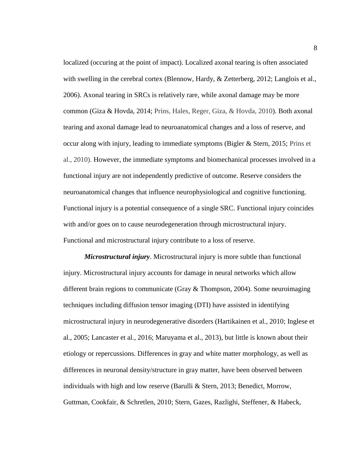localized (occuring at the point of impact). Localized axonal tearing is often associated with swelling in the cerebral cortex (Blennow, Hardy, & Zetterberg, 2012; Langlois et al., 2006). Axonal tearing in SRCs is relatively rare, while axonal damage may be more common (Giza & Hovda, 2014; Prins, Hales, Reger, Giza, & Hovda, 2010). Both axonal tearing and axonal damage lead to neuroanatomical changes and a loss of reserve, and occur along with injury, leading to immediate symptoms (Bigler & Stern, 2015; Prins et al., 2010). However, the immediate symptoms and biomechanical processes involved in a functional injury are not independently predictive of outcome. Reserve considers the neuroanatomical changes that influence neurophysiological and cognitive functioning. Functional injury is a potential consequence of a single SRC. Functional injury coincides with and/or goes on to cause neurodegeneration through microstructural injury. Functional and microstructural injury contribute to a loss of reserve.

<span id="page-17-0"></span>*Microstructural injury*. Microstructural injury is more subtle than functional injury. Microstructural injury accounts for damage in neural networks which allow different brain regions to communicate (Gray & Thompson, 2004). Some neuroimaging techniques including diffusion tensor imaging (DTI) have assisted in identifying microstructural injury in neurodegenerative disorders (Hartikainen et al., 2010; Inglese et al., 2005; Lancaster et al., 2016; Maruyama et al., 2013), but little is known about their etiology or repercussions. Differences in gray and white matter morphology, as well as differences in neuronal density/structure in gray matter, have been observed between individuals with high and low reserve (Barulli & Stern, 2013; Benedict, Morrow, Guttman, Cookfair, & Schretlen, 2010; Stern, Gazes, Razlighi, Steffener, & Habeck,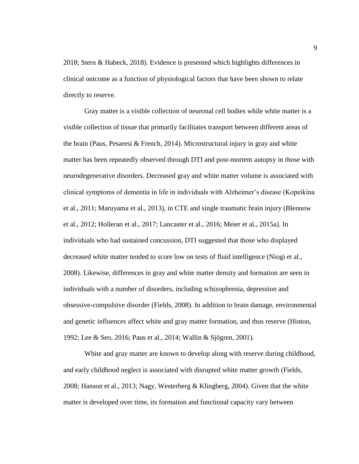2018; Stern & Habeck, 2018). Evidence is presented which highlights differences in clinical outcome as a function of physiological factors that have been shown to relate directly to reserve.

Gray matter is a visible collection of neuronal cell bodies while white matter is a visible collection of tissue that primarily facilitates transport between different areas of the brain (Paus, Pesaresi & French, 2014). Microstructural injury in gray and white matter has been repeatedly observed through DTI and post-mortem autopsy in those with neurodegenerative disorders. Decreased gray and white matter volume is associated with clinical symptoms of dementia in life in individuals with Alzheimer's disease (Kopeikina et al., 2011; Maruyama et al., 2013), in CTE and single traumatic brain injury (Blennow et al., 2012; Holleran et al., 2017; Lancaster et al., 2016; Meier et al., 2015a). In individuals who had sustained concussion, DTI suggested that those who displayed decreased white matter tended to score low on tests of fluid intelligence (Niogi et al., 2008). Likewise, differences in gray and white matter density and formation are seen in individuals with a number of disorders, including schizophrenia, depression and obsessive-compulsive disorder (Fields, 2008). In addition to brain damage, environmental and genetic influences affect white and gray matter formation, and thus reserve (Hinton, 1992; Lee & Seo, 2016; Paus et al., 2014; Wallin & Sjögren, 2001).

White and gray matter are known to develop along with reserve during childhood, and early childhood neglect is associated with disrupted white matter growth (Fields, 2008; Hanson et al., 2013; Nagy, Westerberg & Klingberg, 2004). Given that the white matter is developed over time, its formation and functional capacity vary between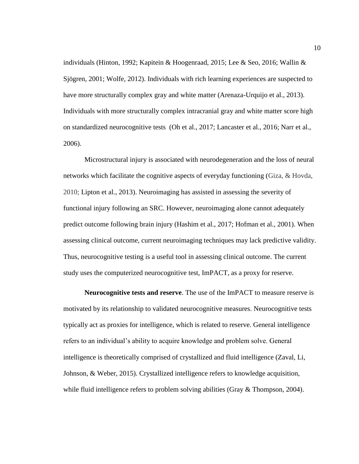individuals (Hinton, 1992; Kapitein & Hoogenraad, 2015; Lee & Seo, 2016; Wallin & Sjögren, 2001; Wolfe, 2012). Individuals with rich learning experiences are suspected to have more structurally complex gray and white matter (Arenaza-Urquijo et al., 2013). Individuals with more structurally complex intracranial gray and white matter score high on standardized neurocognitive tests (Oh et al., 2017; Lancaster et al., 2016; Narr et al., 2006).

Microstructural injury is associated with neurodegeneration and the loss of neural networks which facilitate the cognitive aspects of everyday functioning (Giza, & Hovda, 2010; Lipton et al., 2013). Neuroimaging has assisted in assessing the severity of functional injury following an SRC. However, neuroimaging alone cannot adequately predict outcome following brain injury (Hashim et al., 2017; Hofman et al., 2001). When assessing clinical outcome, current neuroimaging techniques may lack predictive validity. Thus, neurocognitive testing is a useful tool in assessing clinical outcome. The current study uses the computerized neurocognitive test, ImPACT, as a proxy for reserve.

<span id="page-19-0"></span>**Neurocognitive tests and reserve**. The use of the ImPACT to measure reserve is motivated by its relationship to validated neurocognitive measures. Neurocognitive tests typically act as proxies for intelligence, which is related to reserve. General intelligence refers to an individual's ability to acquire knowledge and problem solve. General intelligence is theoretically comprised of crystallized and fluid intelligence (Zaval, Li, Johnson, & Weber, 2015). Crystallized intelligence refers to knowledge acquisition, while fluid intelligence refers to problem solving abilities (Gray & Thompson, 2004).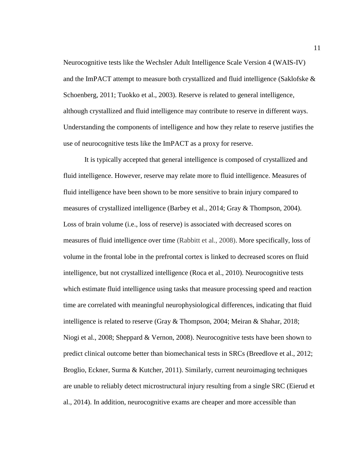Neurocognitive tests like the Wechsler Adult Intelligence Scale Version 4 (WAIS-IV) and the ImPACT attempt to measure both crystallized and fluid intelligence (Saklofske  $\&$ Schoenberg, 2011; Tuokko et al., 2003). Reserve is related to general intelligence, although crystallized and fluid intelligence may contribute to reserve in different ways. Understanding the components of intelligence and how they relate to reserve justifies the use of neurocognitive tests like the ImPACT as a proxy for reserve.

It is typically accepted that general intelligence is composed of crystallized and fluid intelligence. However, reserve may relate more to fluid intelligence. Measures of fluid intelligence have been shown to be more sensitive to brain injury compared to measures of crystallized intelligence (Barbey et al., 2014; Gray & Thompson, 2004). Loss of brain volume (i.e., loss of reserve) is associated with decreased scores on measures of fluid intelligence over time (Rabbitt et al., 2008). More specifically, loss of volume in the frontal lobe in the prefrontal cortex is linked to decreased scores on fluid intelligence, but not crystallized intelligence (Roca et al., 2010). Neurocognitive tests which estimate fluid intelligence using tasks that measure processing speed and reaction time are correlated with meaningful neurophysiological differences, indicating that fluid intelligence is related to reserve (Gray & Thompson, 2004; Meiran & Shahar, 2018; Niogi et al., 2008; Sheppard & Vernon, 2008). Neurocognitive tests have been shown to predict clinical outcome better than biomechanical tests in SRCs (Breedlove et al., 2012; Broglio, Eckner, Surma & Kutcher, 2011). Similarly, current neuroimaging techniques are unable to reliably detect microstructural injury resulting from a single SRC (Eierud et al., 2014). In addition, neurocognitive exams are cheaper and more accessible than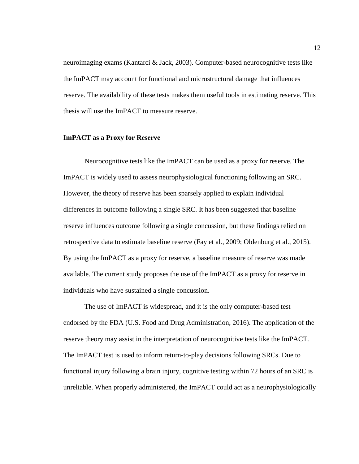neuroimaging exams (Kantarci & Jack, 2003). Computer-based neurocognitive tests like the ImPACT may account for functional and microstructural damage that influences reserve. The availability of these tests makes them useful tools in estimating reserve. This thesis will use the ImPACT to measure reserve.

#### <span id="page-21-0"></span>**ImPACT as a Proxy for Reserve**

Neurocognitive tests like the ImPACT can be used as a proxy for reserve. The ImPACT is widely used to assess neurophysiological functioning following an SRC. However, the theory of reserve has been sparsely applied to explain individual differences in outcome following a single SRC. It has been suggested that baseline reserve influences outcome following a single concussion, but these findings relied on retrospective data to estimate baseline reserve (Fay et al., 2009; Oldenburg et al., 2015). By using the ImPACT as a proxy for reserve, a baseline measure of reserve was made available. The current study proposes the use of the ImPACT as a proxy for reserve in individuals who have sustained a single concussion.

The use of ImPACT is widespread, and it is the only computer-based test endorsed by the FDA (U.S. Food and Drug Administration, 2016). The application of the reserve theory may assist in the interpretation of neurocognitive tests like the ImPACT. The ImPACT test is used to inform return-to-play decisions following SRCs. Due to functional injury following a brain injury, cognitive testing within 72 hours of an SRC is unreliable. When properly administered, the ImPACT could act as a neurophysiologically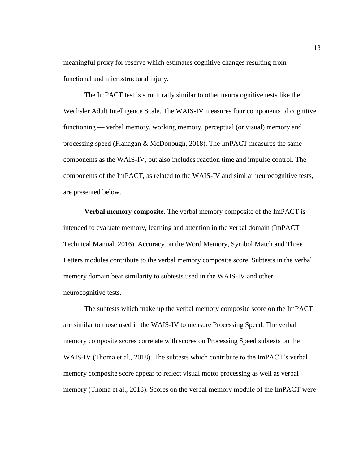meaningful proxy for reserve which estimates cognitive changes resulting from functional and microstructural injury.

The ImPACT test is structurally similar to other neurocognitive tests like the Wechsler Adult Intelligence Scale. The WAIS-IV measures four components of cognitive functioning — verbal memory, working memory, perceptual (or visual) memory and processing speed (Flanagan & McDonough, 2018). The ImPACT measures the same components as the WAIS-IV, but also includes reaction time and impulse control. The components of the ImPACT, as related to the WAIS-IV and similar neurocognitive tests, are presented below.

<span id="page-22-0"></span>**Verbal memory composite**. The verbal memory composite of the ImPACT is intended to evaluate memory, learning and attention in the verbal domain (ImPACT Technical Manual, 2016). Accuracy on the Word Memory, Symbol Match and Three Letters modules contribute to the verbal memory composite score. Subtests in the verbal memory domain bear similarity to subtests used in the WAIS-IV and other neurocognitive tests.

The subtests which make up the verbal memory composite score on the ImPACT are similar to those used in the WAIS-IV to measure Processing Speed. The verbal memory composite scores correlate with scores on Processing Speed subtests on the WAIS-IV (Thoma et al., 2018). The subtests which contribute to the ImPACT's verbal memory composite score appear to reflect visual motor processing as well as verbal memory (Thoma et al., 2018). Scores on the verbal memory module of the ImPACT were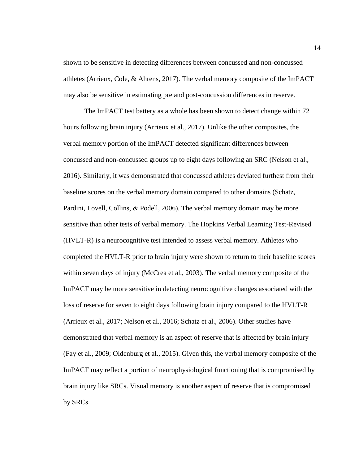shown to be sensitive in detecting differences between concussed and non-concussed athletes (Arrieux, Cole, & Ahrens, 2017). The verbal memory composite of the ImPACT may also be sensitive in estimating pre and post-concussion differences in reserve.

The ImPACT test battery as a whole has been shown to detect change within 72 hours following brain injury (Arrieux et al., 2017). Unlike the other composites, the verbal memory portion of the ImPACT detected significant differences between concussed and non-concussed groups up to eight days following an SRC (Nelson et al., 2016). Similarly, it was demonstrated that concussed athletes deviated furthest from their baseline scores on the verbal memory domain compared to other domains (Schatz, Pardini, Lovell, Collins, & Podell, 2006). The verbal memory domain may be more sensitive than other tests of verbal memory. The Hopkins Verbal Learning Test-Revised (HVLT-R) is a neurocognitive test intended to assess verbal memory. Athletes who completed the HVLT-R prior to brain injury were shown to return to their baseline scores within seven days of injury (McCrea et al., 2003). The verbal memory composite of the ImPACT may be more sensitive in detecting neurocognitive changes associated with the loss of reserve for seven to eight days following brain injury compared to the HVLT-R (Arrieux et al., 2017; Nelson et al., 2016; Schatz et al., 2006). Other studies have demonstrated that verbal memory is an aspect of reserve that is affected by brain injury (Fay et al., 2009; Oldenburg et al., 2015). Given this, the verbal memory composite of the ImPACT may reflect a portion of neurophysiological functioning that is compromised by brain injury like SRCs. Visual memory is another aspect of reserve that is compromised by SRCs.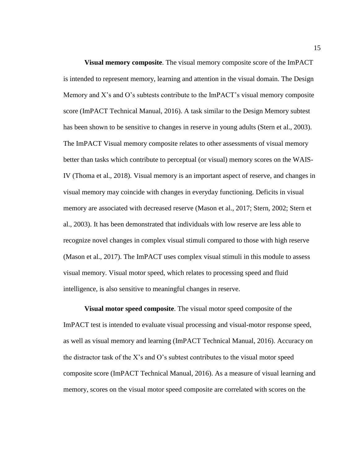<span id="page-24-0"></span>**Visual memory composite**. The visual memory composite score of the ImPACT is intended to represent memory, learning and attention in the visual domain. The Design Memory and X's and O's subtests contribute to the ImPACT's visual memory composite score (ImPACT Technical Manual, 2016). A task similar to the Design Memory subtest has been shown to be sensitive to changes in reserve in young adults (Stern et al., 2003). The ImPACT Visual memory composite relates to other assessments of visual memory better than tasks which contribute to perceptual (or visual) memory scores on the WAIS-IV (Thoma et al., 2018). Visual memory is an important aspect of reserve, and changes in visual memory may coincide with changes in everyday functioning. Deficits in visual memory are associated with decreased reserve (Mason et al., 2017; Stern, 2002; Stern et al., 2003). It has been demonstrated that individuals with low reserve are less able to recognize novel changes in complex visual stimuli compared to those with high reserve (Mason et al., 2017). The ImPACT uses complex visual stimuli in this module to assess visual memory. Visual motor speed, which relates to processing speed and fluid intelligence, is also sensitive to meaningful changes in reserve.

<span id="page-24-1"></span>**Visual motor speed composite**. The visual motor speed composite of the ImPACT test is intended to evaluate visual processing and visual-motor response speed, as well as visual memory and learning (ImPACT Technical Manual, 2016). Accuracy on the distractor task of the X's and O's subtest contributes to the visual motor speed composite score (ImPACT Technical Manual, 2016). As a measure of visual learning and memory, scores on the visual motor speed composite are correlated with scores on the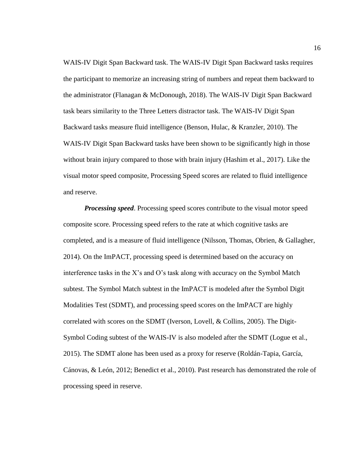WAIS-IV Digit Span Backward task. The WAIS-IV Digit Span Backward tasks requires the participant to memorize an increasing string of numbers and repeat them backward to the administrator (Flanagan & McDonough, 2018). The WAIS-IV Digit Span Backward task bears similarity to the Three Letters distractor task. The WAIS-IV Digit Span Backward tasks measure fluid intelligence (Benson, Hulac, & Kranzler, 2010). The WAIS-IV Digit Span Backward tasks have been shown to be significantly high in those without brain injury compared to those with brain injury (Hashim et al., 2017). Like the visual motor speed composite, Processing Speed scores are related to fluid intelligence and reserve.

<span id="page-25-0"></span>*Processing speed*. Processing speed scores contribute to the visual motor speed composite score. Processing speed refers to the rate at which cognitive tasks are completed, and is a measure of fluid intelligence (Nilsson, Thomas, Obrien, & Gallagher, 2014). On the ImPACT, processing speed is determined based on the accuracy on interference tasks in the X's and O's task along with accuracy on the Symbol Match subtest. The Symbol Match subtest in the ImPACT is modeled after the Symbol Digit Modalities Test (SDMT), and processing speed scores on the ImPACT are highly correlated with scores on the SDMT (Iverson, Lovell, & Collins, 2005). The Digit-Symbol Coding subtest of the WAIS-IV is also modeled after the SDMT (Logue et al., 2015). The SDMT alone has been used as a proxy for reserve (Roldán-Tapia, García, Cánovas, & León, 2012; Benedict et al., 2010). Past research has demonstrated the role of processing speed in reserve.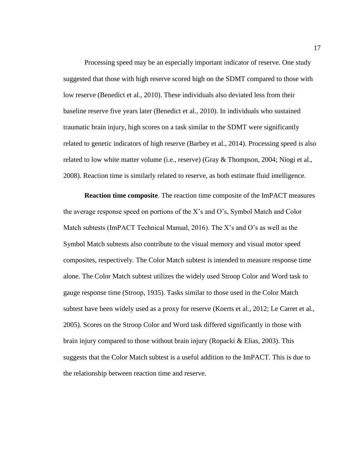Processing speed may be an especially important indicator of reserve. One study suggested that those with high reserve scored high on the SDMT compared to those with low reserve (Benedict et al., 2010). These individuals also deviated less from their baseline reserve five years later (Benedict et al., 2010). In individuals who sustained traumatic brain injury, high scores on a task similar to the SDMT were significantly related to genetic indicators of high reserve (Barbey et al., 2014). Processing speed is also related to low white matter volume (i.e., reserve) (Gray & Thompson, 2004; Niogi et al., 2008). Reaction time is similarly related to reserve, as both estimate fluid intelligence.

<span id="page-26-0"></span>**Reaction time composite**. The reaction time composite of the ImPACT measures the average response speed on portions of the X's and O's, Symbol Match and Color Match subtests (ImPACT Technical Manual, 2016). The X's and O's as well as the Symbol Match subtests also contribute to the visual memory and visual motor speed composites, respectively. The Color Match subtest is intended to measure response time alone. The Color Match subtest utilizes the widely used Stroop Color and Word task to gauge response time (Stroop, 1935). Tasks similar to those used in the Color Match subtest have been widely used as a proxy for reserve (Koerts et al., 2012; Le Carret et al., 2005). Scores on the Stroop Color and Word task differed significantly in those with brain injury compared to those without brain injury (Ropacki  $\&$  Elias, 2003). This suggests that the Color Match subtest is a useful addition to the ImPACT. This is due to the relationship between reaction time and reserve.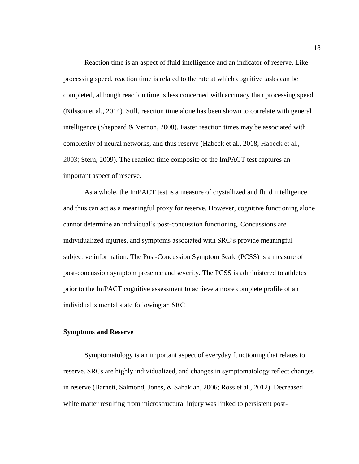Reaction time is an aspect of fluid intelligence and an indicator of reserve. Like processing speed, reaction time is related to the rate at which cognitive tasks can be completed, although reaction time is less concerned with accuracy than processing speed (Nilsson et al., 2014). Still, reaction time alone has been shown to correlate with general intelligence (Sheppard & Vernon, 2008). Faster reaction times may be associated with complexity of neural networks, and thus reserve (Habeck et al., 2018; Habeck et al., 2003; Stern, 2009). The reaction time composite of the ImPACT test captures an important aspect of reserve.

As a whole, the ImPACT test is a measure of crystallized and fluid intelligence and thus can act as a meaningful proxy for reserve. However, cognitive functioning alone cannot determine an individual's post-concussion functioning. Concussions are individualized injuries, and symptoms associated with SRC's provide meaningful subjective information. The Post-Concussion Symptom Scale (PCSS) is a measure of post-concussion symptom presence and severity. The PCSS is administered to athletes prior to the ImPACT cognitive assessment to achieve a more complete profile of an individual's mental state following an SRC.

#### <span id="page-27-0"></span>**Symptoms and Reserve**

Symptomatology is an important aspect of everyday functioning that relates to reserve. SRCs are highly individualized, and changes in symptomatology reflect changes in reserve (Barnett, Salmond, Jones, & Sahakian, 2006; Ross et al., 2012). Decreased white matter resulting from microstructural injury was linked to persistent post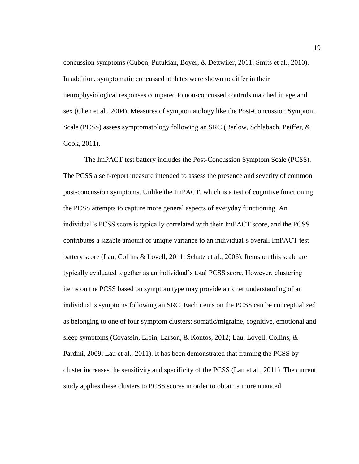concussion symptoms (Cubon, Putukian, Boyer, & Dettwiler, 2011; Smits et al., 2010). In addition, symptomatic concussed athletes were shown to differ in their neurophysiological responses compared to non-concussed controls matched in age and sex (Chen et al., 2004). Measures of symptomatology like the Post-Concussion Symptom Scale (PCSS) assess symptomatology following an SRC (Barlow, Schlabach, Peiffer, & Cook, 2011).

The ImPACT test battery includes the Post-Concussion Symptom Scale (PCSS). The PCSS a self-report measure intended to assess the presence and severity of common post-concussion symptoms. Unlike the ImPACT, which is a test of cognitive functioning, the PCSS attempts to capture more general aspects of everyday functioning. An individual's PCSS score is typically correlated with their ImPACT score, and the PCSS contributes a sizable amount of unique variance to an individual's overall ImPACT test battery score (Lau, Collins & Lovell, 2011; Schatz et al., 2006). Items on this scale are typically evaluated together as an individual's total PCSS score. However, clustering items on the PCSS based on symptom type may provide a richer understanding of an individual's symptoms following an SRC. Each items on the PCSS can be conceptualized as belonging to one of four symptom clusters: somatic/migraine, cognitive, emotional and sleep symptoms (Covassin, Elbin, Larson, & Kontos, 2012; Lau, Lovell, Collins, & Pardini, 2009; Lau et al., 2011). It has been demonstrated that framing the PCSS by cluster increases the sensitivity and specificity of the PCSS (Lau et al., 2011). The current study applies these clusters to PCSS scores in order to obtain a more nuanced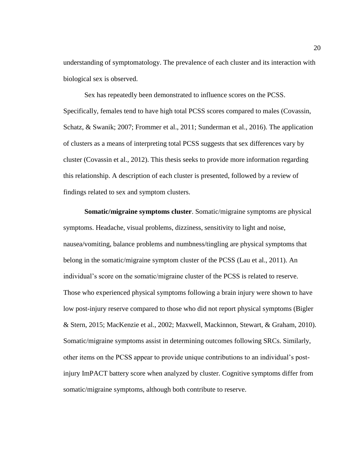understanding of symptomatology. The prevalence of each cluster and its interaction with biological sex is observed.

Sex has repeatedly been demonstrated to influence scores on the PCSS. Specifically, females tend to have high total PCSS scores compared to males (Covassin, Schatz, & Swanik; 2007; Frommer et al., 2011; Sunderman et al., 2016). The application of clusters as a means of interpreting total PCSS suggests that sex differences vary by cluster (Covassin et al., 2012). This thesis seeks to provide more information regarding this relationship. A description of each cluster is presented, followed by a review of findings related to sex and symptom clusters.

<span id="page-29-0"></span>**Somatic/migraine symptoms cluster**. Somatic/migraine symptoms are physical symptoms. Headache, visual problems, dizziness, sensitivity to light and noise, nausea/vomiting, balance problems and numbness/tingling are physical symptoms that belong in the somatic/migraine symptom cluster of the PCSS (Lau et al., 2011). An individual's score on the somatic/migraine cluster of the PCSS is related to reserve. Those who experienced physical symptoms following a brain injury were shown to have low post-injury reserve compared to those who did not report physical symptoms (Bigler & Stern, 2015; MacKenzie et al., 2002; Maxwell, Mackinnon, Stewart, & Graham, 2010). Somatic/migraine symptoms assist in determining outcomes following SRCs. Similarly, other items on the PCSS appear to provide unique contributions to an individual's postinjury ImPACT battery score when analyzed by cluster. Cognitive symptoms differ from somatic/migraine symptoms, although both contribute to reserve.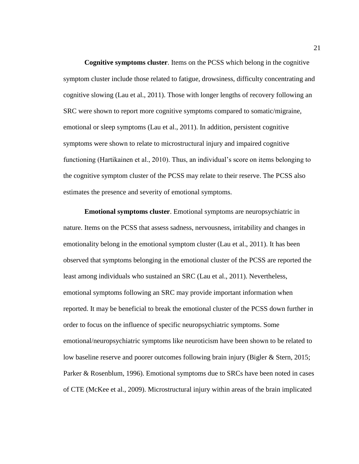<span id="page-30-0"></span>**Cognitive symptoms cluster**. Items on the PCSS which belong in the cognitive symptom cluster include those related to fatigue, drowsiness, difficulty concentrating and cognitive slowing (Lau et al., 2011). Those with longer lengths of recovery following an SRC were shown to report more cognitive symptoms compared to somatic/migraine, emotional or sleep symptoms (Lau et al., 2011). In addition, persistent cognitive symptoms were shown to relate to microstructural injury and impaired cognitive functioning (Hartikainen et al., 2010). Thus, an individual's score on items belonging to the cognitive symptom cluster of the PCSS may relate to their reserve. The PCSS also estimates the presence and severity of emotional symptoms.

<span id="page-30-1"></span>**Emotional symptoms cluster**. Emotional symptoms are neuropsychiatric in nature. Items on the PCSS that assess sadness, nervousness, irritability and changes in emotionality belong in the emotional symptom cluster (Lau et al., 2011). It has been observed that symptoms belonging in the emotional cluster of the PCSS are reported the least among individuals who sustained an SRC (Lau et al., 2011). Nevertheless, emotional symptoms following an SRC may provide important information when reported. It may be beneficial to break the emotional cluster of the PCSS down further in order to focus on the influence of specific neuropsychiatric symptoms. Some emotional/neuropsychiatric symptoms like neuroticism have been shown to be related to low baseline reserve and poorer outcomes following brain injury (Bigler & Stern, 2015; Parker & Rosenblum, 1996). Emotional symptoms due to SRCs have been noted in cases of CTE (McKee et al., 2009). Microstructural injury within areas of the brain implicated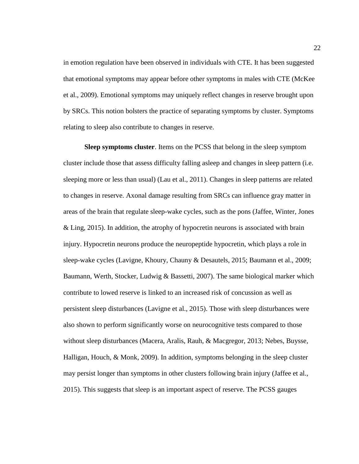in emotion regulation have been observed in individuals with CTE. It has been suggested that emotional symptoms may appear before other symptoms in males with CTE (McKee et al., 2009). Emotional symptoms may uniquely reflect changes in reserve brought upon by SRCs. This notion bolsters the practice of separating symptoms by cluster. Symptoms relating to sleep also contribute to changes in reserve.

<span id="page-31-0"></span>**Sleep symptoms cluster**. Items on the PCSS that belong in the sleep symptom cluster include those that assess difficulty falling asleep and changes in sleep pattern (i.e. sleeping more or less than usual) (Lau et al., 2011). Changes in sleep patterns are related to changes in reserve. Axonal damage resulting from SRCs can influence gray matter in areas of the brain that regulate sleep-wake cycles, such as the pons (Jaffee, Winter, Jones & Ling, 2015). In addition, the atrophy of hypocretin neurons is associated with brain injury. Hypocretin neurons produce the neuropeptide hypocretin, which plays a role in sleep-wake cycles (Lavigne, Khoury, Chauny & Desautels, 2015; Baumann et al., 2009; Baumann, Werth, Stocker, Ludwig & Bassetti, 2007). The same biological marker which contribute to lowed reserve is linked to an increased risk of concussion as well as persistent sleep disturbances (Lavigne et al., 2015). Those with sleep disturbances were also shown to perform significantly worse on neurocognitive tests compared to those without sleep disturbances (Macera, Aralis, Rauh, & Macgregor, 2013; Nebes, Buysse, Halligan, Houch, & Monk, 2009). In addition, symptoms belonging in the sleep cluster may persist longer than symptoms in other clusters following brain injury (Jaffee et al., 2015). This suggests that sleep is an important aspect of reserve. The PCSS gauges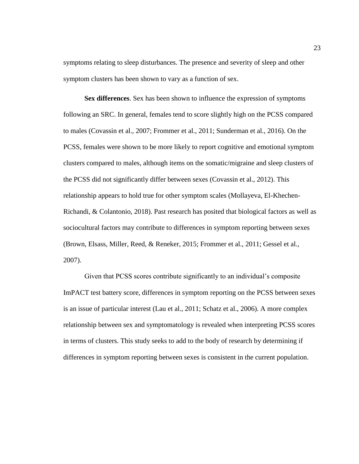symptoms relating to sleep disturbances. The presence and severity of sleep and other symptom clusters has been shown to vary as a function of sex.

<span id="page-32-0"></span>**Sex differences**. Sex has been shown to influence the expression of symptoms following an SRC. In general, females tend to score slightly high on the PCSS compared to males (Covassin et al., 2007; Frommer et al., 2011; Sunderman et al., 2016). On the PCSS, females were shown to be more likely to report cognitive and emotional symptom clusters compared to males, although items on the somatic/migraine and sleep clusters of the PCSS did not significantly differ between sexes (Covassin et al., 2012). This relationship appears to hold true for other symptom scales (Mollayeva, El-Khechen-Richandi, & Colantonio, 2018). Past research has posited that biological factors as well as sociocultural factors may contribute to differences in symptom reporting between sexes (Brown, Elsass, Miller, Reed, & Reneker, 2015; Frommer et al., 2011; Gessel et al., 2007).

Given that PCSS scores contribute significantly to an individual's composite ImPACT test battery score, differences in symptom reporting on the PCSS between sexes is an issue of particular interest (Lau et al., 2011; Schatz et al., 2006). A more complex relationship between sex and symptomatology is revealed when interpreting PCSS scores in terms of clusters. This study seeks to add to the body of research by determining if differences in symptom reporting between sexes is consistent in the current population.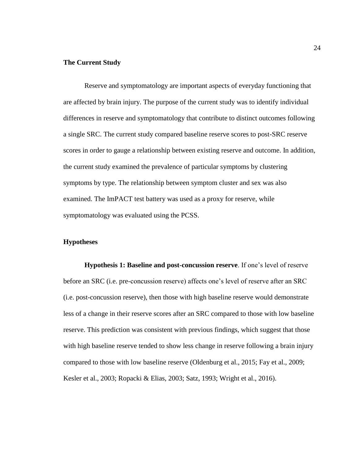#### <span id="page-33-0"></span>**The Current Study**

Reserve and symptomatology are important aspects of everyday functioning that are affected by brain injury. The purpose of the current study was to identify individual differences in reserve and symptomatology that contribute to distinct outcomes following a single SRC. The current study compared baseline reserve scores to post-SRC reserve scores in order to gauge a relationship between existing reserve and outcome. In addition, the current study examined the prevalence of particular symptoms by clustering symptoms by type. The relationship between symptom cluster and sex was also examined. The ImPACT test battery was used as a proxy for reserve, while symptomatology was evaluated using the PCSS.

#### <span id="page-33-1"></span>**Hypotheses**

<span id="page-33-2"></span>**Hypothesis 1: Baseline and post-concussion reserve**. If one's level of reserve before an SRC (i.e. pre-concussion reserve) affects one's level of reserve after an SRC (i.e. post-concussion reserve), then those with high baseline reserve would demonstrate less of a change in their reserve scores after an SRC compared to those with low baseline reserve. This prediction was consistent with previous findings, which suggest that those with high baseline reserve tended to show less change in reserve following a brain injury compared to those with low baseline reserve (Oldenburg et al., 2015; Fay et al., 2009; Kesler et al., 2003; Ropacki & Elias, 2003; Satz, 1993; Wright et al., 2016).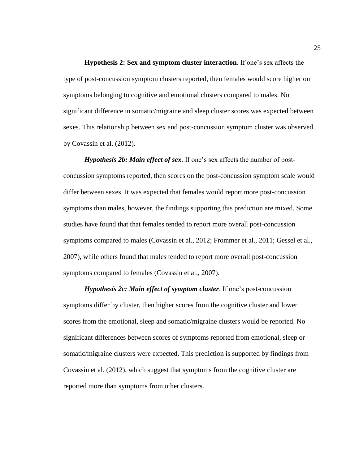<span id="page-34-0"></span>**Hypothesis 2: Sex and symptom cluster interaction**. If one's sex affects the type of post-concussion symptom clusters reported, then females would score higher on symptoms belonging to cognitive and emotional clusters compared to males. No significant difference in somatic/migraine and sleep cluster scores was expected between sexes. This relationship between sex and post-concussion symptom cluster was observed by Covassin et al. (2012).

<span id="page-34-1"></span>*Hypothesis 2b: Main effect of sex*. If one's sex affects the number of postconcussion symptoms reported, then scores on the post-concussion symptom scale would differ between sexes. It was expected that females would report more post-concussion symptoms than males, however, the findings supporting this prediction are mixed. Some studies have found that that females tended to report more overall post-concussion symptoms compared to males (Covassin et al., 2012; Frommer et al., 2011; Gessel et al., 2007), while others found that males tended to report more overall post-concussion symptoms compared to females (Covassin et al., 2007).

<span id="page-34-2"></span>*Hypothesis 2c: Main effect of symptom cluster*. If one's post-concussion symptoms differ by cluster, then higher scores from the cognitive cluster and lower scores from the emotional, sleep and somatic/migraine clusters would be reported. No significant differences between scores of symptoms reported from emotional, sleep or somatic/migraine clusters were expected. This prediction is supported by findings from Covassin et al. (2012), which suggest that symptoms from the cognitive cluster are reported more than symptoms from other clusters.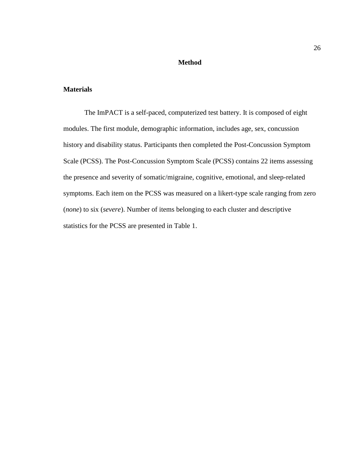#### **Method**

### <span id="page-35-1"></span><span id="page-35-0"></span>**Materials**

The ImPACT is a self-paced, computerized test battery. It is composed of eight modules. The first module, demographic information, includes age, sex, concussion history and disability status. Participants then completed the Post-Concussion Symptom Scale (PCSS). The Post-Concussion Symptom Scale (PCSS) contains 22 items assessing the presence and severity of somatic/migraine, cognitive, emotional, and sleep-related symptoms. Each item on the PCSS was measured on a likert-type scale ranging from zero (*none*) to six (*severe*). Number of items belonging to each cluster and descriptive statistics for the PCSS are presented in Table 1.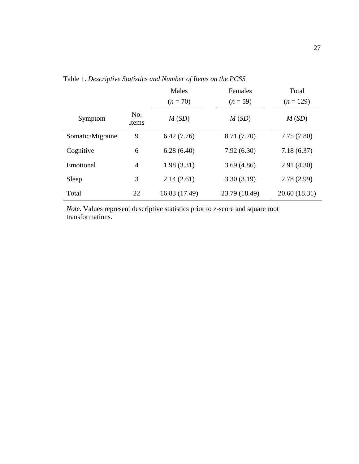|                  |                | Males         | Females       | Total         |
|------------------|----------------|---------------|---------------|---------------|
|                  |                | $(n = 70)$    | $(n=59)$      | $(n = 129)$   |
| Symptom          | No.<br>Items   | M(SD)         | M(SD)         | M(SD)         |
| Somatic/Migraine | 9              | 6.42(7.76)    | 8.71 (7.70)   | 7.75(7.80)    |
| Cognitive        | 6              | 6.28(6.40)    | 7.92(6.30)    | 7.18(6.37)    |
| Emotional        | $\overline{4}$ | 1.98(3.31)    | 3.69(4.86)    | 2.91(4.30)    |
| Sleep            | 3              | 2.14(2.61)    | 3.30(3.19)    | 2.78(2.99)    |
| Total            | 22             | 16.83 (17.49) | 23.79 (18.49) | 20.60 (18.31) |

Table 1. *Descriptive Statistics and Number of Items on the PCSS*

*Note.* Values represent descriptive statistics prior to z-score and square root transformations.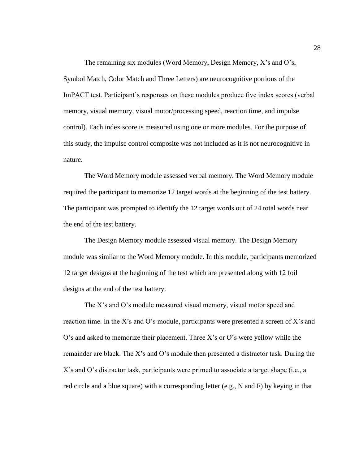The remaining six modules (Word Memory, Design Memory, X's and O's, Symbol Match, Color Match and Three Letters) are neurocognitive portions of the ImPACT test. Participant's responses on these modules produce five index scores (verbal memory, visual memory, visual motor/processing speed, reaction time, and impulse control). Each index score is measured using one or more modules. For the purpose of this study, the impulse control composite was not included as it is not neurocognitive in nature.

The Word Memory module assessed verbal memory. The Word Memory module required the participant to memorize 12 target words at the beginning of the test battery. The participant was prompted to identify the 12 target words out of 24 total words near the end of the test battery.

The Design Memory module assessed visual memory. The Design Memory module was similar to the Word Memory module. In this module, participants memorized 12 target designs at the beginning of the test which are presented along with 12 foil designs at the end of the test battery.

The X's and O's module measured visual memory, visual motor speed and reaction time. In the X's and O's module, participants were presented a screen of X's and O's and asked to memorize their placement. Three X's or O's were yellow while the remainder are black. The X's and O's module then presented a distractor task. During the X's and O's distractor task, participants were primed to associate a target shape (i.e., a red circle and a blue square) with a corresponding letter (e.g., N and F) by keying in that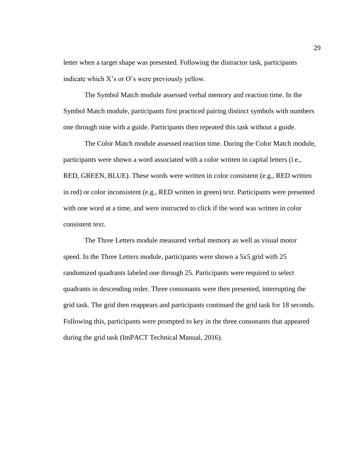letter when a target shape was presented. Following the distractor task, participants indicate which X's or O's were previously yellow.

The Symbol Match module assessed verbal memory and reaction time. In the Symbol Match module, participants first practiced pairing distinct symbols with numbers one through nine with a guide. Participants then repeated this task without a guide.

The Color Match module assessed reaction time. During the Color Match module, participants were shown a word associated with a color written in capital letters (i.e., RED, GREEN, BLUE). These words were written in color consistent (e.g., RED written in red) or color inconsistent (e.g., RED written in green) text. Participants were presented with one word at a time, and were instructed to click if the word was written in color consistent text.

The Three Letters module measured verbal memory as well as visual motor speed. In the Three Letters module, participants were shown a 5x5 grid with 25 randomized quadrants labeled one through 25. Participants were required to select quadrants in descending order. Three consonants were then presented, interrupting the grid task. The grid then reappears and participants continued the grid task for 18 seconds. Following this, participants were prompted to key in the three consonants that appeared during the grid task (ImPACT Technical Manual, 2016).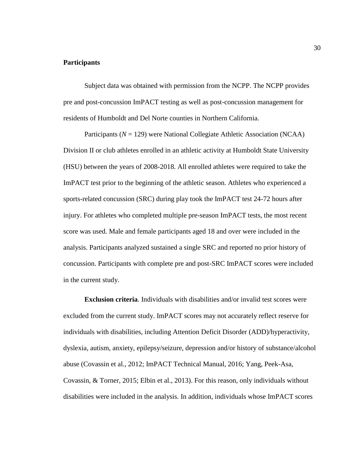# **Participants**

Subject data was obtained with permission from the NCPP. The NCPP provides pre and post-concussion ImPACT testing as well as post-concussion management for residents of Humboldt and Del Norte counties in Northern California.

Participants (*N* = 129) were National Collegiate Athletic Association (NCAA) Division II or club athletes enrolled in an athletic activity at Humboldt State University (HSU) between the years of 2008-2018. All enrolled athletes were required to take the ImPACT test prior to the beginning of the athletic season. Athletes who experienced a sports-related concussion (SRC) during play took the ImPACT test 24-72 hours after injury. For athletes who completed multiple pre-season ImPACT tests, the most recent score was used. Male and female participants aged 18 and over were included in the analysis. Participants analyzed sustained a single SRC and reported no prior history of concussion. Participants with complete pre and post-SRC ImPACT scores were included in the current study.

**Exclusion criteria**. Individuals with disabilities and/or invalid test scores were excluded from the current study. ImPACT scores may not accurately reflect reserve for individuals with disabilities, including Attention Deficit Disorder (ADD)/hyperactivity, dyslexia, autism, anxiety, epilepsy/seizure, depression and/or history of substance/alcohol abuse (Covassin et al., 2012; ImPACT Technical Manual, 2016; Yang, Peek-Asa, Covassin, & Torner, 2015; Elbin et al., 2013). For this reason, only individuals without disabilities were included in the analysis. In addition, individuals whose ImPACT scores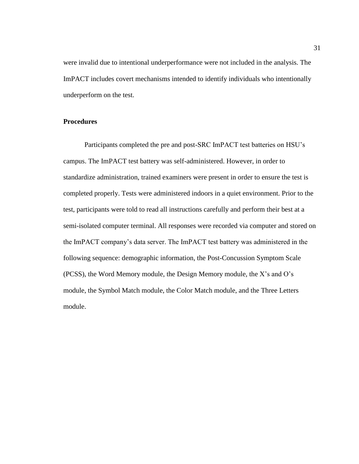were invalid due to intentional underperformance were not included in the analysis. The ImPACT includes covert mechanisms intended to identify individuals who intentionally underperform on the test.

# **Procedures**

Participants completed the pre and post-SRC ImPACT test batteries on HSU's campus. The ImPACT test battery was self-administered. However, in order to standardize administration, trained examiners were present in order to ensure the test is completed properly. Tests were administered indoors in a quiet environment. Prior to the test, participants were told to read all instructions carefully and perform their best at a semi-isolated computer terminal. All responses were recorded via computer and stored on the ImPACT company's data server. The ImPACT test battery was administered in the following sequence: demographic information, the Post-Concussion Symptom Scale (PCSS), the Word Memory module, the Design Memory module, the X's and O's module, the Symbol Match module, the Color Match module, and the Three Letters module.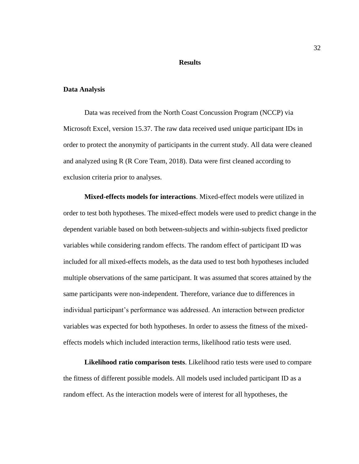# **Results**

#### **Data Analysis**

Data was received from the North Coast Concussion Program (NCCP) via Microsoft Excel, version 15.37. The raw data received used unique participant IDs in order to protect the anonymity of participants in the current study. All data were cleaned and analyzed using R (R Core Team, 2018). Data were first cleaned according to exclusion criteria prior to analyses.

**Mixed-effects models for interactions**. Mixed-effect models were utilized in order to test both hypotheses. The mixed-effect models were used to predict change in the dependent variable based on both between-subjects and within-subjects fixed predictor variables while considering random effects. The random effect of participant ID was included for all mixed-effects models, as the data used to test both hypotheses included multiple observations of the same participant. It was assumed that scores attained by the same participants were non-independent. Therefore, variance due to differences in individual participant's performance was addressed. An interaction between predictor variables was expected for both hypotheses. In order to assess the fitness of the mixedeffects models which included interaction terms, likelihood ratio tests were used.

**Likelihood ratio comparison tests**. Likelihood ratio tests were used to compare the fitness of different possible models. All models used included participant ID as a random effect. As the interaction models were of interest for all hypotheses, the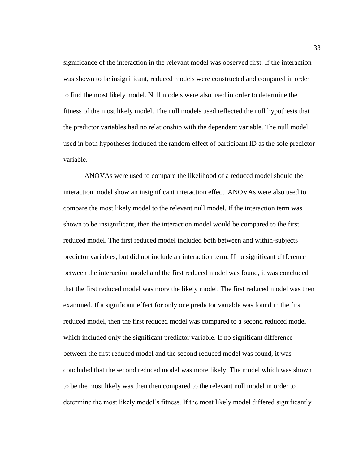significance of the interaction in the relevant model was observed first. If the interaction was shown to be insignificant, reduced models were constructed and compared in order to find the most likely model. Null models were also used in order to determine the fitness of the most likely model. The null models used reflected the null hypothesis that the predictor variables had no relationship with the dependent variable. The null model used in both hypotheses included the random effect of participant ID as the sole predictor variable.

ANOVAs were used to compare the likelihood of a reduced model should the interaction model show an insignificant interaction effect. ANOVAs were also used to compare the most likely model to the relevant null model. If the interaction term was shown to be insignificant, then the interaction model would be compared to the first reduced model. The first reduced model included both between and within-subjects predictor variables, but did not include an interaction term. If no significant difference between the interaction model and the first reduced model was found, it was concluded that the first reduced model was more the likely model. The first reduced model was then examined. If a significant effect for only one predictor variable was found in the first reduced model, then the first reduced model was compared to a second reduced model which included only the significant predictor variable. If no significant difference between the first reduced model and the second reduced model was found, it was concluded that the second reduced model was more likely. The model which was shown to be the most likely was then then compared to the relevant null model in order to determine the most likely model's fitness. If the most likely model differed significantly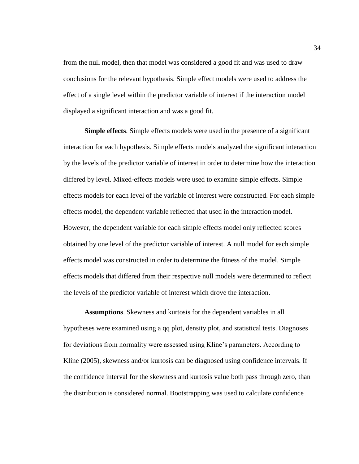from the null model, then that model was considered a good fit and was used to draw conclusions for the relevant hypothesis. Simple effect models were used to address the effect of a single level within the predictor variable of interest if the interaction model displayed a significant interaction and was a good fit.

**Simple effects**. Simple effects models were used in the presence of a significant interaction for each hypothesis. Simple effects models analyzed the significant interaction by the levels of the predictor variable of interest in order to determine how the interaction differed by level. Mixed-effects models were used to examine simple effects. Simple effects models for each level of the variable of interest were constructed. For each simple effects model, the dependent variable reflected that used in the interaction model. However, the dependent variable for each simple effects model only reflected scores obtained by one level of the predictor variable of interest. A null model for each simple effects model was constructed in order to determine the fitness of the model. Simple effects models that differed from their respective null models were determined to reflect the levels of the predictor variable of interest which drove the interaction.

**Assumptions**. Skewness and kurtosis for the dependent variables in all hypotheses were examined using a qq plot, density plot, and statistical tests. Diagnoses for deviations from normality were assessed using Kline's parameters. According to Kline (2005), skewness and/or kurtosis can be diagnosed using confidence intervals. If the confidence interval for the skewness and kurtosis value both pass through zero, than the distribution is considered normal. Bootstrapping was used to calculate confidence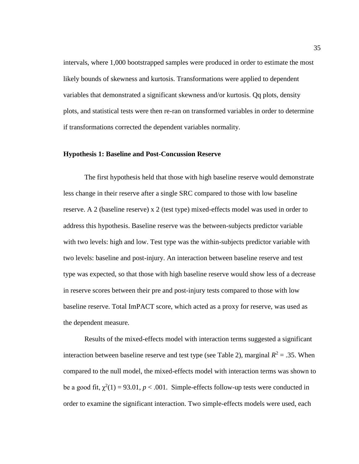intervals, where 1,000 bootstrapped samples were produced in order to estimate the most likely bounds of skewness and kurtosis. Transformations were applied to dependent variables that demonstrated a significant skewness and/or kurtosis. Qq plots, density plots, and statistical tests were then re-ran on transformed variables in order to determine if transformations corrected the dependent variables normality.

# **Hypothesis 1: Baseline and Post-Concussion Reserve**

The first hypothesis held that those with high baseline reserve would demonstrate less change in their reserve after a single SRC compared to those with low baseline reserve. A 2 (baseline reserve) x 2 (test type) mixed-effects model was used in order to address this hypothesis. Baseline reserve was the between-subjects predictor variable with two levels: high and low. Test type was the within-subjects predictor variable with two levels: baseline and post-injury. An interaction between baseline reserve and test type was expected, so that those with high baseline reserve would show less of a decrease in reserve scores between their pre and post-injury tests compared to those with low baseline reserve. Total ImPACT score, which acted as a proxy for reserve, was used as the dependent measure.

Results of the mixed-effects model with interaction terms suggested a significant interaction between baseline reserve and test type (see Table 2), marginal  $R^2 = .35$ . When compared to the null model, the mixed-effects model with interaction terms was shown to be a good fit,  $\chi^2(1) = 93.01$ ,  $p < .001$ . Simple-effects follow-up tests were conducted in order to examine the significant interaction. Two simple-effects models were used, each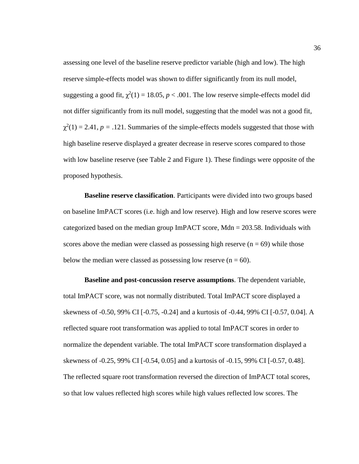assessing one level of the baseline reserve predictor variable (high and low). The high reserve simple-effects model was shown to differ significantly from its null model, suggesting a good fit,  $\chi^2(1) = 18.05$ ,  $p < .001$ . The low reserve simple-effects model did not differ significantly from its null model, suggesting that the model was not a good fit,  $\chi^2(1) = 2.41$ ,  $p = .121$ . Summaries of the simple-effects models suggested that those with high baseline reserve displayed a greater decrease in reserve scores compared to those with low baseline reserve (see Table 2 and Figure 1). These findings were opposite of the proposed hypothesis.

**Baseline reserve classification**. Participants were divided into two groups based on baseline ImPACT scores (i.e. high and low reserve). High and low reserve scores were categorized based on the median group  $ImPACT$  score, Mdn = 203.58. Individuals with scores above the median were classed as possessing high reserve  $(n = 69)$  while those below the median were classed as possessing low reserve  $(n = 60)$ .

**Baseline and post-concussion reserve assumptions**. The dependent variable, total ImPACT score, was not normally distributed. Total ImPACT score displayed a skewness of -0.50, 99% CI [-0.75, -0.24] and a kurtosis of -0.44, 99% CI [-0.57, 0.04]. A reflected square root transformation was applied to total ImPACT scores in order to normalize the dependent variable. The total ImPACT score transformation displayed a skewness of -0.25, 99% CI [-0.54, 0.05] and a kurtosis of -0.15, 99% CI [-0.57, 0.48]. The reflected square root transformation reversed the direction of ImPACT total scores, so that low values reflected high scores while high values reflected low scores. The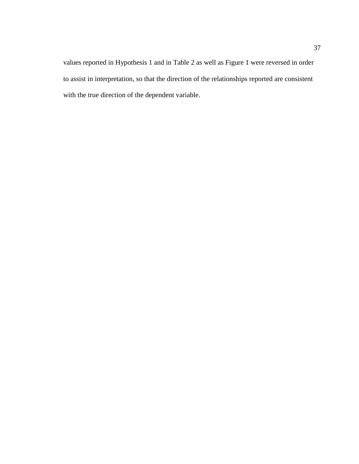values reported in Hypothesis 1 and in Table 2 as well as Figure 1 were reversed in order to assist in interpretation, so that the direction of the relationships reported are consistent with the true direction of the dependent variable.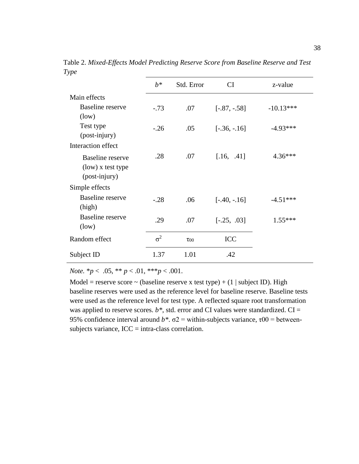|                                                               | $h^*$      | Std. Error  | <b>CI</b>      | z-value     |
|---------------------------------------------------------------|------------|-------------|----------------|-------------|
| Main effects                                                  |            |             |                |             |
| <b>Baseline</b> reserve<br>(low)                              | $-.73$     | .07         | $[-.87, -.58]$ | $-10.13***$ |
| Test type<br>(post-injury)                                    | $-.26$     | .05         | $[-.36, -.16]$ | $-4.93***$  |
| Interaction effect                                            |            |             |                |             |
| <b>Baseline</b> reserve<br>(low) x test type<br>(post-injury) | .28        | .07         | [.16, .41]     | $4.36***$   |
| Simple effects                                                |            |             |                |             |
| <b>Baseline</b> reserve<br>(high)                             | $-.28$     | .06         | $[-.40, -.16]$ | $-4.51***$  |
| <b>Baseline</b> reserve<br>(low)                              | .29        | .07         | $[-.25, .03]$  | $1.55***$   |
| Random effect                                                 | $\sigma^2$ | $\tau_{00}$ | <b>ICC</b>     |             |
| Subject ID                                                    | 1.37       | 1.01        | .42            |             |

Table 2. *Mixed-Effects Model Predicting Reserve Score from Baseline Reserve and Test Type*

*Note.* \**p* < .05, \*\* *p* < .01, \*\*\**p* < .001.

Model = reserve score  $\sim$  (baseline reserve x test type) + (1 | subject ID). High baseline reserves were used as the reference level for baseline reserve. Baseline tests were used as the reference level for test type. A reflected square root transformation was applied to reserve scores.  $b^*$ , std. error and CI values were standardized.  $CI =$ 95% confidence interval around  $b^*$ .  $\sigma^2$  = within-subjects variance,  $\tau$ 00 = betweensubjects variance,  $ICC = intra-class correlation$ .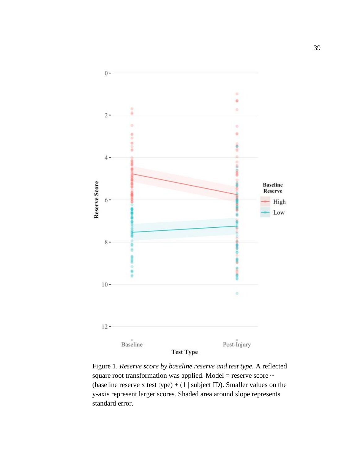

Figure 1. *Reserve score by baseline reserve and test type.* A reflected square root transformation was applied. Model = reserve score ~ (baseline reserve x test type) +  $(1 \mid subject ID)$ . Smaller values on the y-axis represent larger scores. Shaded area around slope represents standard error.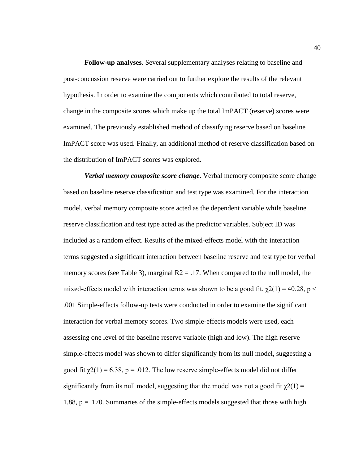**Follow-up analyses**. Several supplementary analyses relating to baseline and post-concussion reserve were carried out to further explore the results of the relevant hypothesis. In order to examine the components which contributed to total reserve, change in the composite scores which make up the total ImPACT (reserve) scores were examined. The previously established method of classifying reserve based on baseline ImPACT score was used. Finally, an additional method of reserve classification based on the distribution of ImPACT scores was explored.

*Verbal memory composite score change*. Verbal memory composite score change based on baseline reserve classification and test type was examined. For the interaction model, verbal memory composite score acted as the dependent variable while baseline reserve classification and test type acted as the predictor variables. Subject ID was included as a random effect. Results of the mixed-effects model with the interaction terms suggested a significant interaction between baseline reserve and test type for verbal memory scores (see Table 3), marginal  $R2 = 0.17$ . When compared to the null model, the mixed-effects model with interaction terms was shown to be a good fit,  $\chi$ 2(1) = 40.28, p < .001 Simple-effects follow-up tests were conducted in order to examine the significant interaction for verbal memory scores. Two simple-effects models were used, each assessing one level of the baseline reserve variable (high and low). The high reserve simple-effects model was shown to differ significantly from its null model, suggesting a good fit  $\chi^2(1) = 6.38$ , p = .012. The low reserve simple-effects model did not differ significantly from its null model, suggesting that the model was not a good fit  $\chi(1) =$ 1.88, p = .170. Summaries of the simple-effects models suggested that those with high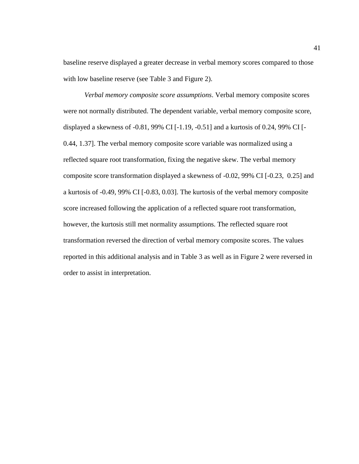baseline reserve displayed a greater decrease in verbal memory scores compared to those with low baseline reserve (see Table 3 and Figure 2).

*Verbal memory composite score assumptions*. Verbal memory composite scores were not normally distributed. The dependent variable, verbal memory composite score, displayed a skewness of -0.81, 99% CI [-1.19, -0.51] and a kurtosis of 0.24, 99% CI [- 0.44, 1.37]. The verbal memory composite score variable was normalized using a reflected square root transformation, fixing the negative skew. The verbal memory composite score transformation displayed a skewness of -0.02, 99% CI [-0.23, 0.25] and a kurtosis of -0.49, 99% CI [-0.83, 0.03]. The kurtosis of the verbal memory composite score increased following the application of a reflected square root transformation, however, the kurtosis still met normality assumptions. The reflected square root transformation reversed the direction of verbal memory composite scores. The values reported in this additional analysis and in Table 3 as well as in Figure 2 were reversed in order to assist in interpretation.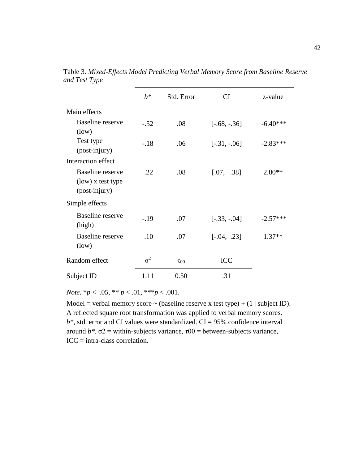|                                                               | $h^*$      | Std. Error  | <b>CI</b>       | z-value    |
|---------------------------------------------------------------|------------|-------------|-----------------|------------|
| Main effects                                                  |            |             |                 |            |
| <b>Baseline</b> reserve<br>(low)                              | $-.52$     | .08         | $[-.68, -0.36]$ | $-6.40***$ |
| Test type<br>(post-injury)                                    | $-.18$     | .06         | $[-.31, -.06]$  | $-2.83***$ |
| Interaction effect                                            |            |             |                 |            |
| <b>Baseline</b> reserve<br>(low) x test type<br>(post-injury) | .22        | .08         | [.07, .38]      | $2.80**$   |
| Simple effects                                                |            |             |                 |            |
| <b>Baseline</b> reserve<br>(high)                             | $-19$      | .07         | $[-.33, -.04]$  | $-2.57***$ |
| <b>Baseline</b> reserve<br>(low)                              | .10        | .07         | $[-.04, .23]$   | $1.37**$   |
| Random effect                                                 | $\sigma^2$ | $\tau_{00}$ | ICC             |            |
| Subject ID                                                    | 1.11       | 0.50        | .31             |            |

Table 3. *Mixed-Effects Model Predicting Verbal Memory Score from Baseline Reserve and Test Type*

*Note.* \**p* < .05, \*\* *p* < .01, \*\*\**p* < .001.

Model = verbal memory score  $\sim$  (baseline reserve x test type) + (1 | subject ID). A reflected square root transformation was applied to verbal memory scores.  $b^*$ , std. error and CI values were standardized.  $CI = 95\%$  confidence interval around  $b^*$ .  $\sigma$ 2 = within-subjects variance,  $\tau$ 00 = between-subjects variance,  $ICC = intra-class correlation.$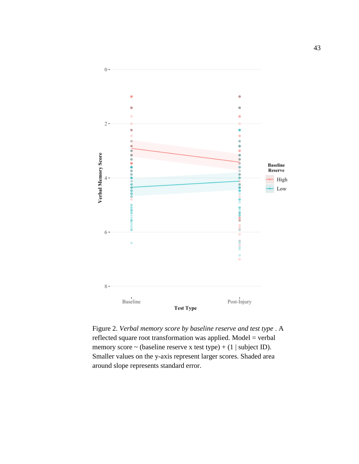

Figure 2. *Verbal memory score by baseline reserve and test type* . A reflected square root transformation was applied. Model = verbal memory score  $\sim$  (baseline reserve x test type) + (1 | subject ID). Smaller values on the y-axis represent larger scores. Shaded area around slope represents standard error.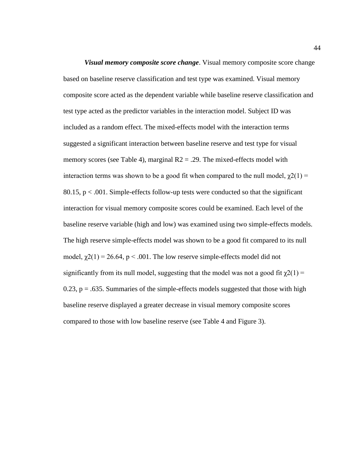*Visual memory composite score change*. Visual memory composite score change based on baseline reserve classification and test type was examined. Visual memory composite score acted as the dependent variable while baseline reserve classification and test type acted as the predictor variables in the interaction model. Subject ID was included as a random effect. The mixed-effects model with the interaction terms suggested a significant interaction between baseline reserve and test type for visual memory scores (see Table 4), marginal  $R2 = .29$ . The mixed-effects model with interaction terms was shown to be a good fit when compared to the null model,  $\chi(1) =$ 80.15, p < .001. Simple-effects follow-up tests were conducted so that the significant interaction for visual memory composite scores could be examined. Each level of the baseline reserve variable (high and low) was examined using two simple-effects models. The high reserve simple-effects model was shown to be a good fit compared to its null model,  $\chi$ 2(1) = 26.64, p < .001. The low reserve simple-effects model did not significantly from its null model, suggesting that the model was not a good fit  $\chi^2(1)$  = 0.23,  $p = .635$ . Summaries of the simple-effects models suggested that those with high baseline reserve displayed a greater decrease in visual memory composite scores compared to those with low baseline reserve (see Table 4 and Figure 3).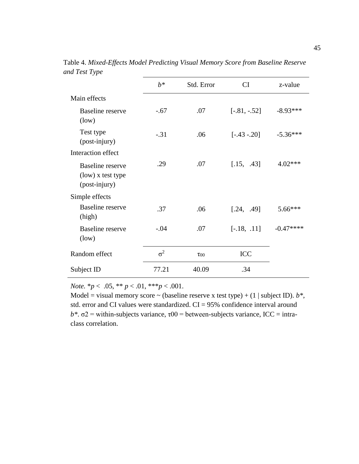| ✓┖                                                            |            |             |                |            |
|---------------------------------------------------------------|------------|-------------|----------------|------------|
|                                                               | $b^*$      | Std. Error  | CI             | z-value    |
| Main effects                                                  |            |             |                |            |
| <b>Baseline</b> reserve<br>(low)                              | $-.67$     | .07         | $[-.81, -.52]$ | $-8.93***$ |
| Test type<br>(post-injury)                                    | $-.31$     | .06         | $[-.43 - .20]$ | $-5.36***$ |
| Interaction effect                                            |            |             |                |            |
| <b>Baseline</b> reserve<br>(low) x test type<br>(post-injury) | .29        | .07         | [.15, .43]     | 4.02***    |
| Simple effects                                                |            |             |                |            |
| <b>Baseline</b> reserve<br>(high)                             | .37        | .06         | [.24, .49]     | 5.66***    |
| <b>Baseline</b> reserve<br>(low)                              | $-.04$     | .07         | $[-.18, .11]$  | $-0.47***$ |
| Random effect                                                 | $\sigma^2$ | $\tau_{00}$ | ICC            |            |
| Subject ID                                                    | 77.21      | 40.09       | .34            |            |

Table 4. *Mixed-Effects Model Predicting Visual Memory Score from Baseline Reserve and Test Type*

*Note.*  $* p < .05, ** p < .01, ** p < .001$ .

Model = visual memory score  $\sim$  (baseline reserve x test type) + (1 | subject ID).  $b^*$ , std. error and CI values were standardized. CI = 95% confidence interval around  $b^*$ .  $\sigma^2$  = within-subjects variance,  $\tau^{00}$  = between-subjects variance, ICC = intraclass correlation.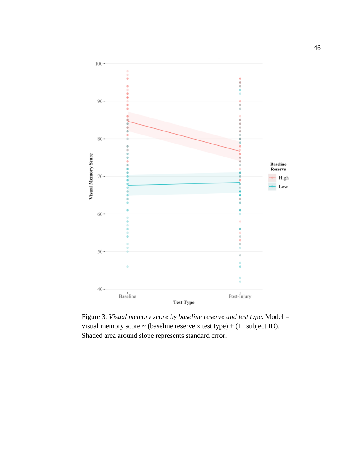

Figure 3. *Visual memory score by baseline reserve and test type*. Model = visual memory score  $\sim$  (baseline reserve x test type) + (1 | subject ID). Shaded area around slope represents standard error.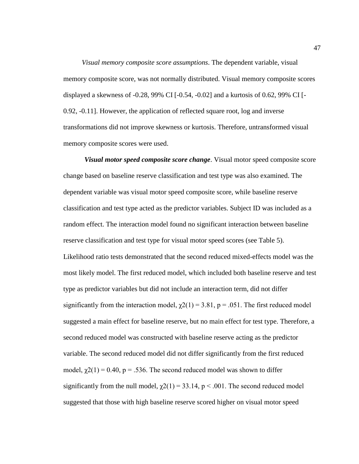*Visual memory composite score assumptions*. The dependent variable, visual memory composite score, was not normally distributed. Visual memory composite scores displayed a skewness of -0.28, 99% CI [-0.54, -0.02] and a kurtosis of 0.62, 99% CI [- 0.92, -0.11]. However, the application of reflected square root, log and inverse transformations did not improve skewness or kurtosis. Therefore, untransformed visual memory composite scores were used.

*Visual motor speed composite score change*. Visual motor speed composite score change based on baseline reserve classification and test type was also examined. The dependent variable was visual motor speed composite score, while baseline reserve classification and test type acted as the predictor variables. Subject ID was included as a random effect. The interaction model found no significant interaction between baseline reserve classification and test type for visual motor speed scores (see Table 5). Likelihood ratio tests demonstrated that the second reduced mixed-effects model was the most likely model. The first reduced model, which included both baseline reserve and test type as predictor variables but did not include an interaction term, did not differ significantly from the interaction model,  $\chi$ 2(1) = 3.81, p = .051. The first reduced model suggested a main effect for baseline reserve, but no main effect for test type. Therefore, a second reduced model was constructed with baseline reserve acting as the predictor variable. The second reduced model did not differ significantly from the first reduced model,  $\chi^2(1) = 0.40$ ,  $p = .536$ . The second reduced model was shown to differ significantly from the null model,  $\chi$ 2(1) = 33.14, p < .001. The second reduced model suggested that those with high baseline reserve scored higher on visual motor speed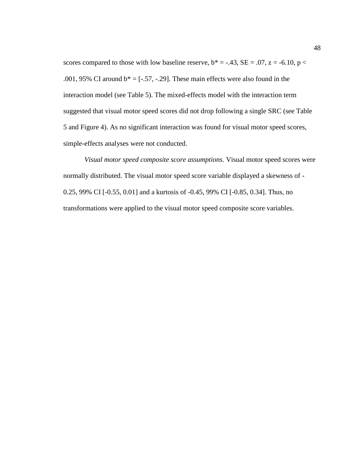scores compared to those with low baseline reserve,  $b^* = -.43$ ,  $SE = .07$ ,  $z = -6.10$ ,  $p <$ .001, 95% CI around  $b^* = [-.57, -.29]$ . These main effects were also found in the interaction model (see Table 5). The mixed-effects model with the interaction term suggested that visual motor speed scores did not drop following a single SRC (see Table 5 and Figure 4). As no significant interaction was found for visual motor speed scores, simple-effects analyses were not conducted.

*Visual motor speed composite score assumptions*. Visual motor speed scores were normally distributed. The visual motor speed score variable displayed a skewness of - 0.25, 99% CI [-0.55, 0.01] and a kurtosis of -0.45, 99% CI [-0.85, 0.34]. Thus, no transformations were applied to the visual motor speed composite score variables.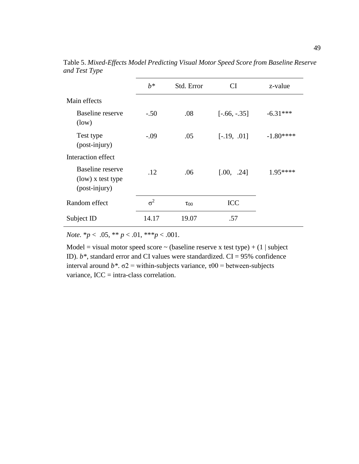|                                                        | $h^*$      | Std. Error  | СI              | z-value    |
|--------------------------------------------------------|------------|-------------|-----------------|------------|
| Main effects                                           |            |             |                 |            |
| Baseline reserve<br>(low)                              | $-.50$     | .08         | $[-.66, -0.35]$ | $-6.31***$ |
| Test type<br>(post-injury)                             | $-.09$     | .05         | $[-.19, .01]$   | $-1.80***$ |
| Interaction effect                                     |            |             |                 |            |
| Baseline reserve<br>(low) x test type<br>(post-injury) | .12        | .06         | [.00, .24]      | $1.95***$  |
| Random effect                                          | $\sigma^2$ | $\tau_{00}$ | <b>ICC</b>      |            |
| Subject ID                                             | 14.17      | 19.07       | .57             |            |

Table 5. *Mixed-Effects Model Predicting Visual Motor Speed Score from Baseline Reserve and Test Type*

*Note.* \**p* < .05, \*\* *p* < .01, \*\*\**p* < .001.

Model = visual motor speed score  $\sim$  (baseline reserve x test type) + (1 | subject ID). *b\**, standard error and CI values were standardized. CI = 95% confidence interval around  $b^*$ .  $\sigma$ 2 = within-subjects variance,  $\tau$ 00 = between-subjects variance, ICC = intra-class correlation.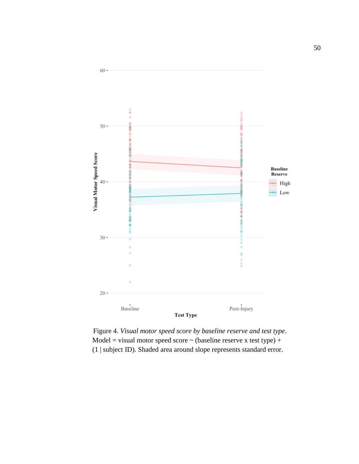

 Figure 4. *Visual motor speed score by baseline reserve and test type*. Model = visual motor speed score  $\sim$  (baseline reserve x test type) + (1 | subject ID). Shaded area around slope represents standard error.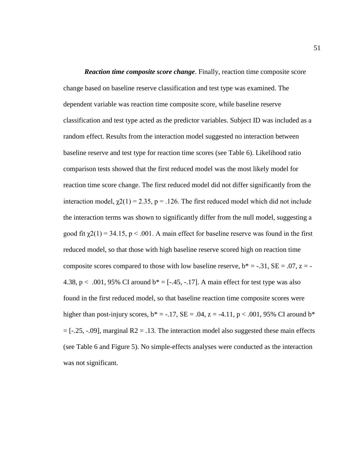*Reaction time composite score change.* Finally, reaction time composite score change based on baseline reserve classification and test type was examined. The dependent variable was reaction time composite score, while baseline reserve classification and test type acted as the predictor variables. Subject ID was included as a random effect. Results from the interaction model suggested no interaction between baseline reserve and test type for reaction time scores (see Table 6). Likelihood ratio comparison tests showed that the first reduced model was the most likely model for reaction time score change. The first reduced model did not differ significantly from the interaction model,  $\chi$ 2(1) = 2.35, p = .126. The first reduced model which did not include the interaction terms was shown to significantly differ from the null model, suggesting a good fit  $\gamma(1) = 34.15$ ,  $p < .001$ . A main effect for baseline reserve was found in the first reduced model, so that those with high baseline reserve scored high on reaction time composite scores compared to those with low baseline reserve,  $b^* = -.31$ ,  $SE = .07$ ,  $z = -$ 4.38, p < .001, 95% CI around  $b^* = [-45, -17]$ . A main effect for test type was also found in the first reduced model, so that baseline reaction time composite scores were higher than post-injury scores,  $b^* = -.17$ ,  $SE = .04$ ,  $z = -4.11$ ,  $p < .001$ , 95% CI around  $b^*$  $=[-.25, -.09]$ , marginal R2 = .13. The interaction model also suggested these main effects (see Table 6 and Figure 5). No simple-effects analyses were conducted as the interaction was not significant.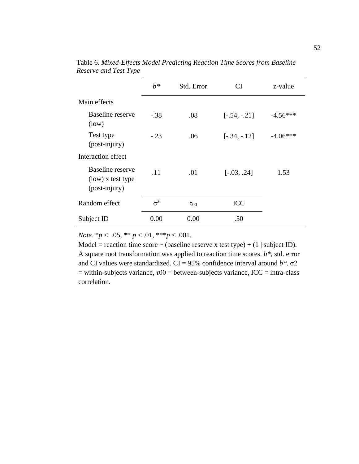|                                                               | $b^*$      | Std. Error  | <b>CI</b>      | z-value    |
|---------------------------------------------------------------|------------|-------------|----------------|------------|
| Main effects                                                  |            |             |                |            |
| Baseline reserve<br>(low)                                     | $-.38$     | .08         | $[-.54, -.21]$ | $-4.56***$ |
| Test type<br>(post-injury)                                    | $-.23$     | .06         | $[-.34, -.12]$ | $-4.06***$ |
| Interaction effect                                            |            |             |                |            |
| <b>Baseline</b> reserve<br>(low) x test type<br>(post-injury) | .11        | .01         | $[-.03, .24]$  | 1.53       |
| Random effect                                                 | $\sigma^2$ | $\tau_{00}$ | <b>ICC</b>     |            |
| Subject ID                                                    | 0.00       | 0.00        | .50            |            |

Table 6. *Mixed-Effects Model Predicting Reaction Time Scores from Baseline Reserve and Test Type*

*Note.* \**p* < .05, \*\* *p* < .01, \*\*\**p* < .001.

Model = reaction time score  $\sim$  (baseline reserve x test type) + (1 | subject ID). A square root transformation was applied to reaction time scores. *b\**, std. error and CI values were standardized. CI = 95% confidence interval around *b\**. σ2 = within-subjects variance,  $\tau 00$  = between-subjects variance, ICC = intra-class correlation.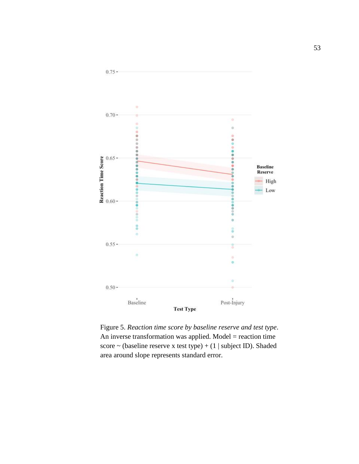

Figure 5. *Reaction time score by baseline reserve and test type*. An inverse transformation was applied. Model = reaction time score  $\sim$  (baseline reserve x test type) + (1 | subject ID). Shaded area around slope represents standard error.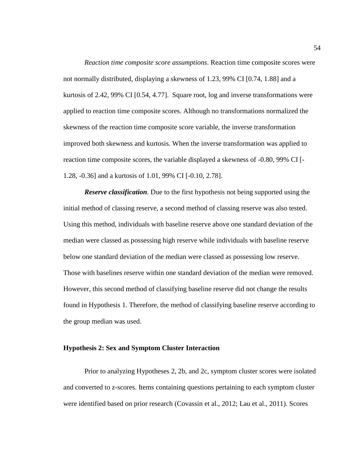*Reaction time composite score assumptions*. Reaction time composite scores were not normally distributed, displaying a skewness of 1.23, 99% CI [0.74, 1.88] and a kurtosis of 2.42, 99% CI [0.54, 4.77]. Square root, log and inverse transformations were applied to reaction time composite scores. Although no transformations normalized the skewness of the reaction time composite score variable, the inverse transformation improved both skewness and kurtosis. When the inverse transformation was applied to reaction time composite scores, the variable displayed a skewness of -0.80, 99% CI [- 1.28, -0.36] and a kurtosis of 1.01, 99% CI [-0.10, 2.78].

*Reserve classification*. Due to the first hypothesis not being supported using the initial method of classing reserve, a second method of classing reserve was also tested. Using this method, individuals with baseline reserve above one standard deviation of the median were classed as possessing high reserve while individuals with baseline reserve below one standard deviation of the median were classed as possessing low reserve. Those with baselines reserve within one standard deviation of the median were removed. However, this second method of classifying baseline reserve did not change the results found in Hypothesis 1. Therefore, the method of classifying baseline reserve according to the group median was used.

# **Hypothesis 2: Sex and Symptom Cluster Interaction**

Prior to analyzing Hypotheses 2, 2b, and 2c, symptom cluster scores were isolated and converted to z-scores. Items containing questions pertaining to each symptom cluster were identified based on prior research (Covassin et al., 2012; Lau et al., 2011). Scores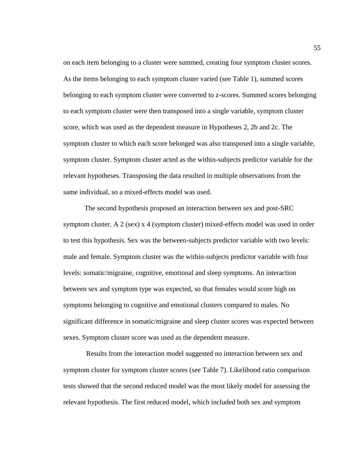on each item belonging to a cluster were summed, creating four symptom cluster scores. As the items belonging to each symptom cluster varied (see Table 1), summed scores belonging to each symptom cluster were converted to z-scores. Summed scores belonging to each symptom cluster were then transposed into a single variable, symptom cluster score, which was used as the dependent measure in Hypotheses 2, 2b and 2c. The symptom cluster to which each score belonged was also transposed into a single variable, symptom cluster. Symptom cluster acted as the within-subjects predictor variable for the relevant hypotheses. Transposing the data resulted in multiple observations from the same individual, so a mixed-effects model was used.

The second hypothesis proposed an interaction between sex and post-SRC symptom cluster. A 2 (sex) x 4 (symptom cluster) mixed-effects model was used in order to test this hypothesis. Sex was the between-subjects predictor variable with two levels: male and female. Symptom cluster was the within-subjects predictor variable with four levels: somatic/migraine, cognitive, emotional and sleep symptoms. An interaction between sex and symptom type was expected, so that females would score high on symptoms belonging to cognitive and emotional clusters compared to males. No significant difference in somatic/migraine and sleep cluster scores was expected between sexes. Symptom cluster score was used as the dependent measure.

Results from the interaction model suggested no interaction between sex and symptom cluster for symptom cluster scores (see Table 7). Likelihood ratio comparison tests showed that the second reduced model was the most likely model for assessing the relevant hypothesis. The first reduced model, which included both sex and symptom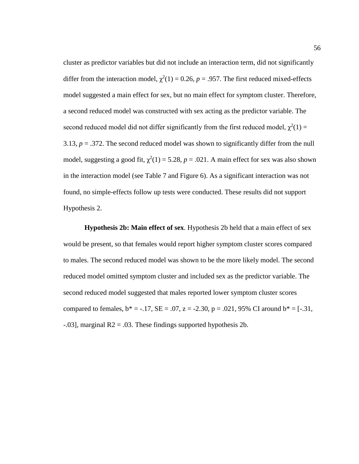cluster as predictor variables but did not include an interaction term, did not significantly differ from the interaction model,  $\chi^2(1) = 0.26$ ,  $p = .957$ . The first reduced mixed-effects model suggested a main effect for sex, but no main effect for symptom cluster. Therefore, a second reduced model was constructed with sex acting as the predictor variable. The second reduced model did not differ significantly from the first reduced model,  $\chi^2(1)$  = 3.13,  $p = 0.372$ . The second reduced model was shown to significantly differ from the null model, suggesting a good fit,  $\chi^2(1) = 5.28$ ,  $p = .021$ . A main effect for sex was also shown in the interaction model (see Table 7 and Figure 6). As a significant interaction was not found, no simple-effects follow up tests were conducted. These results did not support Hypothesis 2.

**Hypothesis 2b: Main effect of sex**. Hypothesis 2b held that a main effect of sex would be present, so that females would report higher symptom cluster scores compared to males. The second reduced model was shown to be the more likely model. The second reduced model omitted symptom cluster and included sex as the predictor variable. The second reduced model suggested that males reported lower symptom cluster scores compared to females,  $b^* = -.17$ ,  $SE = .07$ ,  $z = -2.30$ ,  $p = .021$ ,  $95\%$  CI around  $b^* = [-.31]$ ,  $-0.03$ ], marginal R2 =  $0.03$ . These findings supported hypothesis 2b.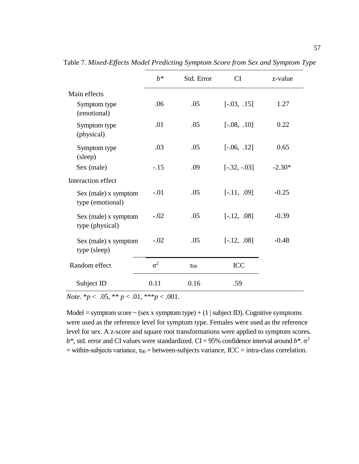|                                          | $h^*$      | Std. Error  | CI             | z-value  |
|------------------------------------------|------------|-------------|----------------|----------|
| Main effects                             |            |             |                |          |
| Symptom type<br>(emotional)              | .06        | .05         | $[-.03, .15]$  | 1.27     |
| Symptom type<br>(physical)               | .01        | .05         | $[-.08, .10]$  | 0.22     |
| Symptom type<br>(sleep)                  | .03        | .05         | $[-.06, .12]$  | 0.65     |
| Sex (male)                               | $-.15$     | .09         | $[-.32, -.03]$ | $-2.30*$ |
| Interaction effect                       |            |             |                |          |
| Sex (male) x symptom<br>type (emotional) | $-.01$     | .05         | $[-.11, .09]$  | $-0.25$  |
| Sex (male) x symptom<br>type (physical)  | $-.02$     | .05         | $[-.12, .08]$  | $-0.39$  |
| Sex (male) x symptom<br>type (sleep)     | $-.02$     | .05         | $[-.12, .08]$  | $-0.48$  |
| Random effect                            | $\sigma^2$ | $\tau_{00}$ | <b>ICC</b>     |          |
| Subject ID                               | 0.11       | 0.16        | .59            |          |

Table 7. *Mixed-Effects Model Predicting Symptom Score from Sex and Symptom Type*

*Note.* \**p* < .05, \*\* *p* < .01, \*\*\**p* < .001.

Model = symptom score  $\sim$  (sex x symptom type) + (1 | subject ID). Cognitive symptoms were used as the reference level for symptom type. Females were used as the reference level for sex. A z-score and square root transformations were applied to symptom scores.  $b^*$ , std. error and CI values were standardized. CI = 95% confidence interval around  $b^*$ .  $\sigma^2$ = within-subjects variance,  $\tau_{00}$  = between-subjects variance, ICC = intra-class correlation.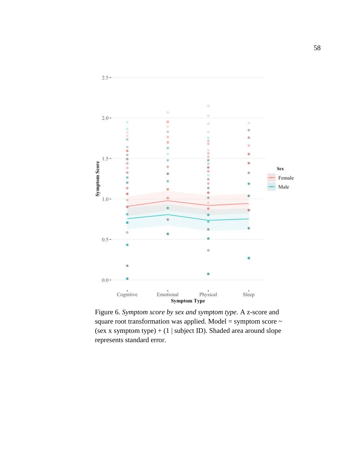

square root transformation was applied. Model = symptom score  $\sim$ (sex x symptom type)  $+ (1 | subject ID)$ . Shaded area around slope represents standard error.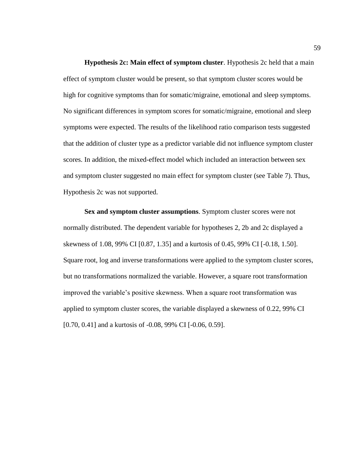**Hypothesis 2c: Main effect of symptom cluster**. Hypothesis 2c held that a main effect of symptom cluster would be present, so that symptom cluster scores would be high for cognitive symptoms than for somatic/migraine, emotional and sleep symptoms. No significant differences in symptom scores for somatic/migraine, emotional and sleep symptoms were expected. The results of the likelihood ratio comparison tests suggested that the addition of cluster type as a predictor variable did not influence symptom cluster scores. In addition, the mixed-effect model which included an interaction between sex and symptom cluster suggested no main effect for symptom cluster (see Table 7). Thus, Hypothesis 2c was not supported.

**Sex and symptom cluster assumptions**. Symptom cluster scores were not normally distributed. The dependent variable for hypotheses 2, 2b and 2c displayed a skewness of 1.08, 99% CI [0.87, 1.35] and a kurtosis of 0.45, 99% CI [-0.18, 1.50]. Square root, log and inverse transformations were applied to the symptom cluster scores, but no transformations normalized the variable. However, a square root transformation improved the variable's positive skewness. When a square root transformation was applied to symptom cluster scores, the variable displayed a skewness of 0.22, 99% CI [0.70, 0.41] and a kurtosis of -0.08, 99% CI [-0.06, 0.59].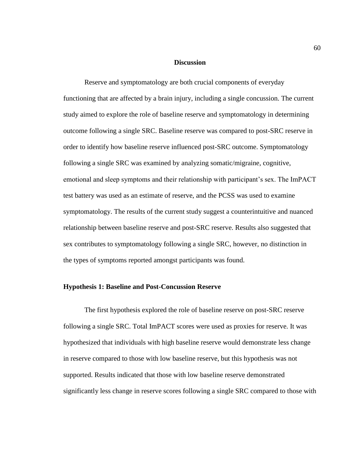### **Discussion**

Reserve and symptomatology are both crucial components of everyday functioning that are affected by a brain injury, including a single concussion. The current study aimed to explore the role of baseline reserve and symptomatology in determining outcome following a single SRC. Baseline reserve was compared to post-SRC reserve in order to identify how baseline reserve influenced post-SRC outcome. Symptomatology following a single SRC was examined by analyzing somatic/migraine, cognitive, emotional and sleep symptoms and their relationship with participant's sex. The ImPACT test battery was used as an estimate of reserve, and the PCSS was used to examine symptomatology. The results of the current study suggest a counterintuitive and nuanced relationship between baseline reserve and post-SRC reserve. Results also suggested that sex contributes to symptomatology following a single SRC, however, no distinction in the types of symptoms reported amongst participants was found.

### **Hypothesis 1: Baseline and Post-Concussion Reserve**

The first hypothesis explored the role of baseline reserve on post-SRC reserve following a single SRC. Total ImPACT scores were used as proxies for reserve. It was hypothesized that individuals with high baseline reserve would demonstrate less change in reserve compared to those with low baseline reserve, but this hypothesis was not supported. Results indicated that those with low baseline reserve demonstrated significantly less change in reserve scores following a single SRC compared to those with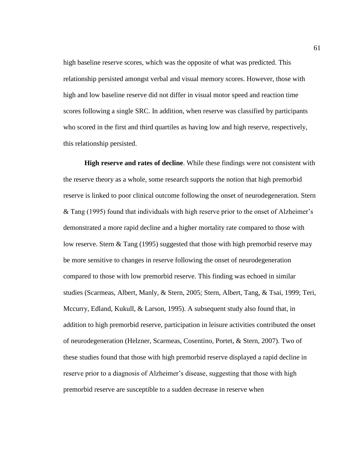high baseline reserve scores, which was the opposite of what was predicted. This relationship persisted amongst verbal and visual memory scores. However, those with high and low baseline reserve did not differ in visual motor speed and reaction time scores following a single SRC. In addition, when reserve was classified by participants who scored in the first and third quartiles as having low and high reserve, respectively, this relationship persisted.

**High reserve and rates of decline**. While these findings were not consistent with the reserve theory as a whole, some research supports the notion that high premorbid reserve is linked to poor clinical outcome following the onset of neurodegeneration. Stern & Tang (1995) found that individuals with high reserve prior to the onset of Alzheimer's demonstrated a more rapid decline and a higher mortality rate compared to those with low reserve. Stern & Tang (1995) suggested that those with high premorbid reserve may be more sensitive to changes in reserve following the onset of neurodegeneration compared to those with low premorbid reserve. This finding was echoed in similar studies (Scarmeas, Albert, Manly, & Stern, 2005; Stern, Albert, Tang, & Tsai, 1999; Teri, Mccurry, Edland, Kukull, & Larson, 1995). A subsequent study also found that, in addition to high premorbid reserve, participation in leisure activities contributed the onset of neurodegeneration (Helzner, Scarmeas, Cosentino, Portet, & Stern, 2007). Two of these studies found that those with high premorbid reserve displayed a rapid decline in reserve prior to a diagnosis of Alzheimer's disease, suggesting that those with high premorbid reserve are susceptible to a sudden decrease in reserve when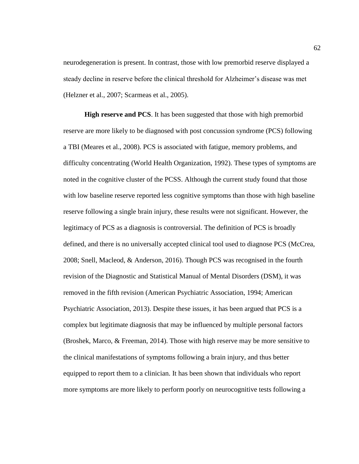neurodegeneration is present. In contrast, those with low premorbid reserve displayed a steady decline in reserve before the clinical threshold for Alzheimer's disease was met (Helzner et al., 2007; Scarmeas et al., 2005).

**High reserve and PCS**. It has been suggested that those with high premorbid reserve are more likely to be diagnosed with post concussion syndrome (PCS) following a TBI (Meares et al., 2008). PCS is associated with fatigue, memory problems, and difficulty concentrating (World Health Organization, 1992). These types of symptoms are noted in the cognitive cluster of the PCSS. Although the current study found that those with low baseline reserve reported less cognitive symptoms than those with high baseline reserve following a single brain injury, these results were not significant. However, the legitimacy of PCS as a diagnosis is controversial. The definition of PCS is broadly defined, and there is no universally accepted clinical tool used to diagnose PCS (McCrea, 2008; Snell, Macleod, & Anderson, 2016). Though PCS was recognised in the fourth revision of the Diagnostic and Statistical Manual of Mental Disorders (DSM), it was removed in the fifth revision (American Psychiatric Association, 1994; American Psychiatric Association, 2013). Despite these issues, it has been argued that PCS is a complex but legitimate diagnosis that may be influenced by multiple personal factors (Broshek, Marco, & Freeman, 2014). Those with high reserve may be more sensitive to the clinical manifestations of symptoms following a brain injury, and thus better equipped to report them to a clinician. It has been shown that individuals who report more symptoms are more likely to perform poorly on neurocognitive tests following a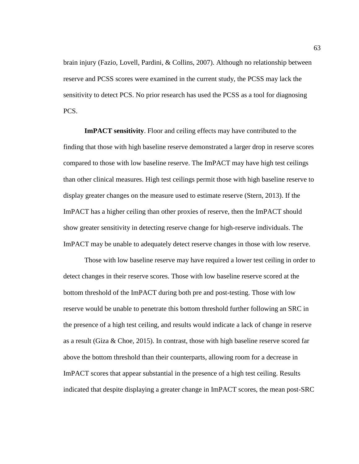brain injury (Fazio, Lovell, Pardini, & Collins, 2007). Although no relationship between reserve and PCSS scores were examined in the current study, the PCSS may lack the sensitivity to detect PCS. No prior research has used the PCSS as a tool for diagnosing PCS.

**ImPACT sensitivity**. Floor and ceiling effects may have contributed to the finding that those with high baseline reserve demonstrated a larger drop in reserve scores compared to those with low baseline reserve. The ImPACT may have high test ceilings than other clinical measures. High test ceilings permit those with high baseline reserve to display greater changes on the measure used to estimate reserve (Stern, 2013). If the ImPACT has a higher ceiling than other proxies of reserve, then the ImPACT should show greater sensitivity in detecting reserve change for high-reserve individuals. The ImPACT may be unable to adequately detect reserve changes in those with low reserve.

Those with low baseline reserve may have required a lower test ceiling in order to detect changes in their reserve scores. Those with low baseline reserve scored at the bottom threshold of the ImPACT during both pre and post-testing. Those with low reserve would be unable to penetrate this bottom threshold further following an SRC in the presence of a high test ceiling, and results would indicate a lack of change in reserve as a result (Giza & Choe, 2015). In contrast, those with high baseline reserve scored far above the bottom threshold than their counterparts, allowing room for a decrease in ImPACT scores that appear substantial in the presence of a high test ceiling. Results indicated that despite displaying a greater change in ImPACT scores, the mean post-SRC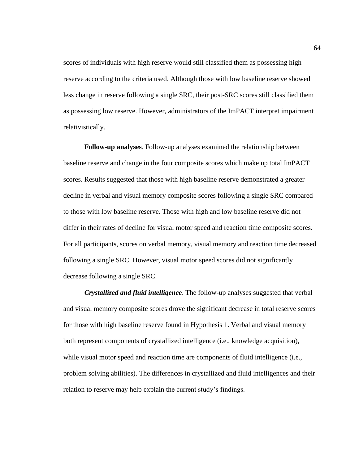scores of individuals with high reserve would still classified them as possessing high reserve according to the criteria used. Although those with low baseline reserve showed less change in reserve following a single SRC, their post-SRC scores still classified them as possessing low reserve. However, administrators of the ImPACT interpret impairment relativistically.

**Follow-up analyses**. Follow-up analyses examined the relationship between baseline reserve and change in the four composite scores which make up total ImPACT scores. Results suggested that those with high baseline reserve demonstrated a greater decline in verbal and visual memory composite scores following a single SRC compared to those with low baseline reserve. Those with high and low baseline reserve did not differ in their rates of decline for visual motor speed and reaction time composite scores. For all participants, scores on verbal memory, visual memory and reaction time decreased following a single SRC. However, visual motor speed scores did not significantly decrease following a single SRC.

*Crystallized and fluid intelligence*. The follow-up analyses suggested that verbal and visual memory composite scores drove the significant decrease in total reserve scores for those with high baseline reserve found in Hypothesis 1. Verbal and visual memory both represent components of crystallized intelligence (i.e., knowledge acquisition), while visual motor speed and reaction time are components of fluid intelligence (i.e., problem solving abilities). The differences in crystallized and fluid intelligences and their relation to reserve may help explain the current study's findings.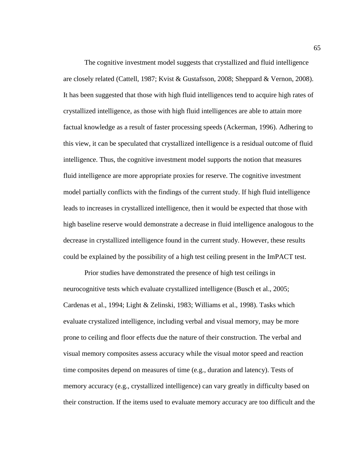The cognitive investment model suggests that crystallized and fluid intelligence are closely related (Cattell, 1987; Kvist & Gustafsson, 2008; Sheppard & Vernon, 2008). It has been suggested that those with high fluid intelligences tend to acquire high rates of crystallized intelligence, as those with high fluid intelligences are able to attain more factual knowledge as a result of faster processing speeds (Ackerman, 1996). Adhering to this view, it can be speculated that crystallized intelligence is a residual outcome of fluid intelligence. Thus, the cognitive investment model supports the notion that measures fluid intelligence are more appropriate proxies for reserve. The cognitive investment model partially conflicts with the findings of the current study. If high fluid intelligence leads to increases in crystallized intelligence, then it would be expected that those with high baseline reserve would demonstrate a decrease in fluid intelligence analogous to the decrease in crystallized intelligence found in the current study. However, these results could be explained by the possibility of a high test ceiling present in the ImPACT test.

Prior studies have demonstrated the presence of high test ceilings in neurocognitive tests which evaluate crystallized intelligence (Busch et al., 2005; Cardenas et al., 1994; Light & Zelinski, 1983; Williams et al., 1998). Tasks which evaluate crystalized intelligence, including verbal and visual memory, may be more prone to ceiling and floor effects due the nature of their construction. The verbal and visual memory composites assess accuracy while the visual motor speed and reaction time composites depend on measures of time (e.g., duration and latency). Tests of memory accuracy (e.g., crystallized intelligence) can vary greatly in difficulty based on their construction. If the items used to evaluate memory accuracy are too difficult and the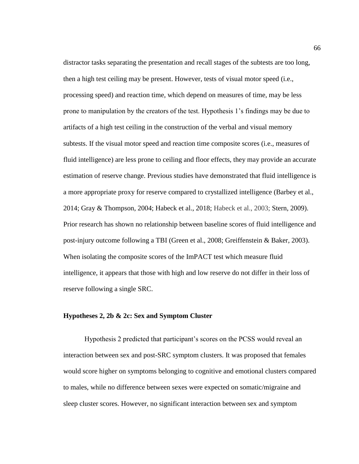distractor tasks separating the presentation and recall stages of the subtests are too long, then a high test ceiling may be present. However, tests of visual motor speed (i.e., processing speed) and reaction time, which depend on measures of time, may be less prone to manipulation by the creators of the test. Hypothesis 1's findings may be due to artifacts of a high test ceiling in the construction of the verbal and visual memory subtests. If the visual motor speed and reaction time composite scores (i.e., measures of fluid intelligence) are less prone to ceiling and floor effects, they may provide an accurate estimation of reserve change. Previous studies have demonstrated that fluid intelligence is a more appropriate proxy for reserve compared to crystallized intelligence (Barbey et al., 2014; Gray & Thompson, 2004; Habeck et al., 2018; Habeck et al., 2003; Stern, 2009). Prior research has shown no relationship between baseline scores of fluid intelligence and post-injury outcome following a TBI (Green et al., 2008; Greiffenstein & Baker, 2003). When isolating the composite scores of the ImPACT test which measure fluid intelligence, it appears that those with high and low reserve do not differ in their loss of reserve following a single SRC.

# **Hypotheses 2, 2b & 2c: Sex and Symptom Cluster**

Hypothesis 2 predicted that participant's scores on the PCSS would reveal an interaction between sex and post-SRC symptom clusters. It was proposed that females would score higher on symptoms belonging to cognitive and emotional clusters compared to males, while no difference between sexes were expected on somatic/migraine and sleep cluster scores. However, no significant interaction between sex and symptom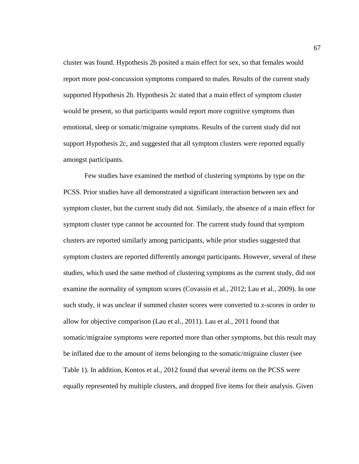cluster was found. Hypothesis 2b posited a main effect for sex, so that females would report more post-concussion symptoms compared to males. Results of the current study supported Hypothesis 2b. Hypothesis 2c stated that a main effect of symptom cluster would be present, so that participants would report more cognitive symptoms than emotional, sleep or somatic/migraine symptoms. Results of the current study did not support Hypothesis 2c, and suggested that all symptom clusters were reported equally amongst participants.

Few studies have examined the method of clustering symptoms by type on the PCSS. Prior studies have all demonstrated a significant interaction between sex and symptom cluster, but the current study did not. Similarly, the absence of a main effect for symptom cluster type cannot be accounted for. The current study found that symptom clusters are reported similarly among participants, while prior studies suggested that symptom clusters are reported differently amongst participants. However, several of these studies, which used the same method of clustering symptoms as the current study, did not examine the normality of symptom scores (Covassin et al., 2012; Lau et al., 2009). In one such study, it was unclear if summed cluster scores were converted to z-scores in order to allow for objective comparison (Lau et al., 2011). Lau et al., 2011 found that somatic/migraine symptoms were reported more than other symptoms, but this result may be inflated due to the amount of items belonging to the somatic/migraine cluster (see Table 1). In addition, Kontos et al., 2012 found that several items on the PCSS were equally represented by multiple clusters, and dropped five items for their analysis. Given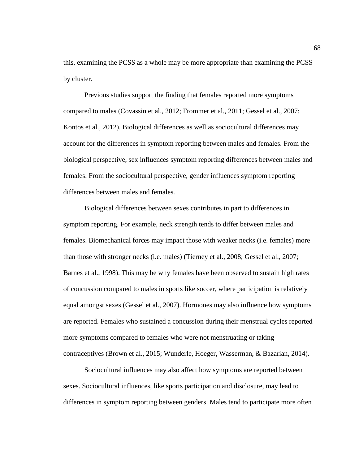this, examining the PCSS as a whole may be more appropriate than examining the PCSS by cluster.

Previous studies support the finding that females reported more symptoms compared to males (Covassin et al., 2012; Frommer et al., 2011; Gessel et al., 2007; Kontos et al., 2012). Biological differences as well as sociocultural differences may account for the differences in symptom reporting between males and females. From the biological perspective, sex influences symptom reporting differences between males and females. From the sociocultural perspective, gender influences symptom reporting differences between males and females.

Biological differences between sexes contributes in part to differences in symptom reporting. For example, neck strength tends to differ between males and females. Biomechanical forces may impact those with weaker necks (i.e. females) more than those with stronger necks (i.e. males) (Tierney et al., 2008; Gessel et al., 2007; Barnes et al., 1998). This may be why females have been observed to sustain high rates of concussion compared to males in sports like soccer, where participation is relatively equal amongst sexes (Gessel et al., 2007). Hormones may also influence how symptoms are reported. Females who sustained a concussion during their menstrual cycles reported more symptoms compared to females who were not menstruating or taking contraceptives (Brown et al., 2015; Wunderle, Hoeger, Wasserman, & Bazarian, 2014).

Sociocultural influences may also affect how symptoms are reported between sexes. Sociocultural influences, like sports participation and disclosure, may lead to differences in symptom reporting between genders. Males tend to participate more often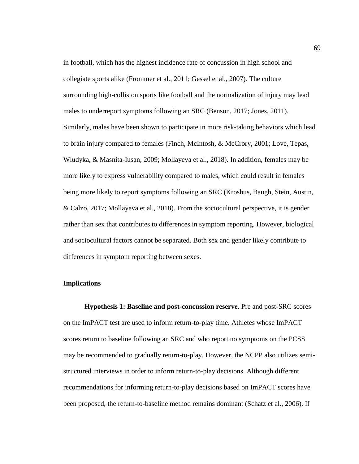in football, which has the highest incidence rate of concussion in high school and collegiate sports alike (Frommer et al., 2011; Gessel et al., 2007). The culture surrounding high-collision sports like football and the normalization of injury may lead males to underreport symptoms following an SRC (Benson, 2017; Jones, 2011). Similarly, males have been shown to participate in more risk-taking behaviors which lead to brain injury compared to females (Finch, McIntosh, & McCrory, 2001; Love, Tepas, Wludyka, & Masnita-Iusan, 2009; Mollayeva et al., 2018). In addition, females may be more likely to express vulnerability compared to males, which could result in females being more likely to report symptoms following an SRC (Kroshus, Baugh, Stein, Austin, & Calzo, 2017; Mollayeva et al., 2018). From the sociocultural perspective, it is gender rather than sex that contributes to differences in symptom reporting. However, biological and sociocultural factors cannot be separated. Both sex and gender likely contribute to differences in symptom reporting between sexes.

#### **Implications**

**Hypothesis 1: Baseline and post-concussion reserve**. Pre and post-SRC scores on the ImPACT test are used to inform return-to-play time. Athletes whose ImPACT scores return to baseline following an SRC and who report no symptoms on the PCSS may be recommended to gradually return-to-play. However, the NCPP also utilizes semistructured interviews in order to inform return-to-play decisions. Although different recommendations for informing return-to-play decisions based on ImPACT scores have been proposed, the return-to-baseline method remains dominant (Schatz et al., 2006). If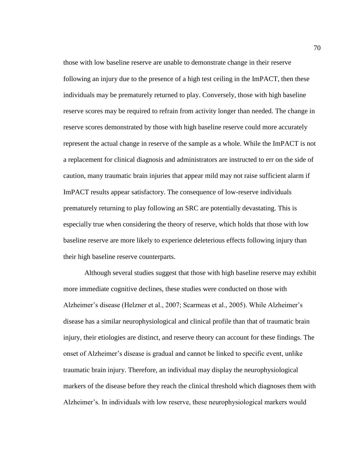those with low baseline reserve are unable to demonstrate change in their reserve following an injury due to the presence of a high test ceiling in the ImPACT, then these individuals may be prematurely returned to play. Conversely, those with high baseline reserve scores may be required to refrain from activity longer than needed. The change in reserve scores demonstrated by those with high baseline reserve could more accurately represent the actual change in reserve of the sample as a whole. While the ImPACT is not a replacement for clinical diagnosis and administrators are instructed to err on the side of caution, many traumatic brain injuries that appear mild may not raise sufficient alarm if ImPACT results appear satisfactory. The consequence of low-reserve individuals prematurely returning to play following an SRC are potentially devastating. This is especially true when considering the theory of reserve, which holds that those with low baseline reserve are more likely to experience deleterious effects following injury than their high baseline reserve counterparts.

Although several studies suggest that those with high baseline reserve may exhibit more immediate cognitive declines, these studies were conducted on those with Alzheimer's disease (Helzner et al., 2007; Scarmeas et al., 2005). While Alzheimer's disease has a similar neurophysiological and clinical profile than that of traumatic brain injury, their etiologies are distinct, and reserve theory can account for these findings. The onset of Alzheimer's disease is gradual and cannot be linked to specific event, unlike traumatic brain injury. Therefore, an individual may display the neurophysiological markers of the disease before they reach the clinical threshold which diagnoses them with Alzheimer's. In individuals with low reserve, these neurophysiological markers would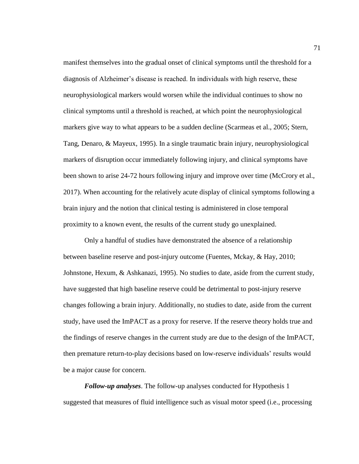manifest themselves into the gradual onset of clinical symptoms until the threshold for a diagnosis of Alzheimer's disease is reached. In individuals with high reserve, these neurophysiological markers would worsen while the individual continues to show no clinical symptoms until a threshold is reached, at which point the neurophysiological markers give way to what appears to be a sudden decline (Scarmeas et al., 2005; Stern, Tang, Denaro, & Mayeux, 1995). In a single traumatic brain injury, neurophysiological markers of disruption occur immediately following injury, and clinical symptoms have been shown to arise 24-72 hours following injury and improve over time (McCrory et al., 2017). When accounting for the relatively acute display of clinical symptoms following a brain injury and the notion that clinical testing is administered in close temporal proximity to a known event, the results of the current study go unexplained.

Only a handful of studies have demonstrated the absence of a relationship between baseline reserve and post-injury outcome (Fuentes, Mckay, & Hay, 2010; Johnstone, Hexum, & Ashkanazi, 1995). No studies to date, aside from the current study, have suggested that high baseline reserve could be detrimental to post-injury reserve changes following a brain injury. Additionally, no studies to date, aside from the current study, have used the ImPACT as a proxy for reserve. If the reserve theory holds true and the findings of reserve changes in the current study are due to the design of the ImPACT, then premature return-to-play decisions based on low-reserve individuals' results would be a major cause for concern.

*Follow-up analyses*. The follow-up analyses conducted for Hypothesis 1 suggested that measures of fluid intelligence such as visual motor speed (i.e., processing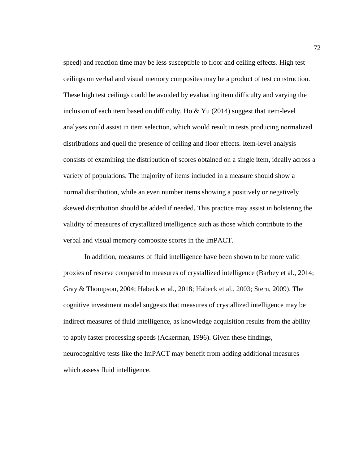speed) and reaction time may be less susceptible to floor and ceiling effects. High test ceilings on verbal and visual memory composites may be a product of test construction. These high test ceilings could be avoided by evaluating item difficulty and varying the inclusion of each item based on difficulty. Ho  $&Yu(2014)$  suggest that item-level analyses could assist in item selection, which would result in tests producing normalized distributions and quell the presence of ceiling and floor effects. Item-level analysis consists of examining the distribution of scores obtained on a single item, ideally across a variety of populations. The majority of items included in a measure should show a normal distribution, while an even number items showing a positively or negatively skewed distribution should be added if needed. This practice may assist in bolstering the validity of measures of crystallized intelligence such as those which contribute to the verbal and visual memory composite scores in the ImPACT.

In addition, measures of fluid intelligence have been shown to be more valid proxies of reserve compared to measures of crystallized intelligence (Barbey et al., 2014; Gray & Thompson, 2004; Habeck et al., 2018; Habeck et al., 2003; Stern, 2009). The cognitive investment model suggests that measures of crystallized intelligence may be indirect measures of fluid intelligence, as knowledge acquisition results from the ability to apply faster processing speeds (Ackerman, 1996). Given these findings, neurocognitive tests like the ImPACT may benefit from adding additional measures which assess fluid intelligence.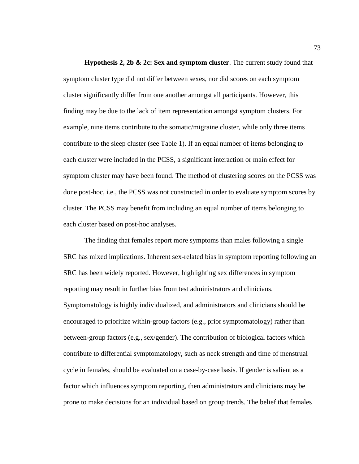**Hypothesis 2, 2b & 2c: Sex and symptom cluster**. The current study found that symptom cluster type did not differ between sexes, nor did scores on each symptom cluster significantly differ from one another amongst all participants. However, this finding may be due to the lack of item representation amongst symptom clusters. For example, nine items contribute to the somatic/migraine cluster, while only three items contribute to the sleep cluster (see Table 1). If an equal number of items belonging to each cluster were included in the PCSS, a significant interaction or main effect for symptom cluster may have been found. The method of clustering scores on the PCSS was done post-hoc, i.e., the PCSS was not constructed in order to evaluate symptom scores by cluster. The PCSS may benefit from including an equal number of items belonging to each cluster based on post-hoc analyses.

The finding that females report more symptoms than males following a single SRC has mixed implications. Inherent sex-related bias in symptom reporting following an SRC has been widely reported. However, highlighting sex differences in symptom reporting may result in further bias from test administrators and clinicians. Symptomatology is highly individualized, and administrators and clinicians should be encouraged to prioritize within-group factors (e.g., prior symptomatology) rather than between-group factors (e.g., sex/gender). The contribution of biological factors which contribute to differential symptomatology, such as neck strength and time of menstrual cycle in females, should be evaluated on a case-by-case basis. If gender is salient as a factor which influences symptom reporting, then administrators and clinicians may be prone to make decisions for an individual based on group trends. The belief that females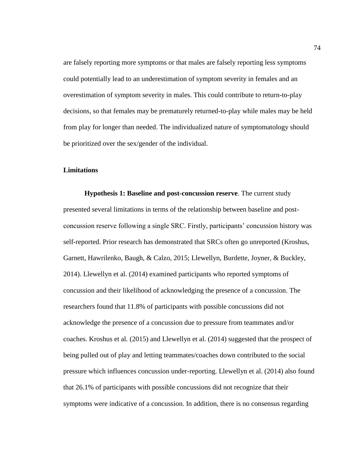are falsely reporting more symptoms or that males are falsely reporting less symptoms could potentially lead to an underestimation of symptom severity in females and an overestimation of symptom severity in males. This could contribute to return-to-play decisions, so that females may be prematurely returned-to-play while males may be held from play for longer than needed. The individualized nature of symptomatology should be prioritized over the sex/gender of the individual.

# **Limitations**

**Hypothesis 1: Baseline and post-concussion reserve**. The current study presented several limitations in terms of the relationship between baseline and postconcussion reserve following a single SRC. Firstly, participants' concussion history was self-reported. Prior research has demonstrated that SRCs often go unreported (Kroshus, Garnett, Hawrilenko, Baugh, & Calzo, 2015; Llewellyn, Burdette, Joyner, & Buckley, 2014). Llewellyn et al. (2014) examined participants who reported symptoms of concussion and their likelihood of acknowledging the presence of a concussion. The researchers found that 11.8% of participants with possible concussions did not acknowledge the presence of a concussion due to pressure from teammates and/or coaches. Kroshus et al. (2015) and Llewellyn et al. (2014) suggested that the prospect of being pulled out of play and letting teammates/coaches down contributed to the social pressure which influences concussion under-reporting. Llewellyn et al. (2014) also found that 26.1% of participants with possible concussions did not recognize that their symptoms were indicative of a concussion. In addition, there is no consensus regarding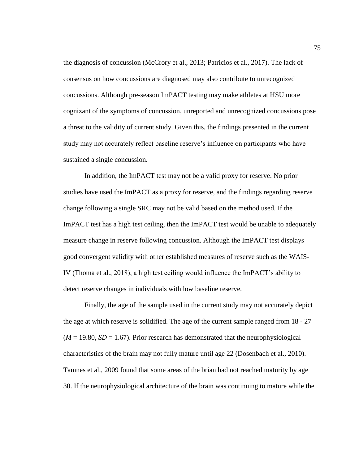the diagnosis of concussion (McCrory et al., 2013; Patricios et al., 2017). The lack of consensus on how concussions are diagnosed may also contribute to unrecognized concussions. Although pre-season ImPACT testing may make athletes at HSU more cognizant of the symptoms of concussion, unreported and unrecognized concussions pose a threat to the validity of current study. Given this, the findings presented in the current study may not accurately reflect baseline reserve's influence on participants who have sustained a single concussion.

In addition, the ImPACT test may not be a valid proxy for reserve. No prior studies have used the ImPACT as a proxy for reserve, and the findings regarding reserve change following a single SRC may not be valid based on the method used. If the ImPACT test has a high test ceiling, then the ImPACT test would be unable to adequately measure change in reserve following concussion. Although the ImPACT test displays good convergent validity with other established measures of reserve such as the WAIS-IV (Thoma et al., 2018), a high test ceiling would influence the ImPACT's ability to detect reserve changes in individuals with low baseline reserve.

Finally, the age of the sample used in the current study may not accurately depict the age at which reserve is solidified. The age of the current sample ranged from 18 - 27  $(M = 19.80, SD = 1.67)$ . Prior research has demonstrated that the neurophysiological characteristics of the brain may not fully mature until age 22 (Dosenbach et al., 2010). Tamnes et al., 2009 found that some areas of the brian had not reached maturity by age 30. If the neurophysiological architecture of the brain was continuing to mature while the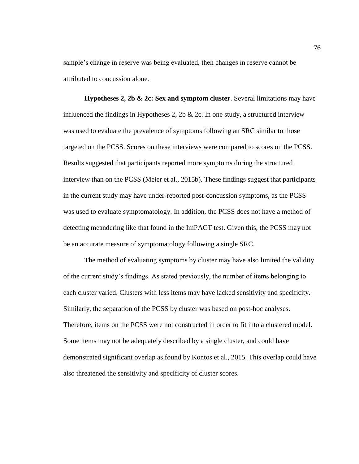sample's change in reserve was being evaluated, then changes in reserve cannot be attributed to concussion alone.

**Hypotheses 2, 2b & 2c: Sex and symptom cluster**. Several limitations may have influenced the findings in Hypotheses 2, 2b & 2c. In one study, a structured interview was used to evaluate the prevalence of symptoms following an SRC similar to those targeted on the PCSS. Scores on these interviews were compared to scores on the PCSS. Results suggested that participants reported more symptoms during the structured interview than on the PCSS (Meier et al., 2015b). These findings suggest that participants in the current study may have under-reported post-concussion symptoms, as the PCSS was used to evaluate symptomatology. In addition, the PCSS does not have a method of detecting meandering like that found in the ImPACT test. Given this, the PCSS may not be an accurate measure of symptomatology following a single SRC.

The method of evaluating symptoms by cluster may have also limited the validity of the current study's findings. As stated previously, the number of items belonging to each cluster varied. Clusters with less items may have lacked sensitivity and specificity. Similarly, the separation of the PCSS by cluster was based on post-hoc analyses. Therefore, items on the PCSS were not constructed in order to fit into a clustered model. Some items may not be adequately described by a single cluster, and could have demonstrated significant overlap as found by Kontos et al., 2015. This overlap could have also threatened the sensitivity and specificity of cluster scores.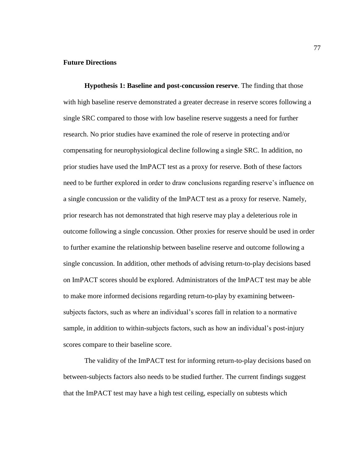# **Future Directions**

**Hypothesis 1: Baseline and post-concussion reserve**. The finding that those with high baseline reserve demonstrated a greater decrease in reserve scores following a single SRC compared to those with low baseline reserve suggests a need for further research. No prior studies have examined the role of reserve in protecting and/or compensating for neurophysiological decline following a single SRC. In addition, no prior studies have used the ImPACT test as a proxy for reserve. Both of these factors need to be further explored in order to draw conclusions regarding reserve's influence on a single concussion or the validity of the ImPACT test as a proxy for reserve. Namely, prior research has not demonstrated that high reserve may play a deleterious role in outcome following a single concussion. Other proxies for reserve should be used in order to further examine the relationship between baseline reserve and outcome following a single concussion. In addition, other methods of advising return-to-play decisions based on ImPACT scores should be explored. Administrators of the ImPACT test may be able to make more informed decisions regarding return-to-play by examining betweensubjects factors, such as where an individual's scores fall in relation to a normative sample, in addition to within-subjects factors, such as how an individual's post-injury scores compare to their baseline score.

The validity of the ImPACT test for informing return-to-play decisions based on between-subjects factors also needs to be studied further. The current findings suggest that the ImPACT test may have a high test ceiling, especially on subtests which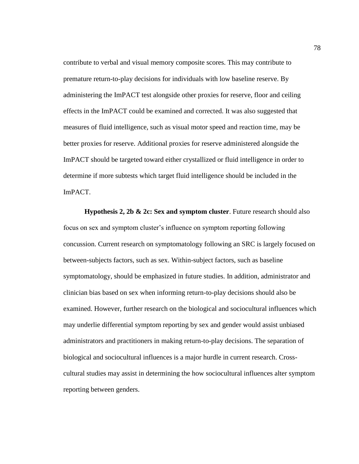contribute to verbal and visual memory composite scores. This may contribute to premature return-to-play decisions for individuals with low baseline reserve. By administering the ImPACT test alongside other proxies for reserve, floor and ceiling effects in the ImPACT could be examined and corrected. It was also suggested that measures of fluid intelligence, such as visual motor speed and reaction time, may be better proxies for reserve. Additional proxies for reserve administered alongside the ImPACT should be targeted toward either crystallized or fluid intelligence in order to determine if more subtests which target fluid intelligence should be included in the ImPACT.

**Hypothesis 2, 2b & 2c: Sex and symptom cluster**. Future research should also focus on sex and symptom cluster's influence on symptom reporting following concussion. Current research on symptomatology following an SRC is largely focused on between-subjects factors, such as sex. Within-subject factors, such as baseline symptomatology, should be emphasized in future studies. In addition, administrator and clinician bias based on sex when informing return-to-play decisions should also be examined. However, further research on the biological and sociocultural influences which may underlie differential symptom reporting by sex and gender would assist unbiased administrators and practitioners in making return-to-play decisions. The separation of biological and sociocultural influences is a major hurdle in current research. Crosscultural studies may assist in determining the how sociocultural influences alter symptom reporting between genders.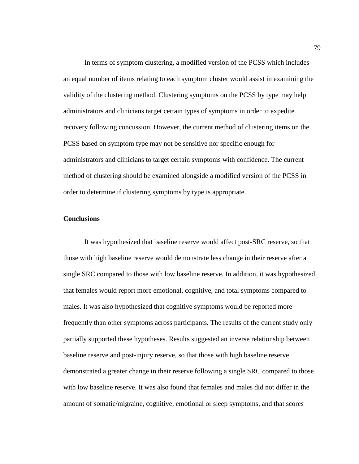In terms of symptom clustering, a modified version of the PCSS which includes an equal number of items relating to each symptom cluster would assist in examining the validity of the clustering method. Clustering symptoms on the PCSS by type may help administrators and clinicians target certain types of symptoms in order to expedite recovery following concussion. However, the current method of clustering items on the PCSS based on symptom type may not be sensitive nor specific enough for administrators and clinicians to target certain symptoms with confidence. The current method of clustering should be examined alongside a modified version of the PCSS in order to determine if clustering symptoms by type is appropriate.

# **Conclusions**

It was hypothesized that baseline reserve would affect post-SRC reserve, so that those with high baseline reserve would demonstrate less change in their reserve after a single SRC compared to those with low baseline reserve. In addition, it was hypothesized that females would report more emotional, cognitive, and total symptoms compared to males. It was also hypothesized that cognitive symptoms would be reported more frequently than other symptoms across participants. The results of the current study only partially supported these hypotheses. Results suggested an inverse relationship between baseline reserve and post-injury reserve, so that those with high baseline reserve demonstrated a greater change in their reserve following a single SRC compared to those with low baseline reserve. It was also found that females and males did not differ in the amount of somatic/migraine, cognitive, emotional or sleep symptoms, and that scores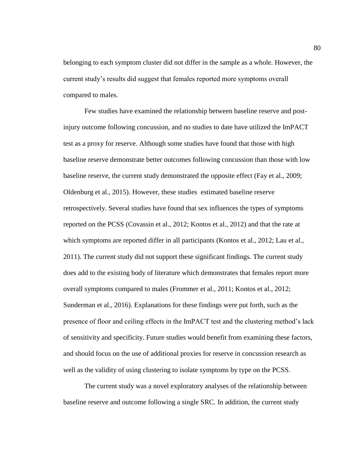belonging to each symptom cluster did not differ in the sample as a whole. However, the current study's results did suggest that females reported more symptoms overall compared to males.

Few studies have examined the relationship between baseline reserve and postinjury outcome following concussion, and no studies to date have utilized the ImPACT test as a proxy for reserve. Although some studies have found that those with high baseline reserve demonstrate better outcomes following concussion than those with low baseline reserve, the current study demonstrated the opposite effect (Fay et al., 2009; Oldenburg et al., 2015). However, these studies estimated baseline reserve retrospectively. Several studies have found that sex influences the types of symptoms reported on the PCSS (Covassin et al., 2012; Kontos et al., 2012) and that the rate at which symptoms are reported differ in all participants (Kontos et al., 2012; Lau et al., 2011). The current study did not support these significant findings. The current study does add to the existing body of literature which demonstrates that females report more overall symptoms compared to males (Frommer et al., 2011; Kontos et al., 2012; Sunderman et al., 2016). Explanations for these findings were put forth, such as the presence of floor and ceiling effects in the ImPACT test and the clustering method's lack of sensitivity and specificity. Future studies would benefit from examining these factors, and should focus on the use of additional proxies for reserve in concussion research as well as the validity of using clustering to isolate symptoms by type on the PCSS.

The current study was a novel exploratory analyses of the relationship between baseline reserve and outcome following a single SRC. In addition, the current study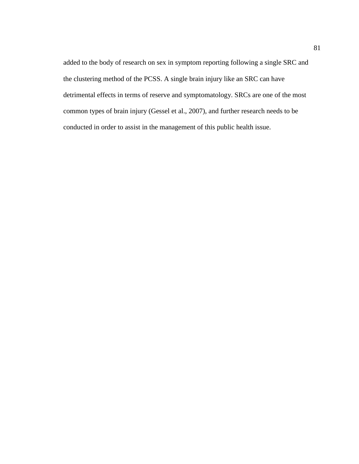added to the body of research on sex in symptom reporting following a single SRC and the clustering method of the PCSS. A single brain injury like an SRC can have detrimental effects in terms of reserve and symptomatology. SRCs are one of the most common types of brain injury (Gessel et al., 2007), and further research needs to be conducted in order to assist in the management of this public health issue.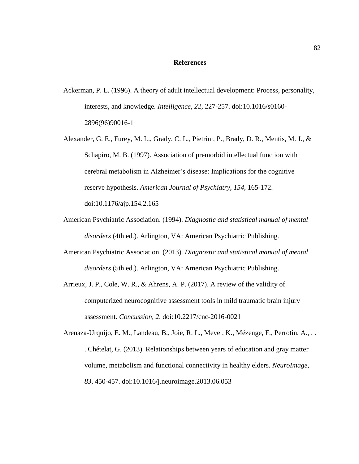# **References**

- Ackerman, P. L. (1996). A theory of adult intellectual development: Process, personality, interests, and knowledge. *Intelligence, 22,* 227-257. doi:10.1016/s0160- 2896(96)90016-1
- Alexander, G. E., Furey, M. L., Grady, C. L., Pietrini, P., Brady, D. R., Mentis, M. J., & Schapiro, M. B. (1997). Association of premorbid intellectual function with cerebral metabolism in Alzheimer's disease: Implications for the cognitive reserve hypothesis. *American Journal of Psychiatry, 154*, 165-172. doi:10.1176/ajp.154.2.165
- American Psychiatric Association. (1994). *Diagnostic and statistical manual of mental disorders* (4th ed.). Arlington, VA: American Psychiatric Publishing.
- American Psychiatric Association. (2013). *Diagnostic and statistical manual of mental disorders* (5th ed.). Arlington, VA: American Psychiatric Publishing.
- Arrieux, J. P., Cole, W. R., & Ahrens, A. P. (2017). A review of the validity of computerized neurocognitive assessment tools in mild traumatic brain injury assessment. *Concussion, 2*. doi:10.2217/cnc-2016-0021
- Arenaza-Urquijo, E. M., Landeau, B., Joie, R. L., Mevel, K., Mézenge, F., Perrotin, A., . . . Chételat, G. (2013). Relationships between years of education and gray matter volume, metabolism and functional connectivity in healthy elders. *NeuroImage, 83*, 450-457. doi:10.1016/j.neuroimage.2013.06.053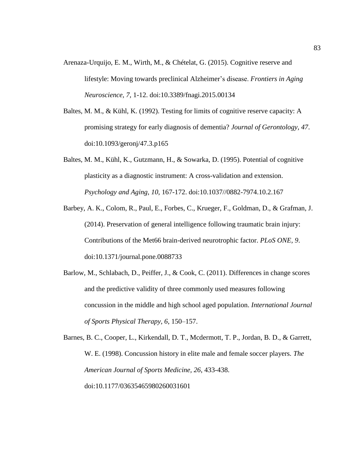- Arenaza-Urquijo, E. M., Wirth, M., & Chételat, G. (2015). Cognitive reserve and lifestyle: Moving towards preclinical Alzheimer's disease. *Frontiers in Aging Neuroscience, 7,* 1-12. doi:10.3389/fnagi.2015.00134
- Baltes, M. M., & Kühl, K. (1992). Testing for limits of cognitive reserve capacity: A promising strategy for early diagnosis of dementia? *Journal of Gerontology, 47*. doi:10.1093/geronj/47.3.p165
- Baltes, M. M., Kühl, K., Gutzmann, H., & Sowarka, D. (1995). Potential of cognitive plasticity as a diagnostic instrument: A cross-validation and extension. *Psychology and Aging, 10*, 167-172. doi:10.1037//0882-7974.10.2.167
- Barbey, A. K., Colom, R., Paul, E., Forbes, C., Krueger, F., Goldman, D., & Grafman, J. (2014). Preservation of general intelligence following traumatic brain injury: Contributions of the Met66 brain-derived neurotrophic factor. *PLoS ONE, 9*. doi:10.1371/journal.pone.0088733
- Barlow, M., Schlabach, D., Peiffer, J., & Cook, C. (2011). Differences in change scores and the predictive validity of three commonly used measures following concussion in the middle and high school aged population. *International Journal of Sports Physical Therapy, 6*, 150–157.

Barnes, B. C., Cooper, L., Kirkendall, D. T., Mcdermott, T. P., Jordan, B. D., & Garrett, W. E. (1998). Concussion history in elite male and female soccer players. *The American Journal of Sports Medicine, 26*, 433-438. doi:10.1177/03635465980260031601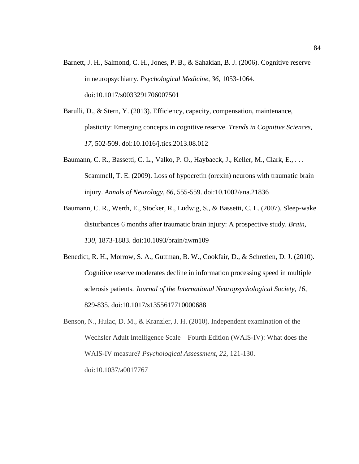- Barnett, J. H., Salmond, C. H., Jones, P. B., & Sahakian, B. J. (2006). Cognitive reserve in neuropsychiatry. *Psychological Medicine, 36*, 1053-1064. doi:10.1017/s0033291706007501
- Barulli, D., & Stern, Y. (2013). Efficiency, capacity, compensation, maintenance, plasticity: Emerging concepts in cognitive reserve. *Trends in Cognitive Sciences, 17*, 502-509. doi:10.1016/j.tics.2013.08.012
- Baumann, C. R., Bassetti, C. L., Valko, P. O., Haybaeck, J., Keller, M., Clark, E., . . . Scammell, T. E. (2009). Loss of hypocretin (orexin) neurons with traumatic brain injury. *Annals of Neurology, 66*, 555-559. doi:10.1002/ana.21836
- Baumann, C. R., Werth, E., Stocker, R., Ludwig, S., & Bassetti, C. L. (2007). Sleep-wake disturbances 6 months after traumatic brain injury: A prospective study. *Brain, 130*, 1873-1883. doi:10.1093/brain/awm109
- Benedict, R. H., Morrow, S. A., Guttman, B. W., Cookfair, D., & Schretlen, D. J. (2010). Cognitive reserve moderates decline in information processing speed in multiple sclerosis patients. *Journal of the International Neuropsychological Society, 16*, 829-835. doi:10.1017/s1355617710000688
- Benson, N., Hulac, D. M., & Kranzler, J. H. (2010). Independent examination of the Wechsler Adult Intelligence Scale—Fourth Edition (WAIS-IV): What does the WAIS-IV measure? *Psychological Assessment, 22*, 121-130. doi:10.1037/a0017767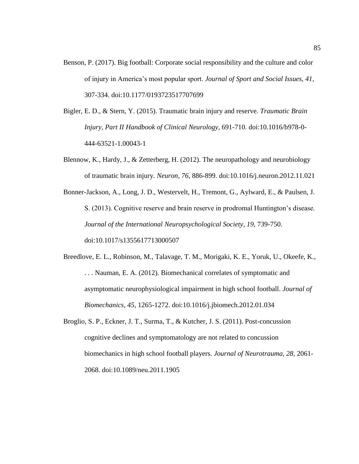- Benson, P. (2017). Big football: Corporate social responsibility and the culture and color of injury in America's most popular sport. *Journal of Sport and Social Issues, 41*, 307-334. doi:10.1177/0193723517707699
- Bigler, E. D., & Stern, Y. (2015). Traumatic brain injury and reserve. *Traumatic Brain Injury, Part II Handbook of Clinical Neurology,* 691-710. doi:10.1016/b978-0- 444-63521-1.00043-1
- Blennow, K., Hardy, J., & Zetterberg, H. (2012). The neuropathology and neurobiology of traumatic brain injury. *Neuron, 76*, 886-899. doi:10.1016/j.neuron.2012.11.021
- Bonner-Jackson, A., Long, J. D., Westervelt, H., Tremont, G., Aylward, E., & Paulsen, J. S. (2013). Cognitive reserve and brain reserve in prodromal Huntington's disease. *Journal of the International Neuropsychological Society, 19*, 739-750. doi:10.1017/s1355617713000507
- Breedlove, E. L., Robinson, M., Talavage, T. M., Morigaki, K. E., Yoruk, U., Okeefe, K., . . . Nauman, E. A. (2012). Biomechanical correlates of symptomatic and asymptomatic neurophysiological impairment in high school football. *Journal of Biomechanics, 45*, 1265-1272. doi:10.1016/j.jbiomech.2012.01.034
- Broglio, S. P., Eckner, J. T., Surma, T., & Kutcher, J. S. (2011). Post-concussion cognitive declines and symptomatology are not related to concussion biomechanics in high school football players. *Journal of Neurotrauma, 28*, 2061- 2068. doi:10.1089/neu.2011.1905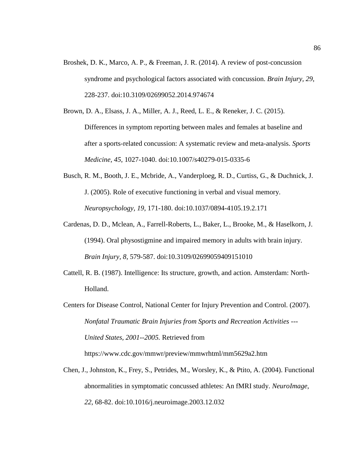- Broshek, D. K., Marco, A. P., & Freeman, J. R. (2014). A review of post-concussion syndrome and psychological factors associated with concussion. *Brain Injury, 29*, 228-237. doi:10.3109/02699052.2014.974674
- Brown, D. A., Elsass, J. A., Miller, A. J., Reed, L. E., & Reneker, J. C. (2015). Differences in symptom reporting between males and females at baseline and after a sports-related concussion: A systematic review and meta-analysis. *Sports Medicine, 45*, 1027-1040. doi:10.1007/s40279-015-0335-6
- Busch, R. M., Booth, J. E., Mcbride, A., Vanderploeg, R. D., Curtiss, G., & Duchnick, J. J. (2005). Role of executive functioning in verbal and visual memory. *Neuropsychology, 19*, 171-180. doi:10.1037/0894-4105.19.2.171
- Cardenas, D. D., Mclean, A., Farrell-Roberts, L., Baker, L., Brooke, M., & Haselkorn, J. (1994). Oral physostigmine and impaired memory in adults with brain injury. *Brain Injury, 8*, 579-587. doi:10.3109/02699059409151010
- Cattell, R. B. (1987). Intelligence: Its structure, growth, and action. Amsterdam: North-Holland.

Centers for Disease Control, National Center for Injury Prevention and Control. (2007). *Nonfatal Traumatic Brain Injuries from Sports and Recreation Activities --- United States, 2001--2005.* Retrieved from https://www.cdc.gov/mmwr/preview/mmwrhtml/mm5629a2.htm

Chen, J., Johnston, K., Frey, S., Petrides, M., Worsley, K., & Ptito, A. (2004). Functional abnormalities in symptomatic concussed athletes: An fMRI study. *NeuroImage, 22*, 68-82. doi:10.1016/j.neuroimage.2003.12.032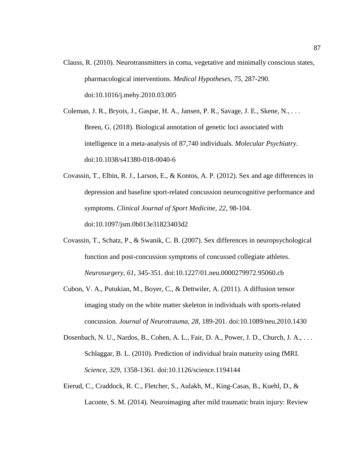Clauss, R. (2010). Neurotransmitters in coma, vegetative and minimally conscious states, pharmacological interventions. *Medical Hypotheses, 75*, 287-290. doi:10.1016/j.mehy.2010.03.005

Coleman, J. R., Bryois, J., Gaspar, H. A., Jansen, P. R., Savage, J. E., Skene, N., . . . Breen, G. (2018). Biological annotation of genetic loci associated with intelligence in a meta-analysis of 87,740 individuals. *Molecular Psychiatry.*  doi:10.1038/s41380-018-0040-6

- Covassin, T., Elbin, R. J., Larson, E., & Kontos, A. P. (2012). Sex and age differences in depression and baseline sport-related concussion neurocognitive performance and symptoms. *Clinical Journal of Sport Medicine, 22*, 98-104. doi:10.1097/jsm.0b013e31823403d2
- Covassin, T., Schatz, P., & Swanik, C. B. (2007). Sex differences in neuropsychological function and post-concussion symptoms of concussed collegiate athletes. *Neurosurgery, 61*, 345-351. doi:10.1227/01.neu.0000279972.95060.cb
- Cubon, V. A., Putukian, M., Boyer, C., & Dettwiler, A. (2011). A diffusion tensor imaging study on the white matter skeleton in individuals with sports-related concussion. *Journal of Neurotrauma, 28*, 189-201. doi:10.1089/neu.2010.1430
- Dosenbach, N. U., Nardos, B., Cohen, A. L., Fair, D. A., Power, J. D., Church, J. A., . . . Schlaggar, B. L. (2010). Prediction of individual brain maturity using fMRI. *Science, 329*, 1358-1361. doi:10.1126/science.1194144
- Eierud, C., Craddock, R. C., Fletcher, S., Aulakh, M., King-Casas, B., Kuehl, D., & Laconte, S. M. (2014). Neuroimaging after mild traumatic brain injury: Review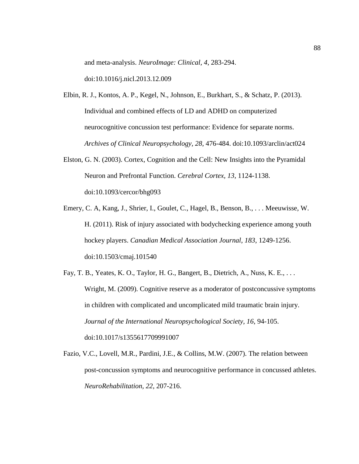and meta-analysis. *NeuroImage: Clinical, 4*, 283-294.

doi:10.1016/j.nicl.2013.12.009

- Elbin, R. J., Kontos, A. P., Kegel, N., Johnson, E., Burkhart, S., & Schatz, P. (2013). Individual and combined effects of LD and ADHD on computerized neurocognitive concussion test performance: Evidence for separate norms. *Archives of Clinical Neuropsychology, 28*, 476-484. doi:10.1093/arclin/act024
- Elston, G. N. (2003). Cortex, Cognition and the Cell: New Insights into the Pyramidal Neuron and Prefrontal Function. *Cerebral Cortex, 13*, 1124-1138. doi:10.1093/cercor/bhg093
- Emery, C. A, Kang, J., Shrier, I., Goulet, C., Hagel, B., Benson, B., . . . Meeuwisse, W. H. (2011). Risk of injury associated with bodychecking experience among youth hockey players. *Canadian Medical Association Journal, 183*, 1249-1256. doi:10.1503/cmaj.101540
- Fay, T. B., Yeates, K. O., Taylor, H. G., Bangert, B., Dietrich, A., Nuss, K. E., . . . Wright, M. (2009). Cognitive reserve as a moderator of postconcussive symptoms in children with complicated and uncomplicated mild traumatic brain injury. *Journal of the International Neuropsychological Society, 16*, 94-105. doi:10.1017/s1355617709991007
- Fazio, V.C., Lovell, M.R., Pardini, J.E., & Collins, M.W. (2007). The relation between post-concussion symptoms and neurocognitive performance in concussed athletes. *NeuroRehabilitation, 22*, 207-216.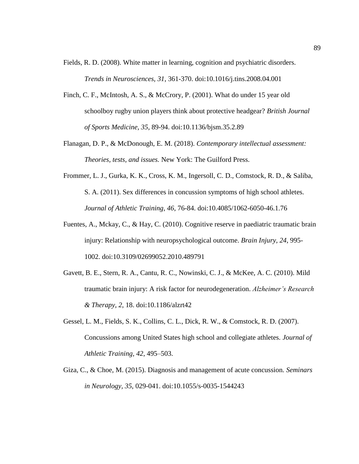- Fields, R. D. (2008). White matter in learning, cognition and psychiatric disorders. *Trends in Neurosciences, 31*, 361-370. doi:10.1016/j.tins.2008.04.001
- Finch, C. F., McIntosh, A. S., & McCrory, P. (2001). What do under 15 year old schoolboy rugby union players think about protective headgear? *British Journal of Sports Medicine, 35*, 89-94. doi:10.1136/bjsm.35.2.89
- Flanagan, D. P., & McDonough, E. M. (2018). *Contemporary intellectual assessment: Theories, tests, and issues.* New York: The Guilford Press.
- Frommer, L. J., Gurka, K. K., Cross, K. M., Ingersoll, C. D., Comstock, R. D., & Saliba, S. A. (2011). Sex differences in concussion symptoms of high school athletes. *Journal of Athletic Training, 46*, 76-84. doi:10.4085/1062-6050-46.1.76
- Fuentes, A., Mckay, C., & Hay, C. (2010). Cognitive reserve in paediatric traumatic brain injury: Relationship with neuropsychological outcome. *Brain Injury, 24*, 995- 1002. doi:10.3109/02699052.2010.489791
- Gavett, B. E., Stern, R. A., Cantu, R. C., Nowinski, C. J., & McKee, A. C. (2010). Mild traumatic brain injury: A risk factor for neurodegeneration. *Alzheimer's Research & Therapy, 2*, 18. doi:10.1186/alzrt42
- Gessel, L. M., Fields, S. K., Collins, C. L., Dick, R. W., & Comstock, R. D. (2007). Concussions among United States high school and collegiate athletes. *Journal of Athletic Training, 42*, 495–503.
- Giza, C., & Choe, M. (2015). Diagnosis and management of acute concussion. *Seminars in Neurology, 35*, 029-041. doi:10.1055/s-0035-1544243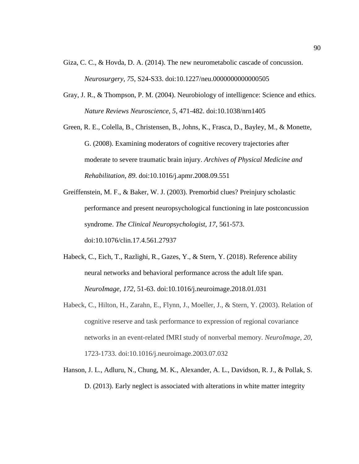- Giza, C. C., & Hovda, D. A. (2014). The new neurometabolic cascade of concussion. *Neurosurgery, 75*, S24-S33. doi:10.1227/neu.0000000000000505
- Gray, J. R., & Thompson, P. M. (2004). Neurobiology of intelligence: Science and ethics. *Nature Reviews Neuroscience, 5*, 471-482. doi:10.1038/nrn1405
- Green, R. E., Colella, B., Christensen, B., Johns, K., Frasca, D., Bayley, M., & Monette, G. (2008). Examining moderators of cognitive recovery trajectories after moderate to severe traumatic brain injury. *Archives of Physical Medicine and Rehabilitation, 89*. doi:10.1016/j.apmr.2008.09.551
- Greiffenstein, M. F., & Baker, W. J. (2003). Premorbid clues? Preinjury scholastic performance and present neuropsychological functioning in late postconcussion syndrome. *The Clinical Neuropsychologist, 17*, 561-573. doi:10.1076/clin.17.4.561.27937
- Habeck, C., Eich, T., Razlighi, R., Gazes, Y., & Stern, Y. (2018). Reference ability neural networks and behavioral performance across the adult life span. *NeuroImage, 172,* 51-63. doi:10.1016/j.neuroimage.2018.01.031
- Habeck, C., Hilton, H., Zarahn, E., Flynn, J., Moeller, J., & Stern, Y. (2003). Relation of cognitive reserve and task performance to expression of regional covariance networks in an event-related fMRI study of nonverbal memory. *NeuroImage, 20*, 1723-1733. doi:10.1016/j.neuroimage.2003.07.032
- Hanson, J. L., Adluru, N., Chung, M. K., Alexander, A. L., Davidson, R. J., & Pollak, S. D. (2013). Early neglect is associated with alterations in white matter integrity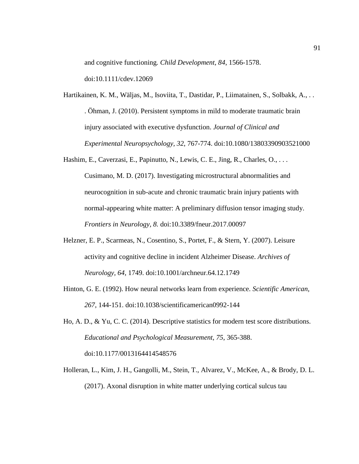and cognitive functioning*. Child Development, 84*, 1566-1578.

doi:10.1111/cdev.12069

- Hartikainen, K. M., Wäljas, M., Isoviita, T., Dastidar, P., Liimatainen, S., Solbakk, A., . . . Öhman, J. (2010). Persistent symptoms in mild to moderate traumatic brain injury associated with executive dysfunction. *Journal of Clinical and Experimental Neuropsychology, 32*, 767-774. doi:10.1080/13803390903521000
- Hashim, E., Caverzasi, E., Papinutto, N., Lewis, C. E., Jing, R., Charles, O., . . . Cusimano, M. D. (2017). Investigating microstructural abnormalities and neurocognition in sub-acute and chronic traumatic brain injury patients with normal-appearing white matter: A preliminary diffusion tensor imaging study. *Frontiers in Neurology, 8.* doi:10.3389/fneur.2017.00097
- Helzner, E. P., Scarmeas, N., Cosentino, S., Portet, F., & Stern, Y. (2007). Leisure activity and cognitive decline in incident Alzheimer Disease. *Archives of Neurology, 64*, 1749. doi:10.1001/archneur.64.12.1749
- Hinton, G. E. (1992). How neural networks learn from experience. *Scientific American, 267*, 144-151. doi:10.1038/scientificamerican0992-144
- Ho, A. D., & Yu, C. C. (2014). Descriptive statistics for modern test score distributions. *Educational and Psychological Measurement, 75*, 365-388. doi:10.1177/0013164414548576
- Holleran, L., Kim, J. H., Gangolli, M., Stein, T., Alvarez, V., McKee, A., & Brody, D. L. (2017). Axonal disruption in white matter underlying cortical sulcus tau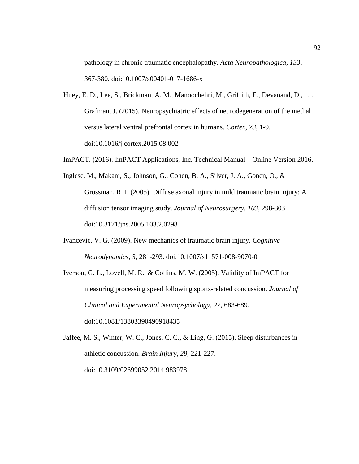pathology in chronic traumatic encephalopathy. *Acta Neuropathologica, 133*, 367-380. doi:10.1007/s00401-017-1686-x

- Huey, E. D., Lee, S., Brickman, A. M., Manoochehri, M., Griffith, E., Devanand, D., ... Grafman, J. (2015). Neuropsychiatric effects of neurodegeneration of the medial versus lateral ventral prefrontal cortex in humans. *Cortex, 73*, 1-9. doi:10.1016/j.cortex.2015.08.002
- ImPACT. (2016). ImPACT Applications, Inc. Technical Manual Online Version 2016.
- Inglese, M., Makani, S., Johnson, G., Cohen, B. A., Silver, J. A., Gonen, O., & Grossman, R. I. (2005). Diffuse axonal injury in mild traumatic brain injury: A diffusion tensor imaging study. *Journal of Neurosurgery, 103*, 298-303. doi:10.3171/jns.2005.103.2.0298
- Ivancevic, V. G. (2009). New mechanics of traumatic brain injury. *Cognitive Neurodynamics, 3*, 281-293. doi:10.1007/s11571-008-9070-0
- Iverson, G. L., Lovell, M. R., & Collins, M. W. (2005). Validity of ImPACT for measuring processing speed following sports-related concussion. *Journal of Clinical and Experimental Neuropsychology, 27*, 683-689. doi:10.1081/13803390490918435
- Jaffee, M. S., Winter, W. C., Jones, C. C., & Ling, G. (2015). Sleep disturbances in athletic concussion. *Brain Injury, 29*, 221-227. doi:10.3109/02699052.2014.983978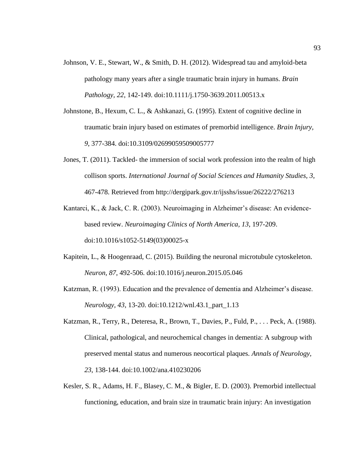- Johnson, V. E., Stewart, W., & Smith, D. H. (2012). Widespread tau and amyloid-beta pathology many years after a single traumatic brain injury in humans. *Brain Pathology, 22*, 142-149. doi:10.1111/j.1750-3639.2011.00513.x
- Johnstone, B., Hexum, C. L., & Ashkanazi, G. (1995). Extent of cognitive decline in traumatic brain injury based on estimates of premorbid intelligence. *Brain Injury, 9*, 377-384. doi:10.3109/02699059509005777
- Jones, T. (2011). Tackled- the immersion of social work profession into the realm of high collison sports. *International Journal of Social Sciences and Humanity Studies, 3*, 467-478. Retrieved from http://dergipark.gov.tr/ijsshs/issue/26222/276213
- Kantarci, K., & Jack, C. R. (2003). Neuroimaging in Alzheimer's disease: An evidencebased review. *Neuroimaging Clinics of North America, 13*, 197-209. doi:10.1016/s1052-5149(03)00025-x
- Kapitein, L., & Hoogenraad, C. (2015). Building the neuronal microtubule cytoskeleton. *Neuron, 87*, 492-506. doi:10.1016/j.neuron.2015.05.046
- Katzman, R. (1993). Education and the prevalence of dementia and Alzheimer's disease. *Neurology, 43*, 13-20. doi:10.1212/wnl.43.1\_part\_1.13
- Katzman, R., Terry, R., Deteresa, R., Brown, T., Davies, P., Fuld, P., . . . Peck, A. (1988). Clinical, pathological, and neurochemical changes in dementia: A subgroup with preserved mental status and numerous neocortical plaques. *Annals of Neurology, 23*, 138-144. doi:10.1002/ana.410230206
- Kesler, S. R., Adams, H. F., Blasey, C. M., & Bigler, E. D. (2003). Premorbid intellectual functioning, education, and brain size in traumatic brain injury: An investigation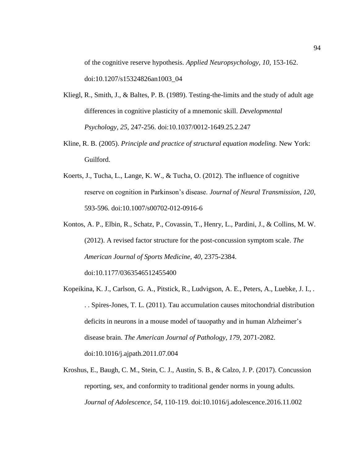of the cognitive reserve hypothesis. *Applied Neuropsychology, 10*, 153-162. doi:10.1207/s15324826an1003\_04

- Kliegl, R., Smith, J., & Baltes, P. B. (1989). Testing-the-limits and the study of adult age differences in cognitive plasticity of a mnemonic skill. *Developmental Psychology, 25*, 247-256. doi:10.1037/0012-1649.25.2.247
- Kline, R. B. (2005). *Principle and practice of structural equation modeling.* New York: Guilford.
- Koerts, J., Tucha, L., Lange, K. W., & Tucha, O. (2012). The influence of cognitive reserve on cognition in Parkinson's disease. *Journal of Neural Transmission, 120*, 593-596. doi:10.1007/s00702-012-0916-6
- Kontos, A. P., Elbin, R., Schatz, P., Covassin, T., Henry, L., Pardini, J., & Collins, M. W. (2012). A revised factor structure for the post-concussion symptom scale. *The American Journal of Sports Medicine, 40*, 2375-2384. doi:10.1177/0363546512455400
- Kopeikina, K. J., Carlson, G. A., Pitstick, R., Ludvigson, A. E., Peters, A., Luebke, J. I., . . . Spires-Jones, T. L. (2011). Tau accumulation causes mitochondrial distribution deficits in neurons in a mouse model of tauopathy and in human Alzheimer's disease brain. *The American Journal of Pathology, 179*, 2071-2082. doi:10.1016/j.ajpath.2011.07.004
- Kroshus, E., Baugh, C. M., Stein, C. J., Austin, S. B., & Calzo, J. P. (2017). Concussion reporting, sex, and conformity to traditional gender norms in young adults. *Journal of Adolescence, 54*, 110-119. doi:10.1016/j.adolescence.2016.11.002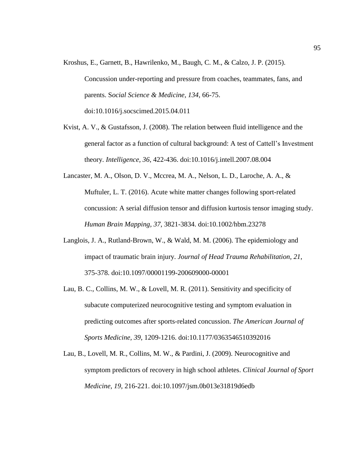- Kroshus, E., Garnett, B., Hawrilenko, M., Baugh, C. M., & Calzo, J. P. (2015). Concussion under-reporting and pressure from coaches, teammates, fans, and parents. S*ocial Science & Medicine, 134,* 66-75. doi:10.1016/j.socscimed.2015.04.011
- Kvist, A. V., & Gustafsson, J. (2008). The relation between fluid intelligence and the general factor as a function of cultural background: A test of Cattell's Investment theory. *Intelligence, 36*, 422-436. doi:10.1016/j.intell.2007.08.004
- Lancaster, M. A., Olson, D. V., Mccrea, M. A., Nelson, L. D., Laroche, A. A., & Muftuler, L. T. (2016). Acute white matter changes following sport-related concussion: A serial diffusion tensor and diffusion kurtosis tensor imaging study. *Human Brain Mapping, 37*, 3821-3834. doi:10.1002/hbm.23278
- Langlois, J. A., Rutland-Brown, W., & Wald, M. M. (2006). The epidemiology and impact of traumatic brain injury. *Journal of Head Trauma Rehabilitation, 21*, 375-378. doi:10.1097/00001199-200609000-00001
- Lau, B. C., Collins, M. W., & Lovell, M. R. (2011). Sensitivity and specificity of subacute computerized neurocognitive testing and symptom evaluation in predicting outcomes after sports-related concussion. *The American Journal of Sports Medicine, 39*, 1209-1216. doi:10.1177/0363546510392016
- Lau, B., Lovell, M. R., Collins, M. W., & Pardini, J. (2009). Neurocognitive and symptom predictors of recovery in high school athletes. *Clinical Journal of Sport Medicine, 19*, 216-221. doi:10.1097/jsm.0b013e31819d6edb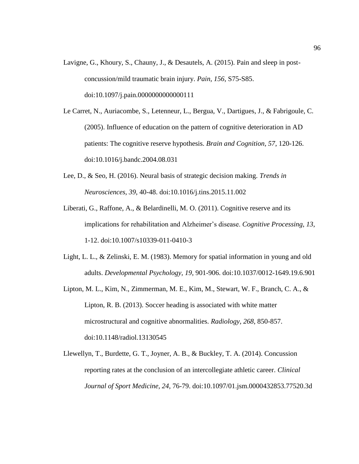- Lavigne, G., Khoury, S., Chauny, J., & Desautels, A. (2015). Pain and sleep in postconcussion/mild traumatic brain injury. *Pain, 156*, S75-S85. doi:10.1097/j.pain.0000000000000111
- Le Carret, N., Auriacombe, S., Letenneur, L., Bergua, V., Dartigues, J., & Fabrigoule, C. (2005). Influence of education on the pattern of cognitive deterioration in AD patients: The cognitive reserve hypothesis. *Brain and Cognition, 57*, 120-126. doi:10.1016/j.bandc.2004.08.031
- Lee, D., & Seo, H. (2016). Neural basis of strategic decision making. *Trends in Neurosciences, 39*, 40-48. doi:10.1016/j.tins.2015.11.002
- Liberati, G., Raffone, A., & Belardinelli, M. O. (2011). Cognitive reserve and its implications for rehabilitation and Alzheimer's disease. *Cognitive Processing, 13*, 1-12. doi:10.1007/s10339-011-0410-3
- Light, L. L., & Zelinski, E. M. (1983). Memory for spatial information in young and old adults. *Developmental Psychology, 19*, 901-906. doi:10.1037/0012-1649.19.6.901
- Lipton, M. L., Kim, N., Zimmerman, M. E., Kim, M., Stewart, W. F., Branch, C. A., & Lipton, R. B. (2013). Soccer heading is associated with white matter microstructural and cognitive abnormalities. *Radiology, 268*, 850-857. doi:10.1148/radiol.13130545
- Llewellyn, T., Burdette, G. T., Joyner, A. B., & Buckley, T. A. (2014). Concussion reporting rates at the conclusion of an intercollegiate athletic career. *Clinical Journal of Sport Medicine, 24*, 76-79. doi:10.1097/01.jsm.0000432853.77520.3d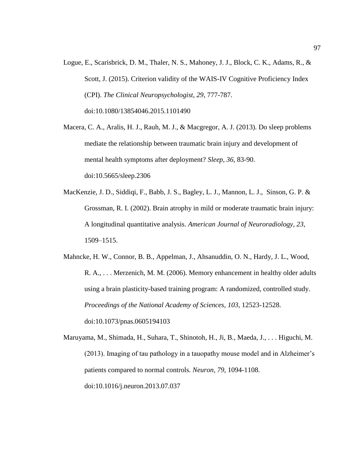Logue, E., Scarisbrick, D. M., Thaler, N. S., Mahoney, J. J., Block, C. K., Adams, R., & Scott, J. (2015). Criterion validity of the WAIS-IV Cognitive Proficiency Index (CPI). *The Clinical Neuropsychologist, 29*, 777-787. doi:10.1080/13854046.2015.1101490

Macera, C. A., Aralis, H. J., Rauh, M. J., & Macgregor, A. J. (2013). Do sleep problems mediate the relationship between traumatic brain injury and development of mental health symptoms after deployment? *Sleep, 36*, 83-90. doi:10.5665/sleep.2306

MacKenzie, J. D., Siddiqi, F., Babb, J. S., Bagley, L. J., Mannon, L. J., Sinson, G. P. & Grossman, R. I. (2002). Brain atrophy in mild or moderate traumatic brain injury: A longitudinal quantitative analysis. *American Journal of Neuroradiology, 23,*  1509–1515.

Mahncke, H. W., Connor, B. B., Appelman, J., Ahsanuddin, O. N., Hardy, J. L., Wood, R. A., . . . Merzenich, M. M. (2006). Memory enhancement in healthy older adults using a brain plasticity-based training program: A randomized, controlled study. *Proceedings of the National Academy of Sciences, 103*, 12523-12528. doi:10.1073/pnas.0605194103

Maruyama, M., Shimada, H., Suhara, T., Shinotoh, H., Ji, B., Maeda, J., . . . Higuchi, M. (2013). Imaging of tau pathology in a tauopathy mouse model and in Alzheimer's patients compared to normal controls. *Neuron, 79*, 1094-1108. doi:10.1016/j.neuron.2013.07.037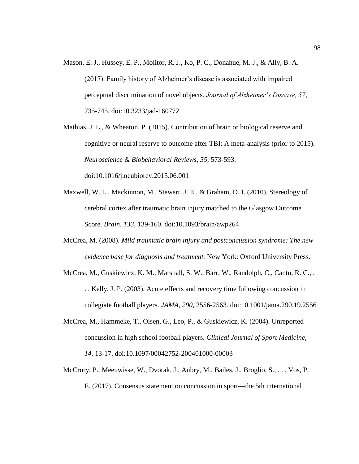Mason, E. J., Hussey, E. P., Molitor, R. J., Ko, P. C., Donahue, M. J., & Ally, B. A. (2017). Family history of Alzheimer's disease is associated with impaired perceptual discrimination of novel objects. *Journal of Alzheimer's Disease, 57*, 735-745. doi:10.3233/jad-160772

Mathias, J. L., & Wheaton, P. (2015). Contribution of brain or biological reserve and cognitive or neural reserve to outcome after TBI: A meta-analysis (prior to 2015). *Neuroscience & Biobehavioral Reviews, 55,* 573-593. doi:10.1016/j.neubiorev.2015.06.001

- Maxwell, W. L., Mackinnon, M., Stewart, J. E., & Graham, D. I. (2010). Stereology of cerebral cortex after traumatic brain injury matched to the Glasgow Outcome Score. *Brain, 133*, 139-160. doi:10.1093/brain/awp264
- McCrea, M. (2008). *Mild traumatic brain injury and postconcussion syndrome: The new evidence base for diagnosis and treatment.* New York: Oxford University Press.
- McCrea, M., Guskiewicz, K. M., Marshall, S. W., Barr, W., Randolph, C., Cantu, R. C., . . . Kelly, J. P. (2003). Acute effects and recovery time following concussion in collegiate football players. *JAMA, 290*, 2556-2563. doi:10.1001/jama.290.19.2556
- McCrea, M., Hammeke, T., Olsen, G., Leo, P., & Guskiewicz, K. (2004). Unreported concussion in high school football players. *Clinical Journal of Sport Medicine, 14*, 13-17. doi:10.1097/00042752-200401000-00003
- McCrory, P., Meeuwisse, W., Dvorak, J., Aubry, M., Bailes, J., Broglio, S., . . . Vos, P. E. (2017). Consensus statement on concussion in sport—the 5th international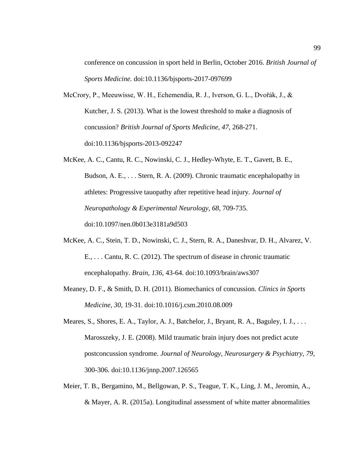conference on concussion in sport held in Berlin, October 2016. *British Journal of Sports Medicine.* doi:10.1136/bjsports-2017-097699

- McCrory, P., Meeuwisse, W. H., Echemendia, R. J., Iverson, G. L., Dvořák, J., & Kutcher, J. S. (2013). What is the lowest threshold to make a diagnosis of concussion? *British Journal of Sports Medicine, 47*, 268-271. doi:10.1136/bjsports-2013-092247
- McKee, A. C., Cantu, R. C., Nowinski, C. J., Hedley-Whyte, E. T., Gavett, B. E., Budson, A. E., . . . Stern, R. A. (2009). Chronic traumatic encephalopathy in athletes: Progressive tauopathy after repetitive head injury. *Journal of Neuropathology & Experimental Neurology, 68*, 709-735. doi:10.1097/nen.0b013e3181a9d503
- McKee, A. C., Stein, T. D., Nowinski, C. J., Stern, R. A., Daneshvar, D. H., Alvarez, V. E., . . . Cantu, R. C. (2012). The spectrum of disease in chronic traumatic encephalopathy. *Brain, 136*, 43-64. doi:10.1093/brain/aws307
- Meaney, D. F., & Smith, D. H. (2011). Biomechanics of concussion. *Clinics in Sports Medicine, 30*, 19-31. doi:10.1016/j.csm.2010.08.009
- Meares, S., Shores, E. A., Taylor, A. J., Batchelor, J., Bryant, R. A., Baguley, I. J., ... Marosszeky, J. E. (2008). Mild traumatic brain injury does not predict acute postconcussion syndrome. *Journal of Neurology, Neurosurgery & Psychiatry, 79*, 300-306. doi:10.1136/jnnp.2007.126565
- Meier, T. B., Bergamino, M., Bellgowan, P. S., Teague, T. K., Ling, J. M., Jeromin, A., & Mayer, A. R. (2015a). Longitudinal assessment of white matter abnormalities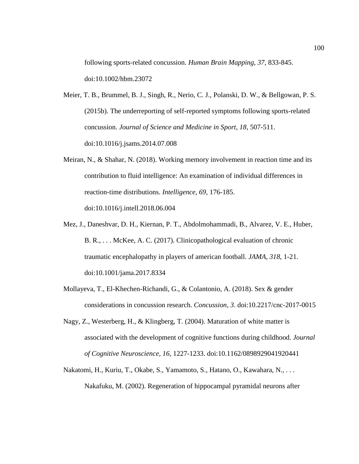following sports-related concussion. *Human Brain Mapping, 37*, 833-845. doi:10.1002/hbm.23072

- Meier, T. B., Brummel, B. J., Singh, R., Nerio, C. J., Polanski, D. W., & Bellgowan, P. S. (2015b). The underreporting of self-reported symptoms following sports-related concussion. *Journal of Science and Medicine in Sport, 18*, 507-511. doi:10.1016/j.jsams.2014.07.008
- Meiran, N., & Shahar, N. (2018). Working memory involvement in reaction time and its contribution to fluid intelligence: An examination of individual differences in reaction-time distributions. *Intelligence, 69*, 176-185. doi:10.1016/j.intell.2018.06.004
- Mez, J., Daneshvar, D. H., Kiernan, P. T., Abdolmohammadi, B., Alvarez, V. E., Huber, B. R., . . . McKee, A. C. (2017). Clinicopathological evaluation of chronic traumatic encephalopathy in players of american football. *JAMA, 318*, 1-21. doi:10.1001/jama.2017.8334
- Mollayeva, T., El-Khechen-Richandi, G., & Colantonio, A. (2018). Sex & gender considerations in concussion research. *Concussion, 3*. doi:10.2217/cnc-2017-0015
- Nagy, Z., Westerberg, H., & Klingberg, T. (2004). Maturation of white matter is associated with the development of cognitive functions during childhood. *Journal of Cognitive Neuroscience, 16*, 1227-1233. doi:10.1162/0898929041920441
- Nakatomi, H., Kuriu, T., Okabe, S., Yamamoto, S., Hatano, O., Kawahara, N., . . . Nakafuku, M. (2002). Regeneration of hippocampal pyramidal neurons after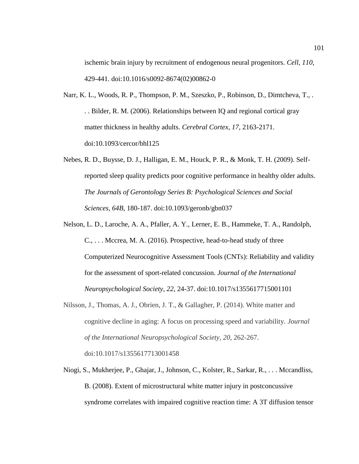ischemic brain injury by recruitment of endogenous neural progenitors. *Cell, 110*, 429-441. doi:10.1016/s0092-8674(02)00862-0

- Narr, K. L., Woods, R. P., Thompson, P. M., Szeszko, P., Robinson, D., Dimtcheva, T., . . . Bilder, R. M. (2006). Relationships between IQ and regional cortical gray matter thickness in healthy adults. *Cerebral Cortex, 17*, 2163-2171. doi:10.1093/cercor/bhl125
- Nebes, R. D., Buysse, D. J., Halligan, E. M., Houck, P. R., & Monk, T. H. (2009). Selfreported sleep quality predicts poor cognitive performance in healthy older adults. *The Journals of Gerontology Series B: Psychological Sciences and Social Sciences, 64B*, 180-187. doi:10.1093/geronb/gbn037
- Nelson, L. D., Laroche, A. A., Pfaller, A. Y., Lerner, E. B., Hammeke, T. A., Randolph, C., . . . Mccrea, M. A. (2016). Prospective, head-to-head study of three Computerized Neurocognitive Assessment Tools (CNTs): Reliability and validity for the assessment of sport-related concussion. *Journal of the International Neuropsychological Society, 22*, 24-37. doi:10.1017/s1355617715001101
- Nilsson, J., Thomas, A. J., Obrien, J. T., & Gallagher, P. (2014). White matter and cognitive decline in aging: A focus on processing speed and variability. *Journal of the International Neuropsychological Society, 20*, 262-267. doi:10.1017/s1355617713001458
- Niogi, S., Mukherjee, P., Ghajar, J., Johnson, C., Kolster, R., Sarkar, R., . . . Mccandliss, B. (2008). Extent of microstructural white matter injury in postconcussive syndrome correlates with impaired cognitive reaction time: A 3T diffusion tensor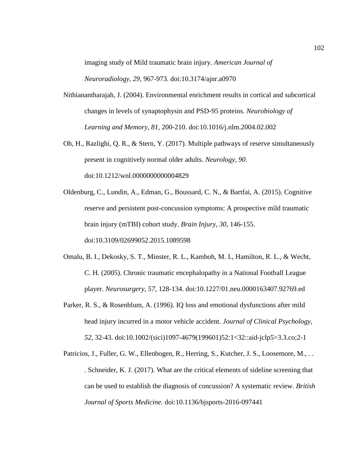imaging study of Mild traumatic brain injury. *American Journal of* 

*Neuroradiology, 29*, 967-973. doi:10.3174/ajnr.a0970

- Nithianantharajah, J. (2004). Environmental enrichment results in cortical and subcortical changes in levels of synaptophysin and PSD-95 proteins. *Neurobiology of Learning and Memory, 81*, 200-210. doi:10.1016/j.nlm.2004.02.002
- Oh, H., Razlighi, Q. R., & Stern, Y. (2017). Multiple pathways of reserve simultaneously present in cognitively normal older adults. *Neurology, 90*. doi:10.1212/wnl.0000000000004829
- Oldenburg, C., Lundin, A., Edman, G., Boussard, C. N., & Bartfai, A. (2015). Cognitive reserve and persistent post-concussion symptoms: A prospective mild traumatic brain injury (mTBI) cohort study. *Brain Injury, 30*, 146-155. doi:10.3109/02699052.2015.1089598
- Omalu, B. I., Dekosky, S. T., Minster, R. L., Kamboh, M. I., Hamilton, R. L., & Wecht, C. H. (2005). Chronic traumatic encephalopathy in a National Football League player. *Neurosurgery, 57*, 128-134. doi:10.1227/01.neu.0000163407.92769.ed
- Parker, R. S., & Rosenblum, A. (1996). IQ loss and emotional dysfunctions after mild head injury incurred in a motor vehicle accident. *Journal of Clinical Psychology, 52*, 32-43. doi:10.1002/(sici)1097-4679(199601)52:1<32::aid-jclp5>3.3.co;2-1
- Patricios, J., Fuller, G. W., Ellenbogen, R., Herring, S., Kutcher, J. S., Loosemore, M., .. . Schneider, K. J. (2017). What are the critical elements of sideline screening that can be used to establish the diagnosis of concussion? A systematic review. *British Journal of Sports Medicine.* doi:10.1136/bjsports-2016-097441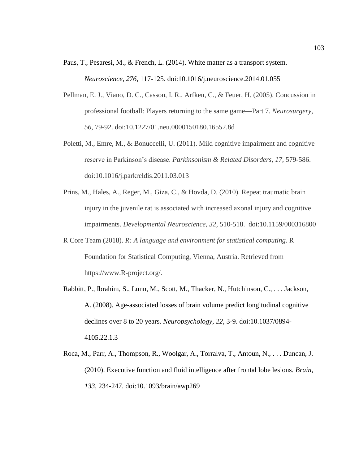- Paus, T., Pesaresi, M., & French, L. (2014). White matter as a transport system. *Neuroscience, 276,* 117-125. doi:10.1016/j.neuroscience.2014.01.055
- Pellman, E. J., Viano, D. C., Casson, I. R., Arfken, C., & Feuer, H. (2005). Concussion in professional football: Players returning to the same game—Part 7. *Neurosurgery, 56*, 79-92. doi:10.1227/01.neu.0000150180.16552.8d
- Poletti, M., Emre, M., & Bonuccelli, U. (2011). Mild cognitive impairment and cognitive reserve in Parkinson's disease. *Parkinsonism & Related Disorders, 17*, 579-586. doi:10.1016/j.parkreldis.2011.03.013
- Prins, M., Hales, A., Reger, M., Giza, C., & Hovda, D. (2010). Repeat traumatic brain injury in the juvenile rat is associated with increased axonal injury and cognitive impairments. *Developmental Neuroscience, 32,* 510-518. doi:10.1159/000316800
- R Core Team (2018). *R: A language and environment for statistical computing.* R Foundation for Statistical Computing, Vienna, Austria. Retrieved from https://www.R-project.org/.
- Rabbitt, P., Ibrahim, S., Lunn, M., Scott, M., Thacker, N., Hutchinson, C., . . . Jackson, A. (2008). Age-associated losses of brain volume predict longitudinal cognitive declines over 8 to 20 years. *Neuropsychology, 22*, 3-9. doi:10.1037/0894- 4105.22.1.3
- Roca, M., Parr, A., Thompson, R., Woolgar, A., Torralva, T., Antoun, N., . . . Duncan, J. (2010). Executive function and fluid intelligence after frontal lobe lesions. *Brain, 133*, 234-247. doi:10.1093/brain/awp269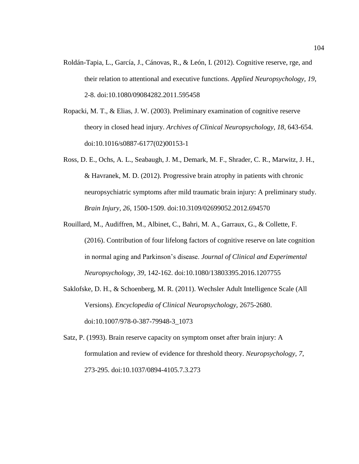- Roldán-Tapia, L., García, J., Cánovas, R., & León, I. (2012). Cognitive reserve, rge, and their relation to attentional and executive functions. *Applied Neuropsychology, 19*, 2-8. doi:10.1080/09084282.2011.595458
- Ropacki, M. T., & Elias, J. W. (2003). Preliminary examination of cognitive reserve theory in closed head injury. *Archives of Clinical Neuropsychology, 18*, 643-654. doi:10.1016/s0887-6177(02)00153-1
- Ross, D. E., Ochs, A. L., Seabaugh, J. M., Demark, M. F., Shrader, C. R., Marwitz, J. H., & Havranek, M. D. (2012). Progressive brain atrophy in patients with chronic neuropsychiatric symptoms after mild traumatic brain injury: A preliminary study. *Brain Injury, 26*, 1500-1509. doi:10.3109/02699052.2012.694570
- Rouillard, M., Audiffren, M., Albinet, C., Bahri, M. A., Garraux, G., & Collette, F. (2016). Contribution of four lifelong factors of cognitive reserve on late cognition in normal aging and Parkinson's disease. *Journal of Clinical and Experimental Neuropsychology, 39*, 142-162. doi:10.1080/13803395.2016.1207755
- Saklofske, D. H., & Schoenberg, M. R. (2011). Wechsler Adult Intelligence Scale (All Versions). *Encyclopedia of Clinical Neuropsychology,* 2675-2680. doi:10.1007/978-0-387-79948-3\_1073
- Satz, P. (1993). Brain reserve capacity on symptom onset after brain injury: A formulation and review of evidence for threshold theory. *Neuropsychology, 7*, 273-295. doi:10.1037/0894-4105.7.3.273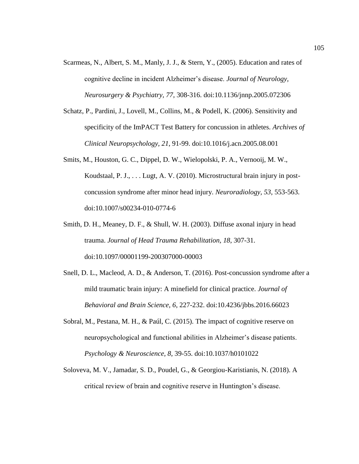- Scarmeas, N., Albert, S. M., Manly, J. J., & Stern, Y., (2005). Education and rates of cognitive decline in incident Alzheimer's disease. *Journal of Neurology, Neurosurgery & Psychiatry, 77*, 308-316. doi:10.1136/jnnp.2005.072306
- Schatz, P., Pardini, J., Lovell, M., Collins, M., & Podell, K. (2006). Sensitivity and specificity of the ImPACT Test Battery for concussion in athletes. *Archives of Clinical Neuropsychology, 21*, 91-99. doi:10.1016/j.acn.2005.08.001
- Smits, M., Houston, G. C., Dippel, D. W., Wielopolski, P. A., Vernooij, M. W., Koudstaal, P. J., . . . Lugt, A. V. (2010). Microstructural brain injury in postconcussion syndrome after minor head injury. *Neuroradiology, 53*, 553-563. doi:10.1007/s00234-010-0774-6
- Smith, D. H., Meaney, D. F., & Shull, W. H. (2003). Diffuse axonal injury in head trauma. *Journal of Head Trauma Rehabilitation, 18*, 307-31. doi:10.1097/00001199-200307000-00003
- Snell, D. L., Macleod, A. D., & Anderson, T. (2016). Post-concussion syndrome after a mild traumatic brain injury: A minefield for clinical practice. *Journal of Behavioral and Brain Science, 6*, 227-232. doi:10.4236/jbbs.2016.66023
- Sobral, M., Pestana, M. H., & Paúl, C. (2015). The impact of cognitive reserve on neuropsychological and functional abilities in Alzheimer's disease patients. *Psychology & Neuroscience, 8*, 39-55. doi:10.1037/h0101022
- Soloveva, M. V., Jamadar, S. D., Poudel, G., & Georgiou-Karistianis, N. (2018). A critical review of brain and cognitive reserve in Huntington's disease.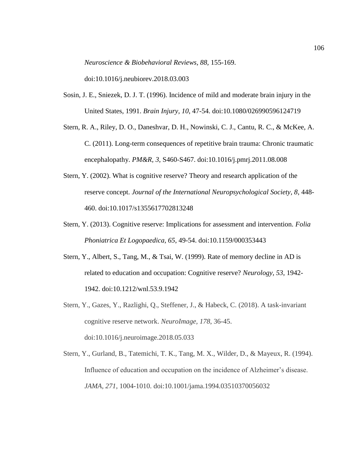*Neuroscience & Biobehavioral Reviews, 88,* 155-169.

doi:10.1016/j.neubiorev.2018.03.003

- Sosin, J. E., Sniezek, D. J. T. (1996). Incidence of mild and moderate brain injury in the United States, 1991. *Brain Injury, 10*, 47-54. doi:10.1080/026990596124719
- Stern, R. A., Riley, D. O., Daneshvar, D. H., Nowinski, C. J., Cantu, R. C., & McKee, A. C. (2011). Long-term consequences of repetitive brain trauma: Chronic traumatic encephalopathy. *PM&R, 3*, S460-S467. doi:10.1016/j.pmrj.2011.08.008
- Stern, Y. (2002). What is cognitive reserve? Theory and research application of the reserve concept. *Journal of the International Neuropsychological Society, 8*, 448- 460. doi:10.1017/s1355617702813248
- Stern, Y. (2013). Cognitive reserve: Implications for assessment and intervention. *Folia Phoniatrica Et Logopaedica, 65*, 49-54. doi:10.1159/000353443
- Stern, Y., Albert, S., Tang, M., & Tsai, W. (1999). Rate of memory decline in AD is related to education and occupation: Cognitive reserve? *Neurology, 53*, 1942- 1942. doi:10.1212/wnl.53.9.1942
- Stern, Y., Gazes, Y., Razlighi, Q., Steffener, J., & Habeck, C. (2018). A task-invariant cognitive reserve network. *NeuroImage, 178*, 36-45. doi:10.1016/j.neuroimage.2018.05.033
- Stern, Y., Gurland, B., Tatemichi, T. K., Tang, M. X., Wilder, D., & Mayeux, R. (1994). Influence of education and occupation on the incidence of Alzheimer's disease. *JAMA, 271*, 1004-1010. doi:10.1001/jama.1994.03510370056032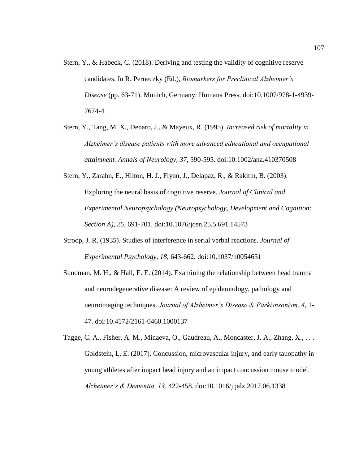- Stern, Y., & Habeck, C. (2018). Deriving and testing the validity of cognitive reserve candidates. In R. Perneczky (Ed.), *Biomarkers for Preclinical Alzheimer's Disease* (pp. 63-71). Munich, Germany: Humana Press. doi:10.1007/978-1-4939- 7674-4
- Stern, Y., Tang, M. X., Denaro, J., & Mayeux, R. (1995). *Increased risk of mortality in Alzheimer's disease patients with more advanced educational and occupational attainment. Annals of Neurology, 37*, 590-595. doi:10.1002/ana.410370508
- Stern, Y., Zarahn, E., Hilton, H. J., Flynn, J., Delapaz, R., & Rakitin, B. (2003). Exploring the neural basis of cognitive reserve. *Journal of Clinical and Experimental Neuropsychology (Neuropsychology, Development and Cognition: Section A), 25*, 691-701. doi:10.1076/jcen.25.5.691.14573
- Stroop, J. R. (1935). Studies of interference in serial verbal reactions. *Journal of Experimental Psychology, 18*, 643-662. doi:10.1037/h0054651
- Sundman, M. H., & Hall, E. E. (2014). Examining the relationship between head trauma and neurodegenerative disease: A review of epidemiology, pathology and neuroimaging techniques. *Journal of Alzheimer's Disease & Parkisnsonism, 4*, 1- 47. doi:10.4172/2161-0460.1000137
- Tagge, C. A., Fisher, A. M., Minaeva, O., Gaudreau, A., Moncaster, J. A., Zhang, X., . . . Goldstein, L. E. (2017). Concussion, microvascular injury, and early tauopathy in young athletes after impact head injury and an impact concussion mouse model. *Alzheimer's & Dementia, 13*, 422-458. doi:10.1016/j.jalz.2017.06.1338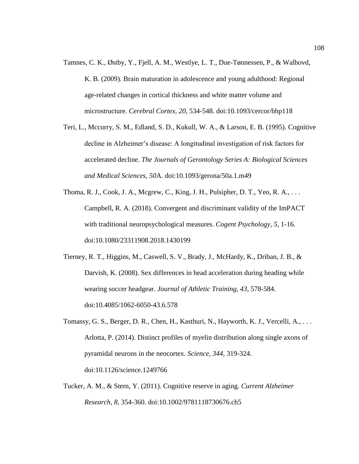- Tamnes, C. K., Østby, Y., Fjell, A. M., Westlye, L. T., Due-Tønnessen, P., & Walhovd, K. B. (2009). Brain maturation in adolescence and young adulthood: Regional age-related changes in cortical thickness and white matter volume and microstructure. *Cerebral Cortex, 20*, 534-548. doi:10.1093/cercor/bhp118
- Teri, L., Mccurry, S. M., Edland, S. D., Kukull, W. A., & Larson, E. B. (1995). Cognitive decline in Alzheimer's disease: A longitudinal investigation of risk factors for accelerated decline. *The Journals of Gerontology Series A: Biological Sciences and Medical Sciences, 50*A. doi:10.1093/gerona/50a.1.m49
- Thoma, R. J., Cook, J. A., Mcgrew, C., King, J. H., Pulsipher, D. T., Yeo, R. A., . . . Campbell, R. A. (2018). Convergent and discriminant validity of the ImPACT with traditional neuropsychological measures. *Cogent Psychology, 5*, 1-16. doi:10.1080/23311908.2018.1430199
- Tierney, R. T., Higgins, M., Caswell, S. V., Brady, J., McHardy, K., Driban, J. B., & Darvish, K. (2008). Sex differences in head acceleration during heading while wearing soccer headgear. *Journal of Athletic Training, 43*, 578-584. doi:10.4085/1062-6050-43.6.578
- Tomassy, G. S., Berger, D. R., Chen, H., Kasthuri, N., Hayworth, K. J., Vercelli, A., . . . Arlotta, P. (2014). Distinct profiles of myelin distribution along single axons of pyramidal neurons in the neocortex. *Science, 344*, 319-324. doi:10.1126/science.1249766
- Tucker, A. M., & Stern, Y. (2011). Cognitive reserve in aging. *Current Alzheimer Research, 8*, 354-360. doi:10.1002/9781118730676.ch5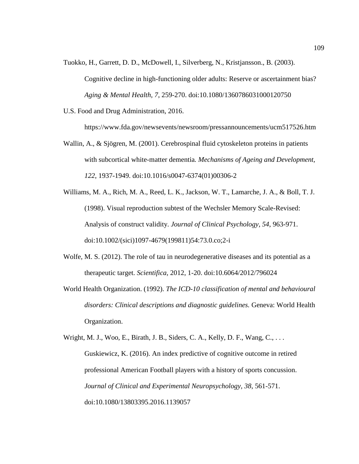- Tuokko, H., Garrett, D. D., McDowell, I., Silverberg, N., Kristjansson., B. (2003). Cognitive decline in high-functioning older adults: Reserve or ascertainment bias? *Aging & Mental Health, 7*, 259-270. doi:10.1080/1360786031000120750
- U.S. Food and Drug Administration, 2016.

https://www.fda.gov/newsevents/newsroom/pressannouncements/ucm517526.htm

- Wallin, A., & Sjögren, M. (2001). Cerebrospinal fluid cytoskeleton proteins in patients with subcortical white-matter dementia*. Mechanisms of Ageing and Development, 122*, 1937-1949. doi:10.1016/s0047-6374(01)00306-2
- Williams, M. A., Rich, M. A., Reed, L. K., Jackson, W. T., Lamarche, J. A., & Boll, T. J. (1998). Visual reproduction subtest of the Wechsler Memory Scale-Revised: Analysis of construct validity. *Journal of Clinical Psychology, 54*, 963-971. doi:10.1002/(sici)1097-4679(199811)54:73.0.co;2-i
- Wolfe, M. S. (2012). The role of tau in neurodegenerative diseases and its potential as a therapeutic target. *Scientifica,* 2012, 1-20. doi:10.6064/2012/796024
- World Health Organization. (1992). *The ICD-10 classification of mental and behavioural disorders: Clinical descriptions and diagnostic guidelines.* Geneva: World Health Organization.

Wright, M. J., Woo, E., Birath, J. B., Siders, C. A., Kelly, D. F., Wang, C., . . . Guskiewicz, K. (2016). An index predictive of cognitive outcome in retired professional American Football players with a history of sports concussion. *Journal of Clinical and Experimental Neuropsychology, 38*, 561-571. doi:10.1080/13803395.2016.1139057